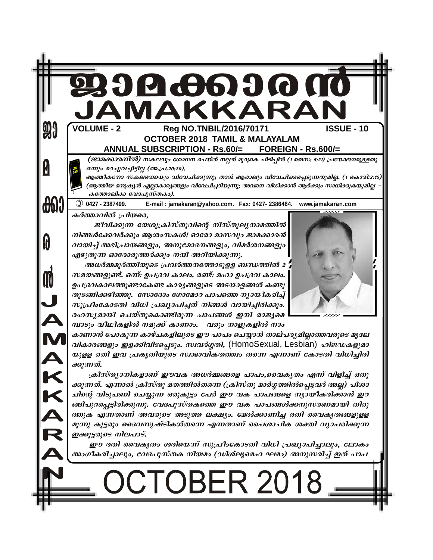| 90         | JAMAKKARAN<br><b>VOLUME - 2</b><br>Reg NO.TNBIL/2016/70171<br><b>ISSUE - 10</b><br><b>OCTOBER 2018 TAMIL &amp; MALAYALAM</b>                                                                                                                                                                                                                                                                                                                                                        |
|------------|-------------------------------------------------------------------------------------------------------------------------------------------------------------------------------------------------------------------------------------------------------------------------------------------------------------------------------------------------------------------------------------------------------------------------------------------------------------------------------------|
|            | ANNUAL SUBSCRIPTION - Rs.60/= FOREIGN - Rs.600/=<br>(ജാമക്കാരനിൽ) സകലവും ശോധന ചെയ്ത് നല്ലത് മുറുകെ പിടിപ്പിൻ (1 തെസ: 5:21) പ്രയോജനമുള്ളതു<br>ഒന്നും മറച്ചുവച്ചിട്ടില്ല (അ.പ്ര.20:20).<br>ആത്മീകനോ സകലത്തെയും വിവേചിക്കുന്നു; താൻ ആരാലും വിവേചിക്കപ്പെടുന്നതുമില്ല. (1 കൊരി:2:15)<br>(ആത്മീയ മനുഷ്യൻ എല്ലാകാര്യങ്ങളും വിവേചിച്ചറിയുന്നു; അവനെ വിധിക്കാൻ ആർക്കും സാധിക്കുകയുമില്ല                                                                                                     |
| <b>600</b> | കത്തോലിക്ക വേദപുസ്തകം).<br>$①$ 0427 - 2387499.<br>E-mail: jamakaran@yahoo.com. Fax: 0427-2386464. www.jamakaran.com                                                                                                                                                                                                                                                                                                                                                                 |
|            | കർത്താവിൽ പ്രിയരെ,<br>ജീവിക്കുന്ന യേശുക്രിസ്തുവിന്റെ നിസ്തുല്യനാമത്തിൽ<br>നിങ്ങൾക്കേവർക്കും ആശംസകൾ! ഓരോ മാസവും ജാമക്കാരൻ<br>വായിച്ച് അഭിപ്രായങ്ങളും, അനുമോദനങ്ങളും, വിമർശനങ്ങളും<br>എഴുതുന്ന ഓരോരുത്തർക്കും നന്ദി അറിയിക്കുന്നു.<br>അധർമ്മമൂർത്തിയുടെ പ്രവർത്തനത്തോടുളള ബന്ധത്തിൽ 2<br>സമയങ്ങളുണ്ട്. ഒന്ന്: ഉപദ്രവ കാലം. രണ്ട്: മഹാ ഉപദ്രവ കാലം.                                                                                                                                    |
| A<br>N     | ഉപദ്രവകാലത്തുണ്ടാകേണ്ട കാര്യങ്ങളുടെ അടയാളങ്ങൾ കണ്ടു<br>തുടങ്ങിക്കഴിഞ്ഞു. സോദോം ഗോമോറ പാപത്തെ ന്യായീകരിച്ച്<br>സുപ്രീംകോടതി വിധി പ്രഖ്യാപിച്ചത് നിങ്ങൾ വായിച്ചിരിക്കും.<br>രഹസ്യമായി ചെയ്തുകൊണ്ടിരുന്ന പാപങ്ങൾ ഇനി രാജ്യമെ<br>മ്പാടും വീഥീകളിൽ നമുക്ക് കാണാം. വരും നാളുകളിൽ നാം                                                                                                                                                                                                      |
|            | കാണാൻ പോകുന്ന കാഴ്ചകളിലൂടെ ഈ പാപം ചെയ്യാൻ താല്പര്യമില്ലാത്തവരുടെ മൃദല<br>വികാരങ്ങളും ഇളക്കിവിടപ്പെടും. സ്ഥർഗ്ഗതി, (HomoSexual, Lesbian) ഹിജഡകളുമാ<br>യുളള രതി ഇവ പ്രകൃതിയുടെ സ്ഥഭാവികതത്ത്വം തന്നെ എന്നാണ് കോടതി വിധിച്ചിരി<br>ക്കുന്നത്.                                                                                                                                                                                                                                           |
| KARAKA     | ക്രിസ്ത്യാനികളാണ് ഈവക അധർമ്മങ്ങളെ പാപം,വൈകൃതം എന്ന് വിളിച്ച് ഒതു<br>ക്കുന്നത്. എന്നാൽ ക്രിസ്തു മതത്തിൽതന്നെ (ക്രിസ്തു മാർഗ്ഗത്തിൽപ്പെട്ടവർ അല്ല) പിശാ<br>ചിന്റെ വിടുപണി ചെയ്യുന്ന ഒരുകൂട്ടം പേർ ഈ വക പാപങ്ങളെ ന്യായീകരിക്കാൻ ഇറ<br>ങ്ങിപുറപ്പെട്ടിരിക്കുന്നു. വേദപുസ്തകത്തെ ഈ വക പാപങ്ങൾക്കനുസരണമായി തിരു<br>ത്തുക എന്നതാണ് അവരുടെ അടുത്ത ലക്ഷ്യം. മേൽക്കാണിച്ച രതി വൈകൃതങ്ങളുളള<br>മൂന്നു കൂട്ടരും ദൈവസൃഷ്ടികൾതന്നെ എന്നതാണ് പൈശാചിക ശക്തി വ്യാപരിക്കുന്ന<br>ഇക്കൂട്ടരുടെ നിലപാട്. |
|            | ഈ രതി വൈകൃതം ശരിയെന്ന് സുപ്രീംകോടതി വിധി പ്രഖ്യാപിച്ചാലും, ലോകം<br>അംഗീകരിച്ചാലും, വേദപുസ്തക നിയമം (ഡിശ്ല്യമെഹ ഘമം) അനുസരിച്ച് ഇത് പാപ                                                                                                                                                                                                                                                                                                                                              |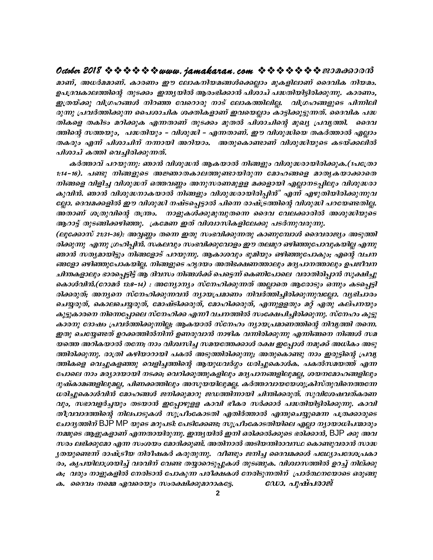മാണ്, അധർമമാണ്. കാരണം ഈ ലോകനിയമങ്ങൾക്കെല്ലാം മുകളിലാണ് ദൈവിക നിയമം. ഉപദ്രവകാലത്തിന്റെ തുടക്കം ഇന്ത്യയിൽ ആരംഭിക്കാൻ പിശാച് പദ്ധതിയിട്ടിരിക്കുന്നു. കാരണം, ഇത്രയ്ക്കു വിഗ്രഹങ്ങൾ നിറഞ്ഞ വേറൊരു നാട് ലോകത്തിലില്ല. വിഗ്രഹങ്ങളുടെ പിന്നിലി രുന്നു പ്രവർത്തിക്കുന്ന പൈശാചിക ശക്തികളാണ് ഇവയെല്ലാം കാട്ടിക്കൂട്ടുന്നത്. ദൈവിക പദ്ധ തികളെ തകിടം മറിക്കുക എന്നതാണ് തുടക്കം മുതൽ പിശാചിന്റെ മുഖ്യ പ്രവൃത്തി. ദൈവ ത്തിന്റെ സത്തയും, പദ്ധതിയും – വിശുദ്ധി – എന്നതാണ്. ഈ വിശുദ്ധിയെ തകർത്താൽ എല്ലാം തകരും എന്ന് പിശാചിന് നന്നായി അറിയാം. അതുകൊണ്ടാണ് വിശുദ്ധിയുടെ കടയ്ക്കലിൽ പിശാച് കത്തി വെച്ചിരിക്കുന്നത്.

കർത്താവ് പറയുന്നു. ഞാൻ വിശുദ്ധൻ ആകയാൽ നിങ്ങളും വിശുദ്ധരായിരിക്കുക.(1പത്രോ 1:14–16). പണ്ടു നിങ്ങളുടെ അജ്ഞാതകാലത്തുണ്ടായിരുന്ന മോഹങ്ങളെ മാതൃകയാക്കാതെ നിങ്ങളെ വിളിച്ച വിശുദ്ധന് ഒത്തവണ്ണം അനുസരണമുളള മക്കളായി എല്ലാനടപ്പിലും വിശുദ്ധരാ കുവിൻ. ഞാൻ വിശുദ്ധനാകയാൽ നിങ്ങളും വിശുദ്ധരായിരിപ്പിൻ" എന്ന് എഴുതിയിരിക്കുന്നുവ ല്ലോ. ദെവമക്കളിൽ ഈ വിശുദ്ധി നഷ്ടപ്പെട്ടാൽ പിന്നെ രാഷ്ട്രത്തിന്റെ വിശുദ്ധി പറയേണ്ടതില്ല. അതാണ് ശത്രുവിന്റെ തന്ത്രം. നാളുകൾക്കുമുമ്പുതന്നെ ദൈവ വേലക്കാരിൽ അശുദ്ധിയുടെ ആറാട്ട് തുടങ്ങിക്കഴിഞ്ഞു. ക്രമേണ ഇത് വിശ്വാസികളിലേക്കു പടർന്നുവരുന്നു.

(ലൂക്കോസ് 21:31–36). അവ്വണ്ണം തന്നെ ഇതു സംഭവിക്കുന്നതു കാണുമ്പോൾ ദൈവരാജ്യം അടുത്തി രിക്കുന്നു എന്നു ഗ്രഹിപ്പിൻ. സകലവും സംഭവിക്കുവോളം ഈ തലമുറ ഒഴിഞ്ഞുപോവുകയില്ല എന്നു ഞാൻ സത്യമായിട്ടും നിങ്ങളോട് പറയുന്നു. ആകാശവും ഭൂമിയും ഒഴിഞ്ഞുപോകും; എന്റെ വചന ങ്ങളോ ഒഴിഞ്ഞുപോകയില്ല. നിങ്ങളുടെ ഹൃദയം അതിഭക്ഷണത്താലും മദ്യപാനത്താലും ഉപജീവന ചിന്തകളാലും ഭാരപ്പെട്ടിട്ട് ആ ദിവസം നിങ്ങൾക്ക് പെട്ടെന്ന് കെണിപോലെ വരാതിരിപ്പാൻ സൂക്ഷിച്ചു കൊൾവിൻ.(റോമർ 13:8–14) : അന്യോന്യം സ്നേഹിക്കുന്നത് അല്ലാതെ ആരോടും ഒന്നും കടപെട്ടി രിക്കരുത്; അന്യനെ സ്നേഹിക്കുന്നവൻ ന്യായപ്രമാണം നിവർത്തിച്ചിരിക്കുന്നുവല്ലോ. വ്യഭിചാരം ചെയ്യരുത്, കൊലചെയ്യരുത്, മോഷ്ടിക്കരുത്, മോഹിക്കരുത്, എന്നുള്ളതും മറ്റ് ഏതു കല്പനയും കൂട്ടുകാരനെ നിന്നെപ്പോലെ സ്നേഹിക്ക എന്നീ വചനത്തിൽ സംക്ഷേപിച്ചിരിക്കുന്നു. സ്നേഹം കൂട്ടു കാരനു ദോഷം പ്രവർത്തിക്കുന്നില്ല; ആകയാൽ സ്നേഹം ന്യായപ്രമാണത്തിന്റെ നിവ്യത്തി തന്നെ. ഇതു ചെയ്യേണ്ടത് ഉറക്കത്തിൽനിന്ന് ഉണരുവാൻ നാഴിക വന്നിരിക്കുന്നു എന്നിങ്ങനെ നിങ്ങൾ സമ യത്തെ അറികയാൽ തന്നേ; നാം വിശ്വസിച്ച സമയത്തേക്കാൾ രക്ഷ ഇപ്പോൾ നമുക്ക് അധികം അടു ത്തിരിക്കുന്നു. രാത്രി കഴിയാറായി പകൽ അടുത്തിരിക്കുന്നു; അതുകൊണ്ടു നാം ഇരുട്ടിന്റെ പ്രവൃ ത്തികളെ വെച്ചുകളഞ്ഞു വെളിച്ചത്തിന്റെ ആയുധവർഗ്ഗം ധരിച്ചുകൊൾക. പകൽസമയത്ത് എന്ന പോലെ നാം മര്യാദയായി നടക്ക; വെറിക്കൂത്തുകളിലും മദ്യപാനങ്ങളിലുമല്ല, ശയനമോഹങ്ങളിലും ദുഷ്കാമങ്ങളിലുമല്ല, പിണക്കത്തിലും അസൂയയിലുമല്ല. കർത്താവായയേശുക്രിസ്തുവിനെത്തന്നേ ധരിച്ചുകൊൾവിൻ മോഹങ്ങൾ ജനിക്കുമാറു ജഡത്തിന്നായി ചിന്തിക്കരുത്. സുവിശേഷവത്കരണ വും, സഭാവളർച്ചയും തടയാൻ ഇപ്പോഴുളള കാവി ഭീകര സർക്കാർ പദ്ധതിയിട്ടിരിക്കുന്നു. കാവി തീവ്രവാദത്തിന്റെ നിലപാടുകൾ സുപ്രീംകോടതി എതിർത്താൽ എന്തുചെയ്യുമെന്ന പത്രക്കാരുടെ ചോദ്യത്തിന് BJP MP യുടെ മറുപടി: പേടിക്കേണ്ട; സുപ്രീംകോടതിയിലെ എല്ലാ ന്യായാധിപന്മാരും നമ്മുടെ ആളുകളാണ് എന്നതായിരുന്നു. ഇന്ത്യയിൽ ഇനി ഒരിക്കൽക്കുടെ ഭരിക്കാൻ, BJP ക്കു അവ സരം ലഭിക്കുമോ എന്ന സംശയം മോദിക്കുണ്ട്. അതിനാൽ അടിയന്തിരാവസ്ഥ കൊണ്ടുവരാൻ സാദ്ധ ൃതയുണ്ടെന്ന് രാഷ്ട്രീയ നിരീഷകർ കരുതുന്നു. വീണ്ടും ജനിച്ച ദൈവമക്കൾ പഥ്യോപദേശപ്രകാ രം, കൃപയിലാശ്രയിച്ച് വരവിന് വേണ്ട തയ്യാറെടുപ്പുകൾ തുടങ്ങുക. വിശ്വാസത്തിൽ ഉറച്ച് നില്ക്കു ക;ാവരും നാളുകളിൽ നേരിടാൻ പോകുന്ന പരീക്ഷകൾ നേരിടുന്നതിന് പ്രാർത്ഥനയോടെ ഒരുങ്ങു ഡോ. പുഷ്പരാജ് ക. ദൈവം നമ്മെ ഏവരെയും സംരക്ഷിക്കുമാറാകട്ടേ.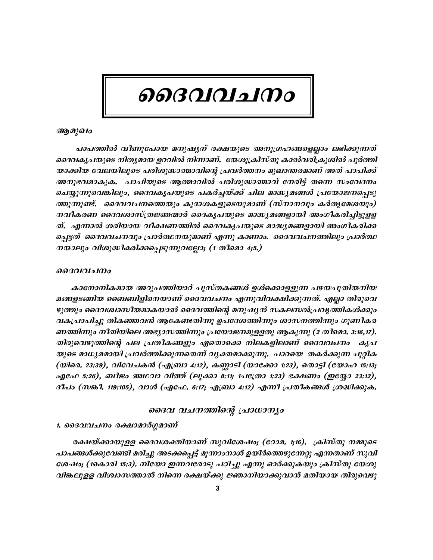# ൈവവചനം

#### ആമുഖം

പാപത്തിൽ വീണുപോയ മനുഷ്യന് രക്ഷയുടെ അനുഗ്രഹങ്ങളെല്ലാം ലഭിക്കുന്നത് ദൈവകൃപയുടെ നിതൃമായ ഉറവിൽ നിന്നാണ്. യേശുക്രിസ്തു കാൽവരിക്രൂശിൽ പൂർത്തി യാക്കിയ വേലയിലൂടെ പരിശുദ്ധാത്മാവിന്റെ പ്രവർത്തനം മുഖാന്തരമാണ് അത് പാപിക്ക് അനുഭവമാകുക. പാപിയുടെ ആത്മാവിൽ പരിശുദ്ധാത്മാവ് നേരിട്ട് തന്നെ സംവേദനം ചെയ്യുന്നുവെങ്കിലും, ദൈവകൃപയുടെ പകർച്ചയ്ക്ക് ചില മാദ്ധ്യമങ്ങൾ പ്രയോജനപ്പെടു ത്തുന്നുണ്ട്. ദൈവവചനത്തെയും കൂദാശകളുടെയുമാണ് (സ്നാനവും കർതൃമേശയും) നവീകരണ ദൈവശാസ്ത്രജ്ഞന്മാർ ദൈകൃപയുടെ മാദ്ധ്യമങ്ങളായി അംഗീകരിച്ചിട്ടുള്ള ത്. എന്നാൽ ശരിയായ വീക്ഷണത്തിൽ ദൈവകൃപയുടെ മാദ്ധ്യമങ്ങളായി അംഗീകരിക്ക പ്പെട്ടത് ദൈവവചനവും പ്രാർത്ഥനയുമാണ് എന്നു കാണാം. ദൈവവചനത്തിലും പ്രാർത്ഥ നയാലും വിശുദ്ധീകരിക്കപ്പെടുന്നുവല്ലോ; (1 തീമൊ 4;5.)

#### ദൈവവചനം

കാനോനികമായ അറുപത്തിയാറ് പുസ്തകങ്ങൾ ഉൾക്കൊള്ളുന്ന പഴയപുതിയനിയ മങ്ങളടങ്ങിയ ബൈബിളിനെയാണ് ദൈവവചനം എന്നുവിവക്ഷിക്കുന്നത്. എല്ലാ തിരുവെ ഴുത്തും ദൈവശ്വാസീയമാകയാൽ ദൈവത്തിന്റെ മനുഷ്യൻ സകലസൽപ്രവൃത്തികൾക്കും വകപ്രാപിച്ചു തികഞ്ഞവൻ ആകേണ്ടതിന്നു ഉപദേശത്തിന്നും ശാസനത്തിന്നും ഗുണീകര ണത്തിന്നും നീതിയിലെ അഭ്യാസത്തിന്നും പ്രയോജനമുള്ളതു ആകുന്നു (2 തീമൊ. 3:16,17). തിരുവെഴുത്തിന്റെ പല പ്രതീകങ്ങളും ഏതൊക്കെ നിലകളിലാണ് ദൈവവചനം കൃപ യുടെ മാധ്യമമായി പ്രവർത്തിക്കുന്നതെന്ന് വൃക്തമാക്കുന്നു. പാറയെ തകർക്കുന്ന ചുറ്റിക (യിരെ. 23:39), വിവേചകൻ (എബ്രാ 4:12), കണ്ണാടി (യാക്കോ 1:23), തൊട്ടി (യോഹ 15:13; എഫേ 5:26), ബീജം അഥവാ വിത്ത് (ലൂക്കാ 8:11; 1പത്രോ 1:23) ഭക്ഷണം (ഇയ്യോ 23:12), ദീപം (സങ്കീ. 119:105), വാൾ (എഫേ. 6:17; എബ്രാ 4:12) എന്നീ പ്രതീകങ്ങൾ ശ്രദ്ധിക്കുക.

#### ദൈവ വചനത്തിന്റെ പ്രാധാന്യാ

#### 1. ദൈവവചനം രക്ഷാമാർഗ്ഗമാണ്

രക്ഷയ്ക്കായുള്ള ദൈവശക്തിയാണ് സുവിശേഷം; (റോമ. 1;16). ക്രിസ്തു നമ്മുടെ പാപങ്ങൾക്കുവേണ്ടി മരിച്ചു അടക്കപ്പെട്ട് മൂന്നാംനാൾ ഉയിർത്തെഴുന്നേറ്റു എന്നതാണ് സുവി ശേഷം; (1കൊരി 15:3). നിയോ ഇന്നവരോടു പഠിച്ചു എന്നു ഓർക്കുകയും ക്രിസ്തു യേശു വിങ്കലുളള വിശ്വാസത്താൽ നിന്നെ രക്ഷയ്ക്കു ജ്ഞാനിയാക്കുവാൻ മതിയായ തിരുവെഴു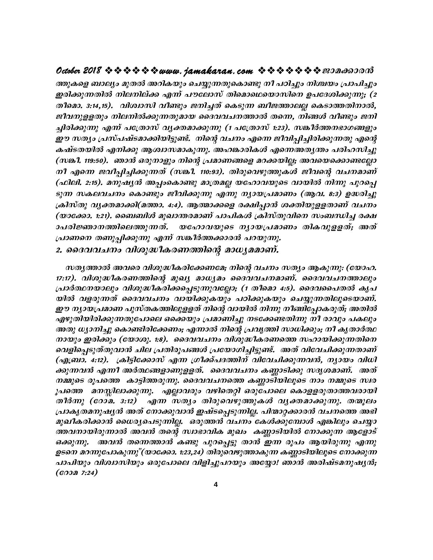ത്തുകളെ ബാല്യം മുതൽ അറികയും ചെയ്യുന്നതുകൊണ്ടു നീ പഠിച്ചും നിശ്ചയം പ്രാപിച്ചും ഇരിക്കുന്നതിൽ നിലനില്ക്ക എന്ന് പൗലോസ് തിമൊഥെയൊസിനെ ഉപദേശിക്കുന്നു; (2 തീമൊ. 3:14,15). വിശ്വാസി വീണ്ടും ജനിച്ചത് കെടുന്ന ബീജത്താലല്ല കെടാത്തതിനാൽ, ജീവനുളളതും നിലനിൽക്കുന്നതുമായ ദൈവവചനത്താൽ തന്നെ, നിങ്ങൾ വീണ്ടും ജനി ച്ചിരിക്കുന്നു എന്ന് പത്രോസ് വ്യക്തമാക്കുന്നു (1 പത്രോസ് 1:23). സങ്കീർത്തനഭാഗങ്ങളും ഈ സത്യം പ്രസ്പഷ്ടമാക്കിയിട്ടുണ്ട്. നിന്റെ വചനം എന്നെ ജീവിപ്പിച്ചിരിക്കുന്നതു എന്റെ കഷ്ടതയിൽ എനിക്കു ആശ്വാസമാകുന്നു. അഹങ്കാരികൾ എന്നെഅതൃന്തം പരിഹസിച്ചു (സങ്കീ. 119:50). ഞാൻ ഒരുനാളും നിന്റെ പ്രമാണങ്ങളെ മറക്കയില്ല; അവയെക്കൊണ്ടല്ലോ നീ എന്നെ ജവീപ്പിച്ചിക്കുന്നത് (സങ്കീ. 110:93). തിരുവെഴുത്തുകൾ ജീവന്റെ വചനമാണ് (ഫിലി. 2:15). മനുഷ്യൻ അപ്പംകൊണ്ടു മാത്രമല്ല യഹോവയുടെ വായിൽ നിന്നു പുറപ്പെ ടുന്ന സകലവചനം കൊണ്ടും ജീവിക്കുന്നു എന്നു ന്യായപ്രമാണം (ആവ. 8:3) ഉദ്ധരിച്ചു ക്രിസ്തു വൃക്തമാക്കി(മത്താ. 4:4). ആത്മാക്കളെ രക്ഷിപ്പാൻ ശക്തിയുളളതാണ് വചനം (യാക്കോ. 1:21). ബൈബിൾ മുഖാന്തരമാണ് പാപികൾ ക്രിസ്തുവിനെ സംബന്ധിച്ച രക്ഷ യഹോവയുടെ നൃായപ്രമാണം തികവുളളത്; അത് ാപരിജ്ഞാനത്തിലെത്തുന്നത്. പ്രാണനെ തണുപ്പിക്കുന്നു എന്ന് സങ്കീർത്തക്കാരൻ പറയുന്നു.

2. ദൈവവചനം വിശുദ്ധീകരണത്തിന്റെ മാധ്യമമാണ്.

സതൃത്താൽ അവരെ വിശുദ്ധീകരിക്കേണമേ; നിന്റെ വചനം സത്യം ആകുന്നു: (യോഹ. 17:17). വിശുദ്ധീകരണത്തിന്റെ മുഖ്യ മാധ്യമം ദൈവവചനമാണ്. ദൈവവചനത്താലും പ്രാർത്ഥനയാലും വിശുദ്ധീകരിക്കപ്പെടുന്നുവല്ലോ; (1 തീമൊ 4:5). ദൈവപൈതൽ കൃപ യിൽ വളരുന്നത് ദൈവവചനം വായിക്കുകയും പഠിക്കുകയും ചെയ്യുന്നതിലൂടെയാണ്. ഈ നൃായപ്രമാണ പുസ്തകത്തിലുളളത് നിന്റെ വായിൽ നിന്നു നീങ്ങിപ്പോകരുത്; അതിൽ എഴുതിയിരിക്കുന്നതുപോലെ ഒക്കെയും പ്രമാണിച്ചു നടക്കേണ്ടതിന്നു നീ രാവും പകലും അതു ധ്യാനിച്ചു കൊണ്ടിരിക്കേണം; എന്നാൽ നിന്റെ പ്രവൃത്തി സാധിക്കും; നീ കൃതാർത്ഥ നായും ഇരിക്കും (യോശു. 1:8). ദൈവവചനം വിശുദ്ധീകരണത്തെ സഹായിക്കുന്നതിനെ വെളിപ്പെടുത്തുവാൻ ചില പ്രതിരൂപങ്ങൾ പ്രയോഗിച്ചിട്ടുണ്ട്. അത് വിവേചിക്കുന്നതാണ് (എബ്രാ. 4:12). ക്രിട്ടിക്കോസ് എന്ന ഗ്രീക്ക്പദത്തിന് വിവേചിക്കുന്നവൻ, ന്യായം വിധി ക്കുന്നവൻ എന്നീ അർത്ഥങ്ങളാണുളളത്. ദൈവവചനം കണ്ണാടിക്കു സദൃശമാണ്. അത് നമ്മുടെ രൂപത്തെ കാട്ടിത്തരുന്നു. ദൈവവചനത്തെ കണ്ണാടിയിലൂടെ നാം നമ്മുടെ സ്ഥ ൂപത്തെ മനസ്സിലാക്കുന്നു. എല്ലാവരും വഴിതെറ്റി ഒരുപോലെ കൊളളരുതാത്തവരായി തീർന്നു (റോമ. 3:12) എന്ന സത്യം തിരുവെഴുത്തുകൾ വ്യക്തമാക്കുന്നു. തന്മൂലം പ്രാകൃതമനുഷ്യൻ അത് നോക്കുവാൻ ഇഷ്ടപ്പെടുന്നില്ല. പിന്മാറ്റക്കാരൻ വചനത്തെ അഭി മുഖീകരിക്കാൻ ധൈര്യപെടുന്നില്ല. ഒരുത്തൻ വചനം കേൾക്കുമ്പോൾ എങ്കിലും ചെയ്യാ ത്തവനായിരുന്നാൽ അവൻ തന്റെ സ്വാഭാവിക മുഖം കണ്ണാടിയിൽ നോക്കുന്ന ആളോട് ഒക്കുന്നു. അവൻ തന്നെത്താൻ കണ്ടു പുറപ്പെട്ടു താൻ ഇന്ന രൂപം ആയിരുന്നു എന്നു ഉടനെ മറന്നുപോകുന്നു"(യാക്കോ. 1:23,24) തിരുവെഴുത്താകുന്ന കണ്ണാടിയിലൂടെ നോക്കുന്ന പാപിയും വിശ്വാസിയും ഒരുപോലെ വിളിച്ചുപറയും അയ്യോ! ഞാൻ അരിഷ്ടമനുഷൃൻ;  $(60007:24)$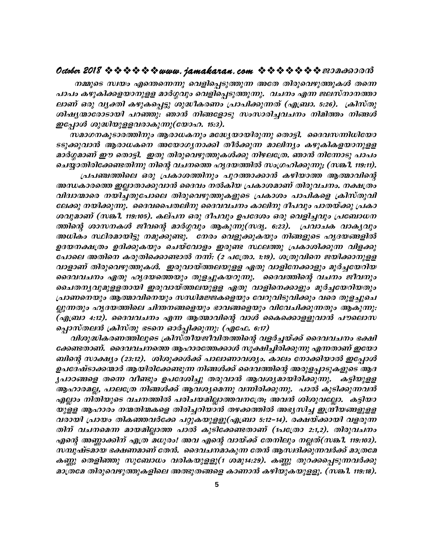നമ്മുടെ സ്ഥയം എന്തെന്നെന്നു വെളിപ്പെടുത്തുന്ന അതേ തിരുവെഴുത്തുകൾ തന്നെ പാപം കഴുകിക്കളയാനുളള മാർഗ്ഗവും വെളിപ്പെടുത്തുന്നു. വചനം എന്ന ജലസ്നാനത്താ ലാണ് ഒരു വൃക്തി കഴുകപ്പെട്ടു ശുദ്ധീകരണം പ്രാപിക്കുന്നത് (എബ്രാ. 5:26). ക്രിസ്തു ശിഷ്യന്മാരോടായി പറഞ്ഞു: ഞാൻ നിങ്ങളോടു സംസാരിച്ചവചനം നിമിത്തം നിങ്ങൾ ഇപ്പോൾ ശുദ്ധിയുളളവരാകുന്നു(യോഹ. 15:3).

സമാഗനകൂടാരത്തിനും ആരാധകനും മദ്ധ്യേയായിരുന്നു തൊട്ടി. ദൈവസന്നിധിയോ ടടുക്കുവാൻ ആരാധകനെ അയോഗൃനാക്കി തീർക്കുന്ന മാലിന്യം കഴുകികളയാനുളള മാർഗ്ഗമാണ് ഈ തൊട്ടി. ഇതു തിരുവെഴുത്തുകൾക്കു നിഴലത്രേ. ഞാൻ നിന്നോടു പാപം ചെയ്യാതിരിക്കേണ്ടതിന്നു നിന്റെ വചനത്തെ ഹൃദയത്തിൽ സംഗ്രഹിക്കുന്നു; (സങ്കീ. 119:11).

പ്രപഞ്ചത്തിലെ ഒരു പ്രകാശത്തിനും പുറത്താക്കാൻ കഴിയാത്ത ആത്മാവിന്റെ അന്ധകാരത്തെ ഇല്ലാതാക്കുവാൻ ദൈവം നൽകിയ പ്രകാശമാണ് തിരുവചനം. നക്ഷത്രം വിദ്വാന്മാരെ നയിച്ചതുപോലെ തിരുവെഴുത്തുകളുടെ പ്രകാശം പാപികളെ ക്രിസ്തുവി ലേക്കു നയിക്കുന്നു. ദൈവപൈതലിനു ദൈവവചനം കാലിനു ദീപവും പാതയ്ക്കു പ്രകാ ശവുമാണ് (സങ്കീ. 119:105). കല്പന ഒരു ദീപവും ഉപദേശം ഒരു വെളിച്ചവും പ്രബോധന ത്തിന്റെ ശാസനകൾ ജീവന്റെ മാർഗ്ഗവും ആകുന്നു(സദൃ. 6:23). പ്രവാചക വാകൃവും അധികം സ്ഥിരമായിട്ടു നമുക്കുണ്ടു. നേരം വെളുക്കുകയും നിങ്ങളുടെ ഹൃദയങ്ങളിൽ ഉദയനക്ഷത്രം ഉദിക്കുകയും ചെയ്വോളം ഇരുണ്ട സ്ഥലത്തു പ്രകാശിക്കുന്ന വിളക്കു പോലെ അതിനെ കരുതിക്കൊണ്ടാൽ നന്ന്: (2 പത്രോ. 1:19). ശത്രുവിനെ ജയിക്കാനുളള വാളാണ് തിരുവെഴുത്തുകൾ. ഇരുവായ്ത്തലയുളള ഏതു വാളിനേക്കാളും മൂർച്ചയേറിയ ദൈവവചനം ഏതു ഹൃദയത്തെയും തുളച്ചുകയറുന്നു. ദൈവത്തിന്റെ വചനം ജീവനും ചൈതനൃവുമുളളതായി ഇരുവായ്ത്തലയുളള ഏതു വാളിനെക്കാളും മൂർച്ചയേറിയതും പ്രാണനെയും ആത്മാവിനെയും സന്ധിമജ്ജകളെയും വേറുവിടുവിക്കും വരെ തുളച്ചുചെ ല്ലുന്നതും ഹൃദയത്തിലെ ചിന്തനങ്ങളെയും ഭാവങ്ങളെയും വിവേചിക്കുന്നതും ആകുന്നു: (എബ്രാ 4:12). ദൈവവചനം എന്ന ആത്മാവിന്റെ വാൾ കൈക്കൊളളുവാൻ പൗലൊസ ച്ചൊസ്തലൻ ക്രിസ്തു ഭടനെ ഓർപ്പിക്കുന്നു: (എഫേ. 6:17)

വിശുദ്ധികരണത്തിലൂടെ ക്രിസ്തീയജീവിതത്തിന്റെ വളർച്ചയ്ക്ക് ദൈവവചനം ഭക്ഷി ക്കേണ്ടതാണ്. ദൈവവചനത്തെ ആഹാരത്തേക്കാൾ സൂക്ഷിച്ചിരിക്കുന്നു എന്നതാണ് ഇയോ ബിന്റെ സാക്ഷ്യം (23:12). ശിശുക്കൾക്ക് പാലാണാവശ്യം. കാലം നോക്കിയാൽ ഇപ്പോൾ ഉപദേഷ്ടാക്കന്മാർ ആയിരിക്കേണ്ടുന്ന നിങ്ങൾക്ക് ദൈവത്തിന്റെ അരുളപ്പാടുകളുടെ ആദ ൃപാഠങ്ങളെ തന്നെ വീണ്ടും ഉപദേശിച്ചു തരുവാൻ ആവശ്യമായിരിക്കുന്നു. കട്ടിയുളള ആഹാരമല്ല, പാലത്രേ നിങ്ങൾക്ക് ആവശ്യമെന്നു വന്നിരിക്കുന്നു. പാൽ കുടിക്കുന്നവൻ എല്ലാം നിതിയുടെ വചനത്തിൽ പരിചയമില്ലാത്തവനത്രേ; അവൻ ശിശുവല്ലോ. കട്ടിയാ യുളള ആഹാരം നന്മതിന്മകളെ തിരിച്ചറിയാൻ തഴക്കത്തിൽ അഭ്യസിച്ച ഇന്ദ്രീയങ്ങളുളള വരായി പ്രായം തികഞ്ഞവർക്കേ പറ്റുകയുളളൂ(എബ്രാ 5:12–14). രക്ഷയ്ക്കായി വളരുന്ന തിന് വചനമെന്ന മായമില്ലാത്ത പാൽ കുടിക്കേണ്ടതാണ് (1പത്രോ 2:1,2). തിരുവചനം എന്റെ അണ്ണാക്കിന് എത്ര മധുരം! അവ എന്റെ വായ്ക്ക് തേനിലും നല്ലത്(സങ്കീ. 119:103). സമ്പുഷ്ടമായ ഭക്ഷണമാണ് തേൻ. ദൈവചനമാകുന്ന തേൻ ആസ്വദിക്കുന്നവർക്ക് മാത്രമേ കണ്ണു തെളിഞ്ഞു സുബോധം വരികയുളളൂ(1 ശമു14:29). കണ്ണു തുറക്കപ്പെടുന്നവർക്കു മാത്രമേ തിരുവെഴുത്തുകളിലെ അത്ഭുതങ്ങളെ കാണാൻ കഴിയുകയുളളൂ. (സങ്കീ. 119:18).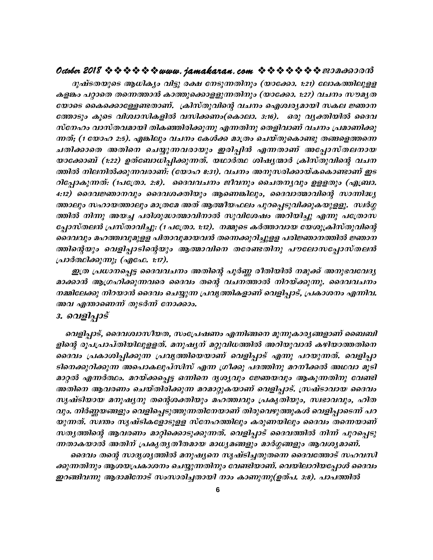ദുഷ്ടതയുടെ ആധിക്യം വിട്ടു രക്ഷ നേടുന്നതിനും (യാക്കോ. 1:21) ലോകത്തിലുളള കളങ്കം പറ്റാതെ തന്നെത്താൻ കാത്തുക്കൊളളുന്നതിനും (യാക്കോ. 1:27) വചനം സൗമൃത യോടെ കൈക്കൊള്ളേണ്ടതാണ്. ക്രിസ്തുവിന്റെ വചനം ഐശ്വര്യമായി സകല ജ്ഞാന ത്തോടും കൂടെ വിശ്വാസികളിൽ വസിക്കണം(കൊലാ. 3:16). ഒരു വൃക്തിയിൽ ദൈവ സ്നേഹം വാസ്തവമായി തികഞ്ഞിരിക്കുന്നു എന്നതിനു തെളിവാണ് വചനം പ്രമാണിക്കു ന്നത്; (1 യോഹ 2:5). എങ്കിലും വചനം കേൾക്ക മാത്രം ചെയ്തുകൊണ്ടു തങ്ങളെത്തന്നെ ചതിക്കാതെ അതിനെ ചെയ്യുന്നവരായും ഇരിപ്പിൻ എന്നതാണ് അപ്പോസ്തലനായ യാക്കോബ് (1:22) ഉത്ബോധിപ്പിക്കുന്നത്. യഥാർത്ഥ ശിഷൃന്മാർ ക്രിസ്തുവിന്റെ വചന ത്തിൽ നിലനിൽക്കുന്നവരാണ്: (യോഹ 8:31). വചനം അനുസരിക്കായ്കകൊണ്ടാണ് ഇട റിപ്പോകുന്നത്: (1പത്രോ. 2:8). ദൈവവചനം ജീവനും ചൈതനൃവും ഉളളതും (എബ്രാ. 4:12) ദൈവജ്ഞാനവും ദൈവശക്തിയും ആണെങ്കിലും, ദൈവാത്മാവിന്റെ സാന്നിദ്ധ്യ ത്താലും സഹായത്താലും മാത്രമേ അത് ആത്മീയഫലം പുറപ്പെടുവിക്കുകയുളളൂ. സ്ഥർഗ്ഗ ത്തിൽ നിന്നു അയച്ച പരിശുദ്ധാത്മാവിനാൽ സുവിശേഷം അറിയിച്ചു എന്നു പത്രോസ പ്പോസ്തലൻ പ്രസ്താവിച്ചു. (1 പത്രോ. 1:12). നമ്മുടെ കർത്താവായ യേശുക്രിസ്തുവിന്റെ ദൈവവും മഹത്ത്വവുമുളള പിതാവുമായവൻ തന്നെക്കുറിച്ചുളള പരിജ്ഞാനത്തിൽ ജ്ഞാന ത്തിന്റെയും വെളിപ്പാടിന്റെയും ആത്മാവിനെ തരേണ്ടതിനു പൗലോസപ്പോസ്തലൻ പ്രാർത്ഥിക്കുന്നു; (എഫേ. 1:17).

ഇത്ര പ്രധാനപ്പെട്ട ദൈവവചനം അതിന്റെ പൂർണ്ണ രീതിയിൽ നമുക്ക് അനുഭവവേദ്യ മാക്കാൻ ആഗ്രഹിക്കുന്നവരെ ദൈവം തന്റെ വചനത്താൽ നിറയ്ക്കുന്നു. ദൈവവചനം നമ്മിലേക്കു നിറയാൻ ദൈവം ചെയ്യുന്ന പ്രവൃത്തികളാണ് വെളിപ്പാട്, പ്രകാശനം എന്നിവ. അവ എന്താണെന്ന് തുടർന്ന് നോക്കാം.

#### 3. വെളിപ്പാട്

വെളിപ്പാട്, ദൈവശ്വാസീയത, സംപ്രേഷണം എന്നിങ്ങനെ മൂന്നുകാര്യങ്ങളാണ് ബൈബി ളിന്റെ രൂപപ്രാപ്തിയിലുളളത്. മനുഷ്യന് മറ്റുവിധത്തിൽ അറിയുവാൻ കഴിയാത്തതിനെ ദൈവം പ്രകാശിപ്പിക്കുന്ന പ്രവൃത്തിയെയാണ് വെളിപ്പാട് എന്നു പറയുന്നത്. വെളിപ്പാ ടിനെക്കുറിക്കുന്ന അപൊകലുപ്സിസ് എന്ന ഗ്രീക്കു പദത്തിനു മറനീക്കൽ അഥവാ മൂടി മാറ്റൽ എന്നർത്ഥം. മറയ്ക്കപ്പെട്ട ഒന്നിനെ ദൃശ്യവും ജ്ഞേയവും ആകുന്നതിനു വേണ്ടി അതിനെ ആവരണം ചെയ്തിരിക്കുന്ന മറമാറ്റുകയാണ് വെളിപ്പാട്. സ്രഷ്ടാവായ ദൈവം സൃഷ്ടിയായ മനുഷ്യനു തന്റെശക്തിയും മഹത്ത്വവും പ്രകൃതിയും, സ്വഭാവവും, ഹിത വും. നിർണ്ണയങ്ങളും വെളിപ്പെടുത്തുന്നതിനേയാണ് തിരുവെഴുത്തുകൾ വെളിപ്പാടെന്ന് പറ യുന്നത്. സ്ഥതം സൃഷ്ടികളോടുളള സ്നേഹത്തിലും കരുണയിലും ദൈവം തന്നെയാണ് സതൃത്തിന്റെ ആവരണം മാറ്റിക്കൊടുക്കുന്നത്. വെളിപ്പാട് ദൈവത്തിൽ നിന്ന് പുറപ്പെടു ന്നതാകയാൽ അതിന് പ്രകൃതൃതീതമായ മാധ്യമങ്ങളും മാർഗ്ഗങ്ങളും ആവശ്യമാണ്.

ദൈവം തന്റെ സാദൃശൃത്തിൽ മനുഷ്യനെ സൃഷ്ടിച്ചതുതന്നെ ദൈവത്തോട് സഹവസി ക്കുന്നതിനും ആശയപ്രകാശനം ചെയ്യുന്നതിനും വേണ്ടിയാണ്. വെയിലാറിയപ്പോൾ ദൈവം ഇറങ്ങിവന്നു ആദാമിനോട് സംസാരിച്ചതായി നാം കാണുന്നു(ഉത്പ. 3:8). പാപത്തിൽ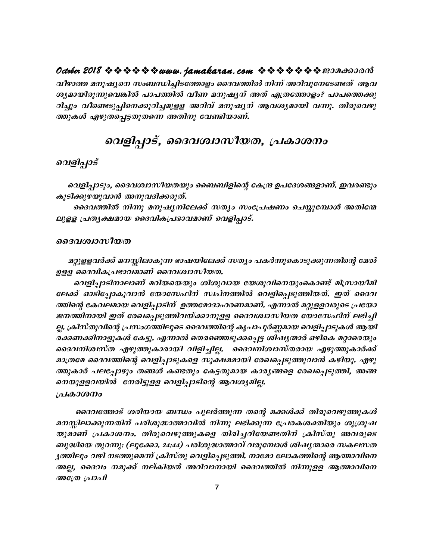വീഴാത്ത മനുഷ്യനെ സംബന്ധിച്ചിടത്തോളം ദൈവത്തിൽ നിന്ന് അറിവുനേടേണ്ടത് ആവ ശ്യമായിരുന്നുവെങ്കിൽ പാപത്തിൽ വീണ മനുഷ്യന് അത് എത്രത്തോളം? പാപത്തെക്കു റിച്ചും വീണ്ടെടുപ്പിനെക്കുറിച്ചമുളള അറിവ് മനുഷ്യന് ആവശ്യമായി വന്നു. തിരുവെഴു ത്തുകൾ എഴുതപ്പെട്ടതുതന്നെ അതിനു വേണ്ടിയാണ്.

## വെളിപ്പാട്, ദൈവശ്വാസീയത, പ്രകാശനം

#### വെളിപ്പാട്

വെളിപ്പാടും, ദൈവശ്വാസീയതയും ബൈബിളിന്റെ കേന്ദ്ര ഉപദേശങ്ങളാണ്. ഇവരണ്ടും കൂടിക്കുഴയുവാൻ അനുവദിക്കരുത്.

ദൈവത്തിൽ നിന്നു മനുഷ്യനിലേക്ക് സത്യം സംപ്രേഷണം ചെയ്യുമ്പോൾ അതിന്മേ ലുളള പ്രതൃക്ഷമായ ദൈവികപ്രഭാവമാണ് വെളിപ്പാട്.

#### ദൈവശ്വാസീയത

മറ്റുളളവർക്ക് മനസ്സിലാകുന്ന ഭാഷയിലേക്ക് സത്യം പകർന്നുകൊടുക്കുന്നതിന്റെ മേൽ ഉളള ദൈവികപ്രഭാവമാണ് ദൈവശ്വാസീയത.

വെളിപ്പാടിനാലാണ് മറിയയെയും ശിശുവായ യേശുവിനെയുംകൊണ്ട് മിസ്രായീമി ലേക്ക് ഓടിപ്പോകുവാൻ യോസേഫിന് സ്ഥ്നത്തിൽ വെളിപ്പെടുത്തിയത്. ഇത് ദൈവ ത്തിന്റെ കേവലമായ വെളിപ്പാടിന് ഉത്തമോദാഹരണമാണ്. എന്നാൽ മറ്റുളളവരുടെ പ്രയോ ജനത്തിനായി ഇത് രേഖപ്പെടുത്തിവയ്ക്കാനുളള ദൈവശ്വാസീയത യോസേഫിന് ലഭിച്ചി ല്ല. ക്രിസ്തുവിന്റെ പ്രസംഗത്തിലൂടെ ദൈവത്തിന്റെ കൃപാപൂർണ്ണമായ വെളിപ്പാടുകൾ ആയി രക്കണക്കിനാളുകൾ കേട്ടു. എന്നാൽ തെരഞ്ഞെടുക്കപ്പെട്ട ശിഷൃന്മാർ ഒഴികെ മറ്റാരെയും ദൈവനിശ്വസ്ത എഴുത്തുകാരായി വിളിച്ചില്ല. ദൈവനിശ്വാസ്തരായ എഴുത്തുകാർക്ക് മാത്രമേ ദൈവത്തിന്റെ വെളിപ്പാടുകളെ സൂക്ഷമമായി രേഖപ്പെടുത്തുവാൻ കഴിയൂ. എഴു ത്തുകാർ പലപ്പോഴും തങ്ങൾ കണ്ടതും കേട്ടതുമായ കാര്യങ്ങളെ രേഖപ്പെടുത്തി, അങ്ങ നെയുളളവയിൽ നേരിട്ടുളള വെളിപ്പാടിന്റെ ആവശ്യമില്ല.

#### പ്രകാശനം

ദൈവത്തോട് ശരിയായ ബന്ധം പുലർത്തുന്ന തന്റെ മക്കൾക്ക് തിരുവെഴുത്തുകൾ മനസ്സിലാക്കുന്നതിന് പരിശുദ്ധാത്മാവിൽ നിന്നു ലഭിക്കുന്ന പ്രേരകശക്തിയും ശൂശ്രൂഷ യുമാണ് പ്രകാശനം. തിരുവെഴുത്തുകളെ തിരിച്ചറിയേണ്ടതിന് ക്രിസ്തു അവരുടെ ബുദ്ധിയെ തുറന്നു: (ലൂക്കോ. 24:44) പരിശുദ്ധാത്മാവ് വരുമ്പോൾ ശിഷൃതാരെ സകലസത ൃത്തിലും വഴി നടത്തുമെന്ന് ക്രിസ്തു വെളിപ്പെടുത്തി. നാമോ ലോകത്തിന്റെ ആത്മാവിനെ അല്ല, ദൈവം നമുക്ക് നല്കിയത് അറിവാനായി ദൈവത്തിൽ നിന്നുളള ആത്മാവിനെ അത്രേ പ്രാപി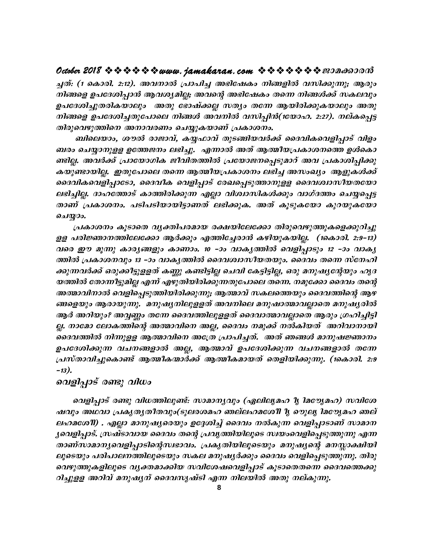### **October 2018 ななななななwww.jamakaran.com ななななななき** 2018 なの

*¨ -X*v: **(1 sImcn. 2:12)**. *Ah-\m {]m]n¨ A`n-tjIw \n§-fn hkn-¡p-¶p; Bcpw*  $\bm{n}$ ിങ്ങളെ ഉപദേശിപ്പാൻ ആവശ്യമില്ല; അവന്റെ അഭിഷേകം തന്നെ നിങ്ങൾക്ക് സകലവും ഉപദേശിച്ചുതരികയാലും അതു ഭോഷ്ക്കല്ല സത്യം തന്നേ ആയിരിക്കുകയാലും അതു ച്ചത്: (1 കൊരി. 2:12). അവനാൽ പ്രാപിച്ച അഭിഷേകം നിങ്ങളിൽ വസിക്കുന്നു; ആരും<br>നിങ്ങളെ ഉപദേശിപ്പാൻ ആവശ്യമില്ല; അവന്റെ അഭിഷേകം തന്നെ നിങ്ങൾക്ക് സകലവും<br>ഉപദേശിച്ചുതരികയാലും അതു ഭോഷ്ക്കല്ല സത്യം തന്നേ ആയിരിക്കുകയാലും അതു<br>നിങ്ങളെ തിരുവെഴുത്തിനെ അനാവരണം ചെയ്യുകയാണ് പ്രകാശനം.

ബിലെയാം, ശൗൽ രാജാവ്, കയ്യഫാവ് തുടങ്ങിയവർക്ക് ദൈവികവെളിപ്പാട് വിളം ബരം ചെയ്യാനുളള ഉത്തേജനം ലഭിച്ചു. എന്നാൽ അത് ആത്മീയപ്രകാശനത്തെ ഉൾകൊ നിങ്ങളെ ഉപദേശിച്ചതുപോലെ നിങ്ങൾ അവനിൽ വസിപ്പിൻ(1യോഹ. 2:27). നല്കപ്പെട്ട<br>തിരുവെഴുത്തിനെ അനാവരണം ചെയ്യുകയാണ് പ്രകാശനം.<br>ബിലെയാം, ശൗൽ രാജാവ്, കയ്യഫാവ് തുടങ്ങിയവർക്ക് ദൈവികവെളിപ്പാട് വിളം<br>ബരം ചെയ്യാനുളള ഉത്തേജനം ലഭിച്ചു. എന്നാൽ കയുണ്ടായില്ല. ഇതുപോലെ തന്നെ ആത്മീയപ്രകാശനം ലഭിച്ച അസംഖ്യം ആളുകൾക്ക് ബിലെയാം, ശൗൽ രാജാവ്, കയ്യഫാവ് തുടങ്ങിയവർക്ക് ദൈവികവെളിപ്പാട് വിളം<br>ബരം ചെയ്യാനുളള ഉത്തേജനം ലഭിച്ചു. എന്നാൽ അത് ആത്മീയപ്രകാശനത്തെ ഉൾകൊ<br>ണ്ടില്ല. അവർക്ക് പ്രായോഗിക ജീവിതത്തിൽ പ്രയോജനപ്പെടുമാറ് അവ പ്രകാശിപ്പിക്കു<br>കയുണ്ടായില്ല ബരം ചെയ്യാനുളള ഉത്തേജനം ലഭിച്ചു. എന്നാൽ അത് ആത്മീയപ്രകാശനത്തെ ഉൾകൊ<br>ണ്ടില്ല. അവർക്ക് പ്രായോഗിക ജീവിതത്തിൽ പ്രയോജനപ്പെടുമാറ് അവ പ്രകാശിപ്പിക്കു<br>കയുണ്ടായില്ല. ഇതുപോലെ തന്നെ ആത്മീയപ്രകാശനം ലഭിച്ച അസംഖ്യം ആളുകൾക്ക്<br>ദൈവികവെളി ണ്ടില്ല. അവർക്ക് പ്രായോഗിക ജീവിതത്തിൽ പ്രയോജനപ്പെടുമാറ് അവ പ്രകാശിപ്പിക്കു<br>കയുണ്ടായില്ല. ഇതുപോലെ തന്നെ ആത്മീയപ്രകാശനം ലഭിച്ച അസംഖ്യം ആളുകൾക്ക്<br>ദൈവികവെളിപ്പാടോ, ദൈവീക വെളിപ്പാട് രേഖപ്പെടുത്താനുളള ദൈവശ്വാസീയതയോ<br>ലഭിച്ചില്ല. வெலு?.. ലഭിച്ചില്ല. ദാഹത്തോട് കാത്തിരിക്കുന്ന എല്ലാ വിശ്വാസികൾക്കും വാഗ്ദത്തം ചെയ്യപ്പെട്ട<br>താണ് പ്രകാശനം. പടിപടിയായിട്ടാണത് ലഭിക്കുക. അത് കൂടുകയോ കുറയുകയോ<br>ചെയ്യാം.<br>ഉള പരിജ്ഞാനത്തിലേക്കോ ആർക്കും എത്തിച്ചേരാൻ കഴിയുകയില്ല. (1കൊരി. 2

ലഭിച്ചില്ല. ദാഹത്തോട് കാത്തിരിക്കുന്ന എല്ലാ വിശ്വാസികൾക്കും വാഗ്ദത്തം ചെയ്യപ്പെ<del>ട്ട</del><br>താണ് പ്രകാശനം. പടിപടിയായിട്ടാണത് ലഭിക്കുക. അത് കൂടുകയോ കുറയുകയോ<br>ചെയ്യാം.<br>ഉള പരിജ്ഞാനത്തിലേക്കോ ആർക്കും എത്തിച്ചോൻ കഴിയുകയില്ല. (1കൊരി. 2 വരെ ഈ മൂന്നു കാര്യങ്ങളും കാണാം. 10 -ാം വാക്യത്തിൽ വെളിപ്പാടും 12 -ാം വാക്യ ്പകാശനം കൂടാതെ വ്യ*ക്തിപരമായ ര*ക്ഷയിലേക്കോ തിരുവെഴുത്തുകളെക്കുറിച്ചു<br>ളള പരിജ്ഞാനത്തിലേക്കോ ആർക്കും എത്തിച്ചേരാൻ കഴിയുകയില്ല. (1കൊരി. 2:9-13)<br>വരെ ഈ മൂന്നു കാര്യങ്ങളും കാണാം. 10 -ാം വാക്യത്തിൽ വെളിപ്പാടും 12 -ാം വാക്യ<br>ത്തി യത്തിൽ തോന്നീട്ടുമില്ല എന്ന് എഴുതിയിരിക്കുന്നതുപോലെ തന്നെ. നമുക്കോ ദൈവം തന്റെ അത്മാവിനാൽ വെളിപ്പെടുത്തിയിരിക്കുന്നു; ആത്മാവ് സകലത്തെയും ദൈവത്തിന്റെ ആഴ  $\widehat{s}$ ങ്ങളെയും ആരായുന്നു. മനുഷ്യനിലുളളത് അവനിലെ മനുഷാത്മാവല്ലാതെ മനുഷ്യരിൽ ആർ അറിയും? അവ്വണ്ണം തന്നേ ദൈവത്തിലുളളത് ദൈവാത്മാവല്ലാതെ ആരും ഗ്രഹിച്ചിട്ടി ല്ല. നാമോ ലോകത്തിന്റെ അത്മാവിനെ അല്ല, ദൈവം നമുക്ക് നൽകിയത് അറിവാനായി അത്മാവിനാൽ വെളിപ്പെടുത്തിയിരിക്കുന്നു; ആത്മാവ് സകലത്തെയും ദൈവത്തിന്റെ ആഴ<br>ങ്ങളെയും ആരായുന്നു. മനുഷ്യനിലുളളത് അവനിലെ മനുഷാത്മാവല്ലാതെ മനുഷ്യരിൽ<br>ആർ അറിയും? അവ്വണ്ണം തന്നേ ദൈവത്തിലുളളത് ദൈവാത്മാവല്ലാതെ ആരും ഗ്രഹിച്ചിട്ടി<br>ല്ല ങ്ങളെയും ആരായുന്നു. മനുഷ്യനിലുളളത് അവനിലെ മനുഷാത്മാവല്ലാതെ മനുഷ്യരിൽ<br>ആർ അറിയും? അവ്വണ്ണം തന്നേ ദൈവത്തിലുളളത് ദൈവാത്മാവല്ലാതെ ആരും ഗ്രഹിച്ചിട്ടി<br>ല്ല. നാമോ ലോകത്തിന്റെ അത്മാവിനെ അല്ല, ദൈവം നമുക്ക് നൽകിയത് അറിവാനായി<br>ദൈവത്ത *{]kvXm-hn-¨p-sImv Bßo-I-·mÀ¡v Bßo-I-am-bXv sXfn-bn-¡p-¶p*. **(1sIm-cn. 2:9 þ13)**.

#### വെളിപ്പാട് രണ്ടു വിധ<u>ാ</u>

പെളിപ്പാട് രണ്ടു വിധത്തിലുണ്ട്. സാമാന്യവും (ഏലില്യമഹ ീൃ ിമൗൃേമഹ) സവിശേ ഷവും അഥവാ പ്രകൃത്യതീതവും(ടുലരശമഹ ഞല്ലഹമശേീി  $\bm{\eta}$  ഴുല്യ ിമൗേൃമഹ ഞല് ലഹമശേ11) . എല്ലാ മാനുഷ്യരെയും ഉദ്ദേശിച്ച് ദൈവം നൽകുന്ന വെളിപ്പാടാണ് സാമാന  $\,$ ൃവെളിപ്പാട്. (സഷ്ടാവായ ദൈവം തന്റെ പ്രവൃത്തിയിലൂടെ സ്വയംവെളിപ്പെടുത്തുന്നു എന്ന താണ്സാമാനൃവെളിപ്പാടിന്റെസ്വഭാവം. പ്രകൃതിയിലൂടെയും മനുഷ്യന്റെ മനസ്സാക്ഷിയി ഷവും അഥവാ പ്രകൃതൃതീതവും(ടുലരശമഹ ഞല്ലഹമശേീി ൂ ഴെുലു ിമര്യേമഹ ഞല്<br>ലഹമശേീ) . എല്ലാ മാനുഷ്യരെയും ഉദ്ദേശിച്ച് ദൈവം നൽകുന്ന വെളിപ്പാടാണ് സാമാന<br>ൃവെളിപ്പാട്. സ്രഷ്ടാവായ ദൈവം തന്റെ പ്രവൃത്തിയിലൂടെ സ്വയംവെളിപ്പെടുത്തുന്നു എന്ന<br>താണ് ലഹമശേ11) . എല്ലാ മാനുഷ്യരെയും ഉദ്ദേശിച്ച് ദൈവം നൽകുന്ന വെളിപ്പാടാണ് സാമാന<br>ൃവെളിപ്പാട്. സ്രഷ്ടാവായ ദൈവം തന്റെ പ്രവൃത്തിയിലൂടെ സ്വയംവെളിപ്പെടുത്തുന്നു എന്ന<br>താണ്സാമാന്യവെളിപ്പാടിന്റെസ്വഭാവം. പ്രകൃതിയിലൂടെയും മനുഷ്യന്റെ മനസ്സ റിച്ചുളള അറിവ് മനുഷ്യന് ദൈവസൃഷ്ടി എന്ന നിലയിൽ അതു നല്കുന്നു.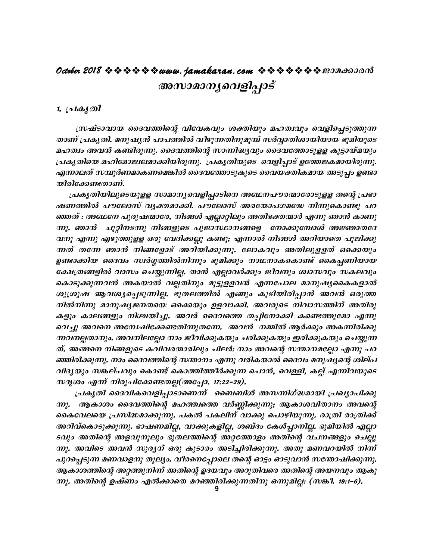# **October 2018 www.jamakaran.com Pma¡mc³ Akmam -\-y-sh-fn-¸mSv**

#### 1. *(പകൃതി*

(അസാമാനൃവെളിപ്പാട്<br>പ്രകൃതി<br>ത്രഷ്ടാവായ ദൈവത്തിന്റെ വിവേകവും ശക്തിയും മഹത്വവും വെളിപ്പെടുത്തുന്ന<br>താണ് പ്രകൃതി. മനുഷൃൻ പാപത്തിൽ വീഴുന്നതിനുമുമ്പ് സർവ്വാതിശായിയായ ഭൂമിയുടെ<br>മഹത്വം അവൻ കണ്ടിരുന്നു. ദൈവത്തിന്റെ സാന്നിദ്ധ്യവും ദൈ 7. <sub>(</sub>പകൃതി<br>സഷ്ടാവായ ദൈവത്തിന്റെ വിവേകവും ശക്തിയും മഹത്വവും വെളിപ്പെടുത്തുന്ന<br>താണ് പ്രകൃതി. മനുഷൃൻ പാപത്തിൽ വീഴുന്നതിനുമുമ്പ് സർവ്വാതിശായിയായ ഭൂമിയുടെ<br>മഹത്വം അവൻ കണ്ടിരുന്നു. ദൈവത്തിന്റെ സാന്നിദ്ധ്യവും ദൈവത്തോടുളള കൂട്ടായ മഹത്വം അവൻ കണ്ടിരുന്നു. ദൈവത്തിന്റെ സാന്നിദ്ധ്യവും ദൈവത്തോടുളള കൂട്ടായ്മയും  $_{l}$ പകൃതിയെ മഹിമോജ്വലമാക്കിയിരുന്നു. പ്രകൃതിയുടെ വെളിപ്പാട് ഉത്തേജകമായിരുന്നു. എന്നാലത് സമ്പൂർണമാകണമെങ്കിൽ ദൈവത്തോടുകൂടെ വൈയക്തികമായ അടുപ്പം ഉണ്ടാ താണ് പ്രകൃതി. മനുഷൃൻ പാം<br>മഹത്വം അവൻ കണ്ടിരുന്നു. ക<br>പ്രകൃതിയെ മഹിമോജ്വലമാക്ക്<br>എന്നാലത് സമ്പൂർണമാകണമെ<br>യിരിക്കേണ്ടതാണ്.<br>പണത്തിൽ പൗലോസ് വൃക്ര<br>ഷണത്തിൽ പൗലോസ് വൃക്ര

പ്രകൃതിയിലൂടെയുളള സാമാനൃവെളിപ്പാടിനെ അഥേനപൗരന്മാരോടുളള തന്റെ പ്രഭാ പ്രകൃതിയെ മഹിമോജ്വലമാക്കിയിരുന്നു. പ്രകൃതിയുടെ വെളിപ്പാട് ഉത്തേജകമായിരുന്നു.<br>എന്നാലത് സമ്പൂർണമാകണമെങ്കിൽ ദൈവത്തോടുകൂടെ വൈയക്തികമായ അടുപ്പം ഉണ്ടാ<br>യിരിക്കേണ്ടതാണ്.<br>പകൃതിയിലൂടെയുളള സാമാനൃവെളിപ്പാടിനെ അഥേനപൗരന്മാരോടുളള തന്റ ªXv : *AtYt\ ]pcp-j-·mtc, \n§Ä FÃm-änepw AXn-`-à -·mÀ F¶p Rm³ ImWp- ന്നു. ഞാൻ ചൂറ്റിനടന്നു നിങ്ങളുടെ പൂജാസ്ഥാനങ്ങളെ നോക്കുമ്പോൾ അജ്ഞാതദേ* വനു എന്നു എഴുത്തുളള ഒരു വേദിക്കല്ലു കണ്ടു; എന്നാൽ നിങ്ങൾ അറിയാതെ പൂജിക്കു ഷണത്തിൽ പൗലോസ് വ്യക്തമാക്കി. പൗലോസ് അരയോപഗമദ്ധേ നിന്നുകൊണ്ടു പറ<br>ഞ്ഞത് : അഥേനേ പുരുഷന്മാരേ, നിങ്ങൾ എല്ലാറ്റിലും അതിഭക്തന്മാർ എന്നു ഞാൻ കാണു<br>ന്നു. ഞാൻ - ചുറ്റിനടന്നു നിങ്ങളുടെ പൂജാസ്ഥാനങ്ങളെ - നോക്കുമ്പോൾ അജ്ഞാതദേ<br>വനു എന്നു ഞ്ഞത് : അഥേനേ പുരുഷന്മാരേ, നിങ്ങൾ എല്ലാറ്റിലും അതിഭക്തന്മാർ എന്നു ഞാൻ കാണു<br>ന്നു. ഞാൻ - ചുറ്റിനടന്നു നിങ്ങളുടെ പൂജാസ്ഥാനങ്ങളെ - നോക്കുമ്പോൾ അജ്ഞാതദേ<br>വനു എന്നു എഴുത്തുളള ഒരു വേദിക്കല്ലു കണ്ടു; എന്നാൽ നിങ്ങൾ അറിയാതെ പൂജിക്കു cക്ഷത്രങ്ങളിൽ വാസം ചെയ്യുന്നില്ല. താൻ എല്ലാവർക്കും ജീവനും ശ്വാസവും സകലവും വനു എന്നു എഴുത്തുളള ഒരു വേദിക്കല്ലു കണ്ടു; എന്നാൽ നിങ്ങൾ അറിയാതെ പൂജിക്കു<br>ന്നത് തന്നേ ഞാൻ നിങ്ങളോട് അറിയിക്കുന്നു. ലോകവും അതിലുളളത് ഒക്കെയും<br>ഉണ്ടാക്കിയ ദൈവം സ്ഥർഗ്ഗത്തിൽനിന്നും ഭൂമിക്കും നാഥനാകകൊണ്ട് കൈപ്പണിയായ ന്നത് തന്നേ ഞാൻ നിങ്ങളോട് അറിയിക്കുന്നു. ലോകവും അതിലുളളത് ഒക്കെയും<br>ഉണ്ടാക്കിയ ദൈവം സ്വർഗ്ഗത്തിൽനിന്നും ഭൂമിക്കും നാഥനാകകൊണ്ട് കൈപ്പണിയായ<br>ക്ഷേത്രങ്ങളിൽ വാസം ചെയ്യുന്നില്ല. താൻ എല്ലാവർക്കും ജീവനും ശ്വാസവും സകലവും<br>കൊടുക്കുന് *നിൽനിന്നു മാനുഷ്യജനതയെ ഒക്കെയും ഉളവാക്കി. അവരുടെ നിവാസത്തിന് അതിരു* കളും കാലങ്ങളും നിശ്ചയിച്ചു. അവർ ദൈവത്തെ തപ്പിനോക്കി കണ്ടെത്തുമോ എന്നു കൊടുക്കുന്നവൻ അകയാൽ വല്ലതിനും മുട്ടുളളവൻ എന്നപോല മാനുഷ്യകൈകളാൽ<br>ശുശ്രൂഷ ആവശ്യപ്പെടുന്നില്ല. ഭൂതലത്തിൽ എങ്ങും കുടിയിരിപ്പാൻ അവൻ ഒരുത്ത<br>നിൽനിന്നു മാനുഷ്യജനതയെ ഒക്കെയും ഉളവാക്കി. അവരുടെ നിവാസത്തിന് അതിരു<br>കളും കാലങ്ങളും നിശ്ചയ  $m$ വനല്ലതാനും. അവനിലല്ലോ നാം ജീവിക്കുകയും ചരിക്കുകയും ഇരിക്കുകയും ചെയ്യുന്ന ത്. അങ്ങനെ നിങ്ങളുടെ കവിവരന്മാരിലും ചിലർ: നാം അവന്റെ സന്താനമല്ലോ എന്നു പറ  $\bm{s}$ ഞിരിക്കുന്നു. നാം ദൈവത്തിന്റെ സന്താനം എന്നു വരികയാൽ ദൈവം മനുഷ്യന്റെ ശില്പ  $n$ *h3ൃയും സങ്കല്പവും കൊണ്ട് കൊത്തിത്തീർക്കുന്ന പൊൻ, വെള്ളി, കല്ല് എന്നിവയുടെ* ന്നവനല്ലതാനും. അവനിലല്ലോ നാം ജീവിക്കുകയും ചരിക്കുകയും ഇരിക്കുകയും ചെയ്യുന്ന<br>ത്. അങ്ങനെ നിങ്ങളുടെ കവിവരന്മാരിലും ചിലർ: നാം അവന്റെ സന്താനമല്ലോ എന്നു പറ<br>ഞ്ഞിരിക്കുന്നു. നാം ദൈവത്തിന്റെ സന്താനം എന്നു വരികയാൽ ദൈവം മനുഷ്യന്റെ ശ

ന്നു. ആകാശം ദൈവത്തിന്റെ മഹത്ത്വത്തെ വർണ്ണിക്കുന്നു; ആകാശവിതാനം അവന്റെ കൈവേലയെ പ്രസിദ്ധമാക്കുന്നു. പകൽ പകലിന് വാക്കു പൊഴിയുന്നു. രാത്രി രാത്രിക്ക് അറിവ്കൊടുക്കുന്നു. ഭാഷണമില്ല, വാക്കുകളില്ല, ശബ്ദം കേൾപ്പാനില്ല. ഭൂമിയിൽ എല്ലാ *Sവും അതിന്റെ അളവുനൂലും ഭൂതലത്തിന്റെ അറ്റത്തോളം അതിന്റെ വചനങ്ങളും ചെല്ലു*  $m$ ു. അവിടെ അവൻ സൂര്യന് ഒരു കൂടാരം അടിച്ചിരിക്കുന്നു. അതു മണവറയിൽ നിന്ന് പുറപ്പെടുന്ന മണവാളനു തുല്യം. വീരനെപ്പോലെ തന്റെ ഓട്ടം ഓടുവാൻ സന്തോഷിക്കുന്നു. ആകാശത്തിന്റെ അറ്റത്തുനിന്ന് അതിന്റെ ഉദയവും അറുതിവരെ അതിന്റെ അയനവും ആകു  $m$ ു. അതിന്റെ ഉഷ്ണം ഏൽക്കാതെ മറഞ്ഞിരിക്കുന്നതിനു ഒന്നുമില്ല<del>.</del> (സങ്കീ. 19:1–6).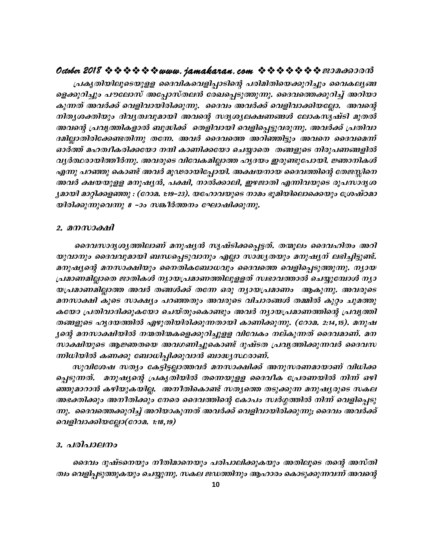പ്രകൃതിയിലൂടെയുളള ദൈവികവെളിപ്പാടിന്റെ പരിമിതിയെക്കുറിച്ചും വൈകലൃങ്ങ ളെക്കുറിച്ചും പൗലോസ് അപ്പോസ്തലൻ രേഖപ്പെടുത്തുന്നു. ദൈവത്തെക്കുറിച്ച് അറിയാ കുന്നത് അവർക്ക് വെളിവായിരിക്കുന്നു. ദൈവം അവർക്ക് വെളിവാക്കിയല്ലോ. അവന്റെ നിതൃശക്തിയും ദിവൃത്വവുമായി അവന്റെ സദൃശ്യലക്ഷണങ്ങൾ ലോകസൃഷ്ടി മുതൽ അവന്റെ പ്രവൃത്തികളാൽ ബുദ്ധിക്ക് തെളിവായി വെളിപ്പെട്ടുവരുന്നു. അവർക്ക് പ്രതിവാ ദമില്ലാതിരിക്കേണ്ടതിന്നു തന്നേ. അവർ ദൈവത്തെ അറിഞ്ഞിട്ടും അവനെ ദൈവമെന്ന് ഓർത്ത് മഹത്വീകരിക്കയോ നന്ദി കാണിക്കയോ ചെയ്യാതെ തങ്ങളുടെ നിരുപണങ്ങളിൽ വൃർത്ഥരായിത്തീർന്നു. അവരുടെ വിവേകമില്ലാത്ത ഹൃദയം ഇരുണ്ടുപോയി. ജ്ഞാനികൾ എന്നു പറഞ്ഞു കൊണ്ട് അവർ മൂഢരായിപ്പോയി. അക്ഷയനായ ദൈവത്തിന്റെ തേജസ്സിനെ അവർ ക്ഷയയുളള മനുഷ്യൻ, പക്ഷി, നാൽക്കാലി, ഇഴജാതി എന്നിവയുടെ രൂപസാദൃശ ൃമായി മാറ്റിക്കളഞ്ഞു : (റോമ. 1:19–23). യഹോവയുടെ നാമം ഭൂമിയിലൊക്കെയും ശ്രേഷ്ഠമാ യിരിക്കുന്നുവെന്നു 8 –ാം സങ്കീർത്തനം ഘോഷിക്കുന്നു.

#### 2. മനസാക്ഷി

ദൈവസാദൃശൃത്തിലാണ് മനുഷൃൻ സൃഷ്ടിക്കപ്പെട്ടത്. തന്മൂലം ദൈവഹിതം അറി യുവാനും ദൈവവുമായി ബന്ധപ്പെടുവാനും എല്ലാ സാദ്ധ്യതയും മനുഷ്യന് ലഭിച്ചിട്ടുണ്ട്. മനുഷ്യന്റെ മനസാക്ഷിയും നൈതികബോധവും ദൈവത്തെ വെളിപ്പെടുത്തുന്നു. ന്യായ പ്രമാണമില്ലാതെ ജാതികൾ ന്യായപ്രമാണത്തിലുളളത് സ്വഭാവത്താൽ ചെയ്യുമ്പോൾ ന്യാ യപ്രമാണമില്ലാത്ത അവർ തങ്ങൾക്ക് തന്നേ ഒരു ന്യായപ്രമാണം ആകുന്നു. അവരുടെ മനസാക്ഷി കൂടെ സാക്ഷ്യം പറഞ്ഞതും അവരുടെ വിചാരങ്ങൾ തമ്മിൽ കുറ്റം ചുമത്തു കയോ പ്രതിവാദിക്കുകയോ ചെയ്തുംകൊണ്ടും അവർ ന്യായപ്രമാണത്തിന്റെ പ്രവൃത്തി തങ്ങളുടെ ഹൃദയത്തിൽ എഴുതിയിരിക്കുന്നതായി കാണിക്കുന്നു. (റോമ. 2:14,15). മനുഷ ൃന്റെ മനസാക്ഷിയിൽ നന്മതിന്മകളെക്കുറിച്ചുളള വിവേകം നല്കുന്നത് ദൈവമാണ്. മന സാക്ഷിയുടെ ആജ്ഞതയെ അവഗണിച്ചുകൊണ്ട് ദുഷ്ടത പ്രവൃത്തിക്കുന്നവർ ദൈവസ ന്നിധിയിൽ കണക്കു ബോധിപ്പിക്കുവാൻ ബാദ്ധ്യസ്ഥരാണ്.

സുവിശേഷ സത്യം കേട്ടിട്ടല്ലാത്തവർ മനസാക്ഷിക്ക് അനുസരണമായാണ് വിധിക്ക പ്പെടുന്നത്. മനുഷ്യന്റെ പ്രകൃതിയിൽ തന്നെയുളള ദൈവീക പ്രേരണയിൽ നിന്ന് ഒഴി ഞ്ഞുമാറാൻ കഴിയുകയില്ല. അനീതികൊണ്ട് സതൃത്തെ തടുക്കുന്ന മനുഷൃരുടെ സകല അഭക്തിക്കും അനീതിക്കും നേരെ ദൈവത്തിന്റെ കോപം സ്ഥർഗ്ഗത്തിൽ നിന്ന് വെളിപ്പെടു ന്നു. ദൈവത്തെക്കുറിച്ച് അറിയാകുന്നത് അവർക്ക് വെളിവായിരിക്കുന്നു; ദൈവം അവർക്ക് വെളിവാക്കിയല്ലോ(റോമ. 1:18,19)

#### 3. പരിപാലനം

ദൈവം ദുഷ്ടനെയും നീതിമാനെയും പരിപാലിക്കുകയും അതിലൂടെ തന്റെ അസ്തി ത്വം വെളിപ്പടുത്തുകയും ചെയ്യുന്നു. സകല ജഡത്തിനും ആഹാരം കൊടുക്കുന്നവന്ന് അവന്റെ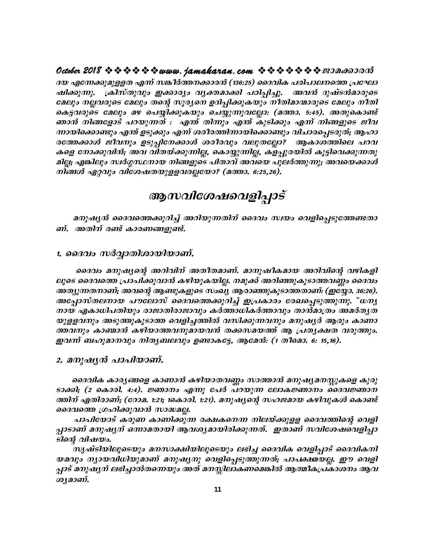**October 2018 ななななななwww.jamakaran.com ななななななき** 2018 なの

<u>ദയ എന്നേക്കുമുള്ളത എന്ന് സങ്കീർത്തനക്കാരൻ (136:25) ദൈവിക പരിപാലനത്തെ പ്രഘോ</u> jn-¡p-¶p. {InkvXphpw C¡m-cyw hy-à -am¡n ]Tn-¸n-¨p. *Ah³ ZpjvS³am-cpsS taepw \Ã-h-cpsS taepw Xsâ kqc-y-s\ DZn-¸n-¡p-Ibpw \oXn-am-·m-cpsS taepw \oXn* കെട്ടവരുടെ മേലും മഴ പെയ്യിക്കുകയും ചെയ്യുന്നുവല്ലോ: (മത്താ. 5:45). അതുകൊണ്ട് ദയ എന്നേക്കുമുളളത എന്ന് സങ്കീര്ത്തനക്കാരൻ (136:25) ദൈവിക പരിപാലനത്തെ പ്രഘോ<br>ഷിക്കുന്നു. ക്രിസ്തുവും ഇക്കാര്യം വ്യക്തമാക്കി പഠിപ്പിച്ചു. അവൻ ദുഷ്ടൻമാരുടെ<br>മേലും നല്ലവരുടെ മേലും തന്റെ സുര്യനെ ഉദിപ്പിക്കുകയും നീതിമാ  $m$ ായിക്കൊണ്ടും എന്ത് ഉടുക്കും എന്ന് ശരീരത്തിന്നായിക്കൊണ്ടും വിചാരപ്പെടരുത്; ആഹാ രത്തേക്കാൾ ജീവനും ഉടുപ്പിനേക്കാൾ ശരീരവും വലുതല്ലോ? ആകാശത്തിലെ പറവ ചേ<sub>്റ</sub>് നല്ലവരുടെ ചേ<sub>ര്</sub> രാഗ്യ രൂരുനെ ഉറപ്പിക്കുകയും നാവാരമാരുടെ ചേരും നാറ്റ്<br>കെട്ടവരുടെ മേലും മഴ പെയ്യിക്കുകയും ചെയ്യുന്നുവല്ലോ: (മത്താ. 5:45). അതുകൊണ്ട്<br>ഞായിക്കൊണ്ടും എന്ത് ഉടുക്കും എന്ന് ശരീരത്തിന്നായിക്കൊണ്ടും വിചാരപ് മില്ല; എങ്കിലും സ്ഥർഗ്ഗസ്ഥനായ നിങ്ങളുടെ പിതാവ് അവയെ പുലർത്തുന്നു; അവയെക്കാൾ *\n§Ä Gähpw hnti-j-X-bp-f-f-h-c-Ã-tbm?* **(a¯m. 6:25,26).**

### ആസവിശേഷവെളിപ്പാട്

മനുഷ്യൻ ദൈവത്തെക്കുറിച്ച് അറിയുന്നതിന് ദൈവം സ്വയം വെളിപ്പെടുത്തേണ്ടതാ ണ്. അതിന് രണ്ട് കാരണങ്ങളുണ്ട്.

#### 1. *ടൈവം സർവ്വാതിശായിയാണ്.*

ദൈവം മനുഷ്യന്റെ അറിവിന് അതീതമാണ്. മാനുഷീകമായ അറിവിന്റെ വഴികളി ലൂടെ ദൈവത്തെ പ്രാപിക്കുവാൻ കഴിയുകയില്ല. നമുക്ക് അറിഞ്ഞുകൂടാത്തവണ്ണം ദൈവം 1. 99/3/10 (10/313/0/1033 OTO3911).<br>ദൈവം മനുഷ്യന്റെ അറിവിന് അതീതമാണ്. മാനുഷീകമായ അറിവിന്റെ വഴികളി<br>ലൂടെ ദൈവത്തെ പ്രാപിക്കുവാൻ കഴിയുകയില്ല. നമുക്ക് അറിഞ്ഞുകൂടാത്തവണ്ണം ദൈവം<br>അപ്പോസ്തലനായ പൗലോസ് ദൈവത്തെക്കുറിച്ച് ഇപ്രകാരം രേഖ നായ ഏകാധിപതിയും രാജാതിരാജാവും കർത്താധികർത്താവും താൻമാത്രം അമർതൃത ലൂടെ ദൈവത്തെ പ്രാപിക്കുവാൻ കഴിയുകയില്ല. നമുക്ക് അറിഞ്ഞുകൂടാത്തവണ്ണം ദൈവം<br>ആത്യന്തതനാണ്; അവന്റെ ആണ്ടുകളുടെ സംഖ്യ ആരാഞ്ഞുകൂടാത്തതാണ്: (ഇയ്യോ. 36:26).<br>അപ്പോസ്തലനായ പൗലോസ് ദൈവത്തെക്കുറിച്ച് ഇപ്രകാരം രേഖപ്പെടുത്തുന്നു. "ധന്യ<br>നാ ത്തവനും കാണ്മാൻ കഴിയാത്തവനുമായവൻ തക്കസമയത്ത് ആ പ്രത്യക്ഷത വരുത്തും. കാക്യുന്നതാണ്, കാലപ്പു കൃണ<sub>്യമ</sub>ുകളുടെ സാമ്മു ആരാക്കുകൂടാക്കാണ്. (ഇട്ടേഹം അപ്പോസ്തലനായ പൗലോസ് ദൈവത്തെക്കുറിച്ച് ഇപ്രകാരം രേഖപ്പെടുത്തുന്നു.<br>നായ ഏകാധിപതിയും രാജാതിരാജാവും കർത്താധികർത്താവും താൻമാത്രം അമര<br>യുളളവനും അടുത്തുകൂടാ

ദെവിക കാരൃങ്ങളെ കാണാൻ കഴിയാതവണ്ണം സാത്താൻ മനുഷ്യമനസ്സുകളെ കുരു ടാക്കി; (2 കൊരി. 4:4). *ജ്ഞാനം എന്നു പേർ പറയുന്ന ലോകജ്ഞാനം ദൈവജ്ഞാന* ത്തിന് എതിരാണ്; (റോമ. 1:21; 1കൊരി. 1:21). മനുഷ്യന്റെ സഹജമായ കഴിവുകൾ കൊണ്ട് ദൈവത്തെ ഗ്രഹിക്കുവാൻ സാദ്ധമല്ല. ദൈവിക കാരൃങ്ങളെ കാണാൻ കഴിയാതവണ്ണം സാത്താൻ മനുഷൃമനസ്സുകളെ കുരു<br>റി; (2 കൊരി. 4:4). ജ്ഞാനം എന്നു പേർ പറയുന്ന ലോകജ്ഞാനം ദൈവജ്ഞാന<br>ന് എതിരാണ്; (റോമ. 1:21; 1കൊരി. 1:21). മനുഷൃന്റെ സഹജമായ കഴിവുകൾ കൊണ്ട്<br>പാപിയോട് കരുണ കാണിക്കുന്ന ടാക്കി; (2 കൊരി. 4:4). ജ്ഞാനം എന്നു പേർ പറയുന്ന ലോകജ്ഞാനം ദൈവജ്ഞാന<br>ത്തിന് എതിരാണ്; (റോമ. 1:21; 1കൊരി. 1:21). മനുഷ്യന്റെ സഹജമായ കഴിവുകൾ കൊണ്ട്<br>ദൈവത്തെ ഗ്രഹിക്കുവാൻ സാദ്ധമല്ല.<br>പാപിയോട് കരുണ കാണിക്കുന്ന രക്ഷകനെന്ന നിലയ്ക്കു

ടിന്റെ വിഷയം.

സൃഷ്ടിയിലൂടെയും മനസാക്ഷിയിലൂടെയും ലഭിച്ച ദൈവിക വെളിപ്പാട് ദൈവികനി കാക്ഷത്ത് ക്രവസ്കൃക്കര് രാക്ഷകനെന്ന നിലയ്ക്കുളള ദൈവത്തിന്റെ വെളി<br>പ്രാടാണ് മനുഷ്യന് ഒന്നാമതായി ആവശ്യമായിരിക്കുന്നത്. ഇതാണ് സവിശേഷവെളിപ്പാ<br>ടിന്റെ വിഷയം.<br>സൃഷ്ടിയിലൂടെയും മനസാക്ഷിയിലൂടെയും ലഭിച്ച ദൈവിക വെളിപ്പാട് ദൈവികനി<br>യമവ ച്ചാട് മനുഷ്യന് ലഭിച്ചാൽതന്നെയും അത് മനസ്സിലാകണമെങ്കിൽ ആത്മീകപ്രകാശനം ആവ ശ്യമാണ്.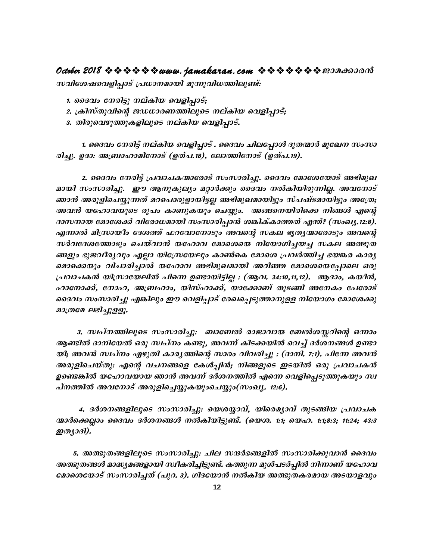#### **October 2018 www.jamakaran.com Pma¡mc³**

സവിശേഷവെളിപ്പാട് പ്രധാനമായി മൂന്നുവിധത്തിലുണ്ട്:

- 1. ദൈവം നേരിട്ടു നല്കിയ വെളിപ്പാട്;
- 2. ക്രിസ്തുവിന്റെ ജഡധാരണത്തിലൂടെ നല്കിയ വെളിപ്പാട്;
- 3. തിരുവെഴുത്തുകളിലൂടെ നല്കിയ വെളിപ്പാട്.

1. ദൈവം നേരിട്ട് നല്കിയ വെളിപ്പാട് . ദൈവം ചിലപ്പോൾ ദൂതന്മാർ മുഖേന സംസാ cn-¨p. DZm: -A{\_mlm-an-t\mSv **(DXv].18)**, tem¯n-t\mSv **(D-Xv].19).**

1. ദൈവം നേരിട്ട് നല്കിയ വെളിപ്പാട് . ദൈവം ചിലപ്പോൾ ദൂതന്മാർ മുഖേന സംസാ<br>ഉദാ: അബ്രാഹാമിനോട് (ഉത്പ.18), ലോത്തിനോട് (ഉത്പ.19).<br>2. ദൈവം നേരിട്ട് പ്രവാചകന്മാരോട് സംസാരിച്ചു. ദൈവം മോശേയോട് അഭിമുഖ<br>സംസാരിച്ചു. ഈ ആനുകൂല്യം മറ്റാർ മായി സംസാരിച്ചു. ഈ ആനുകൂല്യം മറ്റാർക്കും ദൈവം നൽകിയിരുന്നില്ല. അവനോട് രിച്ചു. ഉദാ: അബ്രാഹാമിനോട് (ഉത്പ.18), ലോത്തിനോട് (ഉത്പ.19).<br>2. ദൈവം നേരിട്ട് പ്രവാചകന്മാരോട് സംസാരിച്ചു. ദൈവം മോശേയോട് അഭിമുഖ<br>മായി സംസാരിച്ചു. ഈ ആനുകൂല്യം മറ്റാർക്കും ദൈവം നൽകിയിരുന്നില്ല. അവനോട്<br>ഞാൻ അരുളിചെയ്യുന്നത് മറപ അവൻ യഹോവയുടെ രൂപം കാണുകയും ചെയ്യും. അങ്ങനെയിരിക്കെ നിങ്ങൾ എന്റെ *2. ദൈവം നേരിട്ട് പ്രവാചകന്മാരോട് സംസാരിച്ചു. ദൈവം മോശേയോട് അഭിമുഖ*<br>മായി സംസാരിച്ചു. ഈ ആനുകൂല്യം മറ്റാർക്കും ദൈവം നൽകിയിരുന്നില്ല. അവനോട്<br>ഞാൻ അരുളിചെയ്യുന്നത് മറപൊരുളായിട്ടല്ല അഭിമുഖമായിട്ടും സ്പഷ്ടമായിട്ടും അത്രേ;<br>അവൻ ഞാൻ അരുളിചെയ്യുന്നത് മറപൊരുളായിട്ടല്ല അഭിമുഖമായിട്ടും സ്പഷ്ടമായിട്ടും അത്രേ;<br>അവൻ യഹോവയുടെ രൂപം കാണുകയും ചെയ്യും. അങ്ങനെയിരിക്കെ നിങ്ങൾ എന്റെ<br>ദാസനായ മോശേക്ക് വിരോധമായി സംസാരിപ്പാൻ ശങ്കിക്കാത്തത് എന്ത്? (സംഖ്യ,12:8).<br>എന്നാ ങ്ങളും ഭുജവീര്യവും എല്ലാ യിസ്രേയേലും കാൺകെ മോശെ പ്രവർത്തിച്ച ഭയങ്കര കാര്യ ദാസനായ മോശേക്ക് വിരോധമായി സംസാരിപ്പാൻ ശങ്കിക്കാത്തത് എന്ത്? (സംഖ്യ,12:8).<br>എന്നാൽ മിസ്രായിം ദേശത്ത് ഫറവോനോടും അവന്റെ സകല ഭൃത്യന്മാരോടും അവന്റെ<br>സർവദേശത്തോടും ചെയ്വാൻ യഹോവ മോശെയെ നിയോഗിച്ചയച്ച സകല അത്ഭുത<br>ങ്ങളും ഭൂജവീര്യവും എ *{പവാചകൻ യിസ്രായേലിൽ പിന്നെ ഉണ്ടായിട്ടില്ല : (ആവ. 34:10,11,12). ആദാം, കയീൻ,* സർവദേശത്തോടും ചെയ്വാൻ യഹോവ മോശെയെ നിയോഗിച്ചയച്ച സകല അത്ഭുത<br>ങ്ങളും ഭുജവീര്യവും എല്ലാ യിസ്രേയേലും കാൺകെ മോശെ പ്രവർത്തിച്ച ഭയങ്കര കാര്യ<br>മൊക്കെയും വിചാരിച്ചാൽ യഹോവ അഭിമുഖമായി അറിഞ്ഞ മോശെയെപ്പോലെ ഒരു<br>പ്രവാചകൻ യിസ്രായേലിൽ പിന്ന ങ്ങളും ഭുജവീരൃവും എല്ലാ യിസ്രേയേലും കാൺകെ മോശെ പ്രവർത്തിച്ച ഭയങ്കര കാര്യ<br>മൊക്കെയും വിചാരിച്ചാൽ യഹോവ അഭിമുഖമായി അറിഞ്ഞ മോശെയെപ്പോലെ ഒരു<br>പ്രവാചകൻ യിസായേലിൽ പിന്നെ ഉണ്ടായിട്ടില്ല : (ആവ. 34:10,11,12). ആദാം, കയീൻ,<br>ഹാനോക്ക്,  $D$ (nc $D$  eiel $D$ g $D$ ).

3. സ്ഥ്മത്തിലൂടെ സംസാരിച്ചു: ബാബേൽ രാജാവായ ബേൽശസ്സറിന്റെ ഒന്നാം ദൈവം സംസാരിച്ചു എങ്കിലും ഈ വെളിപ്പാട് രേഖപ്പെടുത്താനുളള നിയോഗം മോശേക്കു<br>മാത്രമേ ലഭിച്ചുളളു.<br>3. സ്വപ്നത്തിലൂടെ സംസാരിച്ചു: ബാബേൽ രാജാവായ ബേൽശസ്സറിന്റെ ഒന്നാം<br>ആണ്ടിൽ ദാനിയേൽ ഒരു സ്വപ്നം കണ്ടു, അവന്ന് കിടക്കയിൽ വെച്ച യി; അവൻ സ്ഥ്നം എഴുതി കാര്യത്തിന്റെ സാരം വിവരിച്ചു *: (ദാനി. 7:1). പിന്നേ അവ*ൻ *അരുളിചെയ്തു: എന്റെ വചനങ്ങളെ കേൾപ്പിൻ; നിങ്ങളുടെ ഇടയിൽ ഒരു പ്രവാചകൻ* 3. *സ്വപ്നത്തിലൂടെ സംസാരിച്ചു: ബാബേൽ രാജാവായ ബേൽശസ്സറിന്റെ ഒന്നാം*<br>ആണ്ടിൽ ദാനിയേൽ ഒരു സ്വപ്നം കണ്ടു, അവന്ന് കിടക്കയിൽ വെച്ച് ദർശനങ്ങൾ ഉണ്ടാ<br>യി; അവൻ സ്വപ്നം എഴുതി കാരൃത്തിന്റെ സാരം വിവരിച്ചു : (ദാനി. 7:1). പിന്നേ അവൻ<br>അരുളി ആണ്ടിൽ ദാനിയേൽ ഒരു സ്ഥ്നം കണ്ടു, അവന്ന് കിടക്കയിൽ വെച്ച് ദർശനം<br>യി; അവൻ സ്ഥ്നം എഴുതി കാര്യത്തിന്റെ സാരം വിവരിച്ചു : (ദാനി. 7:1). പിശ<br>അരുളിചെയ്തു: എന്റെ വചനങ്ങളെ കേൾപ്പിൻ; നിങ്ങളുടെ ഇടയിൽ ഒരു പ്ര<br>ഉണ്ടെങ്കിൽ യഹോവയായ ഞാൻ അവന്

4. ദർശനങ്ങളിലൂടെ സംസാരിച്ചു: യെശയ്യാവ്, യിരെമൃാവ് തുടങ്ങിയ പ്രവാചക ന്മാർക്കെല്ലാം ദൈവം ദർശനങ്ങൾ നൽകിയിട്ടുണ്ട്. (യെശ. 1:1; യെഹ. 1:1;8:3; 11:24; 43:3 പ്*നത്തിൽ അവനോട് അരു*<br>- 4. ദർശനങ്ങളിലൂടെ<br>ന്മാർക്കെല്ലാം ദൈവം ദർശ<br>ഇത്യാദി).<br>- 5. അത്ഭുതങ്ങളിലൂടെ

<u>5. അത്ഭുതങ്ങളിലൂടെ സംസാരിച്ചു. ചില സന്ദർഭങ്ങളിൽ സംസാരിക്കുവാൻ ദൈവം </u> അത്ഭുതങ്ങൾ മാദ്ധ്യമങ്ങളായി സ്ഥീകരിച്ചിട്ടുണ്ട്. കത്തുന്ന മുൾപടർപ്പിൽ നിന്നാണ് യഹോവ  $\bm{s}$ മാശെയോട് സംസാരിച്ചത് (പുറ. 3). ഗിദയോൻ നൽകിയ അത്ഭുതകരമായ അടയാളവും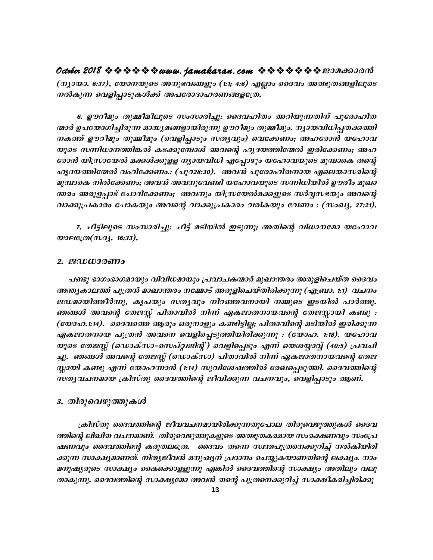**October 2018 www.jamakaran.com Pma¡mc³** (ന്യായാ. 6:37), യോനയുടെ അനുഭവങ്ങളും (1:1; 4:6) എല്ലാം ദൈവം അത്ഭുതങ്ങളിലൂടെ നൽകുന്ന വെളിപ്പാടുകൾക്ക് അപരോദാഹരണങ്ങളത്രേ.

 **6. Dudoapw Xp½o-aoeqsS kwkm-cn¨p:** ssZh-lnXw Adn-bp-¶ -Xn\v ]ptcm-ln-X- (നുായാ. 6:37), യോനയുടെ അനുഭവങ്ങളും (1:1; 4:6) എല്ലാം ദൈവം അത്ഭുതങ്ങളിലൂടെ<br>നൽകുന്ന വെളിപ്പാടുകൾക്ക് അപരോദാഹരണങ്ങളത്രേ.<br>— 6. ഊറീമും തുമ്മീമീലൂടെ സംസാരിച്ചു: ദൈവഹിതം അറിയുന്നതിന് പുരോഹിത<br>നകത്ത് ഊറീമും തുമ്മീമും (വെളിപ്പാടും 6. ഊറീമും തുമ്മീമീലൂടെ സംസാരിച്ചു. ദൈവഹിതം അറിയുന്നതിന് പുരോഹിത<br>-മാർ ഉപയോഗിച്ചിരുന്ന മാദ്ധ്യമങ്ങളായിരുന്നു ഊറീമും തുമ്മീമും. ന്യായവിധിപ്പതക്കത്തി<br>- നകത്ത് ഊറീമും തുമ്മീമും (വെളിപ്പാടും സത്യവും) വെക്കേണം; അഹരോൻ യഹോവ<br>യുടെ സ 6. ഊറീമും തുമ്മീമീലൂടെ സംസാരിച്ചു: ദൈവഹിതം അറിയുന്നതിന് പുരോഹിത<br>ന്മാർ ഉപയോഗിച്ചിരുന്ന മാദ്ധ്യമങ്ങളായിരുന്നു ഊറീമും തുമ്മീമും. ന്യായവിധിപ്പതക്കത്തി<br>നകത്ത് ഊറീമും തുമ്മീമും (വെളിപ്പാടും സത്യവും) വെക്കേണം; അഹരോൻ യഹോവ<br>യുടെ സന രോൻ യിസ്രായേൽ മക്കൾക്കുളള ന്യായവിധി എപ്പോഴും യഹോവയുടെ മുമ്പാകെ തന്റെ ന്മാർ ഉപയോഗിച്ചിരുന്ന മാദ്ധ്യമങ്ങളായിരുന്നു ഊറീമും തുമ്മീമും. ന്യായവിധിപ്പതക്കത്തി<br>നകത്ത് ഊറീമും തുമ്മീമും (വെളിപ്പാടും സത്യവും) വെക്കേണം; അഹരോൻ യഹോവ<br>യുടെ സന്നിധാനത്തിങ്കൽ കടക്കുമ്പോൾ അവന്റെ ഹൃദയത്തിന്മേൽ ഇരിക്കേണം; അഹ<br>രോ *ap¼msI \nÂt¡-Ww; Ah³ Ah-\p-thn btlm-hbp-*sS *k¶n-[n-bn Ducow apJm-* യുടെ സന്നിധാനത്തിങ്കൽ കടക്കുമ്പോൾ അവന്റെ ഹൃദയത്തിന്മേൽ ഇരിക്കേണം; അഹ<br>രോൻ യിസ്രായേൽ മക്കൾക്കുളള ന്യായവിധി എപ്പോഴും യഹോവയുടെ മുമ്പാകെ തന്റെ<br>ഹൃദയത്തിന്മേൽ വഹിക്കേണം.: (പുറ28:30). അവൻ പുരോഹിതനായ എലെയാസരിന്റെ<br>മുമ്പാകെ നിൽക്കേ രോൻ യിസ്രായേൽ മക്കൾക്കുളള ന്യായവിധി എപ്പോഴും യഹോവയുടെ മുമ്പാകെ തന്റെ<br>ഹൃദയത്തിന്മേൽ വഹിക്കേണം.: (പുറ28:30). അവൻ പുരോഹിതനായ എലെയാസരിന്റെ<br>മുമ്പാകെ നിൽക്കേണം; അവൻ അവനുവേണ്ടി യഹോവയുടെ സനിധിയിൽ ഊരീം മുഖാ<br>ന്തരം അരുളപ്പാട് ചോദിക

7. ചീട്ടിലൂടെ സംസാരിച്ചു: ചീട്ട് മടിയിൽ ഇടുന്നു; അതിന്റെ വിധാനമോ യഹോവ *<u><i><u><b>xy</u>*er<sub>(*m*)</sub>*m<sub>3</sub></sup>. <i>i*<sub>6</sub>:33).</u>

#### **2. PU-[m-cWw**

പണ്ടു ഭാഗംഭാഗമായും വിവിധമായും പ്രവാചകന്മാർ മുഖാന്തരം അരുളിചെയ്ത ദൈവം *A´-y-Im-e¯v ]p{X³ amJm-´cw \t½mSv Acp-fn-sN-bvXn-cn-¡p¶p* **(F-{\_m. 1:1)** *hN\w* 2. ജഡധാരണം<br>പണ്ടു ഭാഗംഭാഗമായും വിവിധമായും പ്രവാചകന്മാർ മുഖാന്തരം അരുളിചെയ്ത ദൈവം<br>അന്ത്യകാലത്ത് പുത്രൻ മാഖാന്തരം നമ്മോട് അരുളിചെയ്തിരിക്കുന്നു (എബ്രാ. t:1) വചനം<br>ജഡമായിത്തീർന്നു, കൃപയും സതൃവും നിറഞ്ഞവനായി നമ്മുടെ ഇടയിൽ ണങ്ങൾ അവന്റെ തേജസ്സ് പിതാവിൽ നിന്ന് ഏകജാതനായവന്റെ തേജസ്സായി കണ്ടു : (യോഹ.1:14). ദൈവത്തെ ആരും ഒരുനാളും കണ്ടിട്ടില്ല; പിതാവിന്റെ മടിയിൽ ഇരിക്കുന്ന അന്ത്യകാലത്ത് പുത്രൻ മാഖാന്തരം നമ്മോട് അരുളിചെയ്തിരിക്കുന്നു (എബ്രാ. 1:1) വചനം<br>ജഡമായിത്തീർന്നു, കൃപയും സത്യവും നിറഞ്ഞവനായി നമ്മുടെ ഇടയിൽ പാർത്തു.<br>ഞങ്ങൾ അവന്റെ തേജസ്സ് പിതാവിൽ നിന്ന് ഏകജാതനായവന്റെ തേജസ്സായി ക ജഡമായിത്തീർന്നു, കൃപയും സത്യവും നിറഞ്ഞവനായി നമ്മുടെ ഇടയിൽ പാർത്തു.<br>ഞങ്ങൾ അവന്റെ തേജസ്സ് പിതാവിൽ നിന്ന് ഏകജാതനായവന്റെ തേജസ്സായി കണ്ടു :<br>(യോഹ.1:14). ദൈവത്തെ ആരും ഒരുനാളും കണ്ടിട്ടില്ല; പിതാവിന്റെ മടിയിൽ ഇരിക്കുന്ന<br>ഏകജാതനായ ച്ചു. ഞങ്ങൾ അവന്റെ തേജസ്സ് (ഡൊക്സാ) പിതാവിൽ നിന്ന് ഏകജാതനായവന്റെ തേജ (യോഹ.1:14). ദൈവത്തെ ആരും ഒരുനാളും കണ്ടിട്ടില്ല; പിതാവിന്റെ മടിയിൽ ഇരിക്കുന്ന<br>ഏകജാതനായ പുത്രൻ അവനെ വെളിപ്പെടുത്തിയിരിക്കുന്നു : (യോഹ. 1:18). യഹോവ<br>യുടെ തേജസ്സ് (ഡൊക്സാ-സെപ്റ്റ്വജിന്റ്) വെളിപ്പെടും എന്ന് യെശയ്യാവ്വ് (40:5) പ സതൃവചനമായ ക്രിസ്തു ദൈവത്തിന്റെ ജീവിക്കുന്ന വചനവും, വെളിപ്പാടും ആണ്.

#### 3. തിരുവെഴുത്തുക*ൾ*

<sub>(</sub>കിസ്തു ദൈവത്തിന്റെ ജീവവചനമായിരിക്കുന്നതുപോല തിരുവെഴുത്തുകൾ ദൈവ ത്തിന്റെ ലിഖിത വചനമാണ്. തിരുവെഴുത്തുകളുടെ അത്ഭുതകരമായ സംരക്ഷണവും സംപ്രേ ഷണവും ദൈവത്തിന്റെ കരുതലത്രേ. ദൈവം തന്നെ സ്ഥതപുത്രനെക്കുറിച്ച് നൽകിയിരി ക്കുന്ന സാക്ഷ്യമാണത്. നിത്യജീവൻ മനുഷ്യന് പ്രദാനം ചെയ്യുകയാണതിന്റെ ലക്ഷ്യം. നാം \_*aനുഷ്യരുടെ സാക്ഷ്യം കൈക്കൊളളുന്നു എങ്കിൽ ദൈവത്തിന്റെ സാക്ഷ്യം അതിലും വലു താകുന്നു. ദൈവത്തിന്റെ സാക്ഷ്യമോ അവൻ തന്റെ പുത്രനെക്കുറിച്ച് സാക്ഷീകരിച്ചിരിക്കു*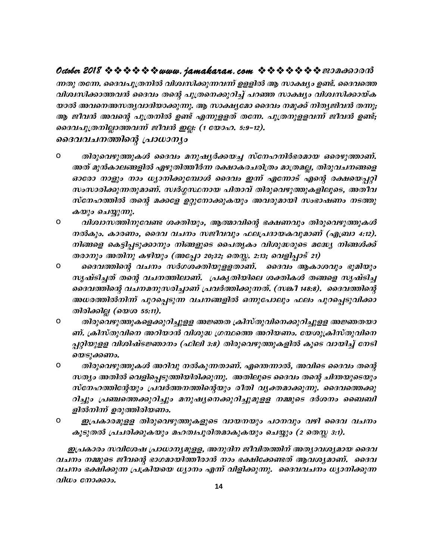ന്നതു തന്നേ. ദൈവപുത്രനിൽ വിശ്വസിക്കുന്നവന്ന് ഉളളിൽ ആ സാക്ഷ്യം ഉണ്ട്. ദൈവത്തെ വിശ്വസിക്കാത്തവൻ ദൈവം തന്റെ പുത്രനെക്കുറിച്ച് പറഞ്ഞ സാക്ഷ്യം വിശ്വസിക്കായ്ക യാൽ അവനെഅസതൃവാദിയാക്കുന്നു. ആ സാക്ഷൃമോ ദൈവം നമുക്ക് നിതൃജിവൻ തന്നു; ആ ജീവൻ അവന്റെ പുത്രനിൽ ഉണ്ട് എന്നുളളത് തന്നേ. പുത്രനുളളവന്ന് ജീവൻ ഉണ്ട്; ദൈവപുത്രനില്ലാത്തവന്ന് ജീവൻ ഇല്ല: (1 യോഹ. 5:9–12).

ദൈവവചനത്തിന്റെ പ്രാധാന്യം

- $\mathsf{o}$ തിരുവെഴുത്തുകൾ ദൈവം മനുഷ്യർക്കയച്ച സ്നേഹനിർഭരമായ ഒരെഴുത്താണ്. അത് മുൻകാലങ്ങളിൽ എഴുതിത്തീർന്ന രക്ഷാകരചരിത്രം മാത്രമല്ല, തിരുവചനങ്ങളെ ഓരോ നാളും നാം ധ്യാനിക്കുമ്പോൾ ദൈവം ഇന്ന് എന്നോട് എന്റെ രക്ഷയെപ്പറ്റി സംസാരിക്കുന്നതുമാണ്. സ്ഥർഗ്ഗസ്ഥനായ പിതാവ് തിരുവെഴുത്തുകളിലൂടെ, അതീവ സ്നേഹത്തിൽ തന്റെ മക്കളേ ഉറ്റുനോക്കുകയും അവരുമായി സംഭാഷണം നടത്തു കയും ചെയ്യുന്നു.
- $\mathsf{o}$ വിശ്വാസത്തിനുവേണ്ട ശക്തിയും, ആത്മാവിന്റെ ഭക്ഷണവും തിരുവെഴുത്തുകൾ നൽകും. കാരണം, ദൈവ വചനം സജീവവും ഫലപ്രദായകവുമാണ് (എബ്രാ 4:12). നിങ്ങളെ കെട്ടിപ്പടുക്കാനും നിങ്ങളുടെ പൈതൃകം വിശുദ്ധരുടെ മദ്ധ്യേ നിങ്ങൾക്ക് തരാനും അതിനു കഴിയും (അപ്പോ 20;32; തെസ്സ. 2:13; വെളിപ്പാട് 21)
- $\mathsf{o}$ ദൈവത്തിന്റെ വചനം സർഗശക്തിയുളളതാണ്. ദൈവം ആകാശവും ഭൂമിയും സൃഷ്ടിച്ചത് തന്റെ വചനത്തിലാണ്. പ്രകൃതിയിലെ ശക്തികൾ തങ്ങളെ സൃഷ്ടിച്ച ദൈവത്തിന്റെ വചനമനുസരിച്ചാണ് പ്രവർത്തിക്കുന്നത്. (സങ്കീ 148:8). ദൈവത്തിന്റെ അധരത്തിൽനിന്ന് പുറപ്പെടുന്ന വചനങ്ങളിൽ ഒന്നുപോലും ഫലം പുറച്ചെടുവിക്കാ തിരിക്കില്ല (യെശ 55:11).
- $\mathsf{o}$ തിരുവെഴുത്തുകളെക്കുറിച്ചുളള അജ്ഞത ക്രിസ്തുവിനെക്കുറിച്ചുളള അജ്ഞതയാ ണ്. ക്രിസ്തുവിനെ അറിയാൻ വിശുദ്ധ ഗ്രന്ഥത്തെ അറിയണം. യേശുക്രിസ്തുവിനെ പ്പറ്റിയുളള വിശിഷ്ടജ്ഞാനം (ഫിലി 3:8) തിരുവെഴുത്തുകളിൽ കൂടെ വായിച്ച് നേടി യെടുക്കണം.
- $\mathsf{o}$ തിരുവെഴുത്തുകൾ അറിവു നൽകുന്നതാണ്. എന്തെന്നാൽ, അവിടെ ദൈവം തന്റെ സത്യം അതിൽ വെളിപ്പെടുത്തിയിരിക്കുന്നു. അതിലൂടെ ദൈവം തന്റെ ചിന്തയുടെയും സ്നേഹത്തിന്റേയും പ്രവർത്തനത്തിന്റെയും രീതി വൃക്തമാക്കുന്നു. ദൈവത്തെക്കു റിച്ചും പ്രഞ്ചത്തെക്കുറിച്ചും മനുഷ്യനെക്കുറിച്ചുമുളള നമ്മുടെ ദർശനം ബൈബി ളിൽനിന്ന് ഉരുത്തിരിയണം.
- O ഇപ്രകാരമുളള തിരുവെഴുത്തുകളുടെ വായനയും പഠനവും വഴി ദൈവ വചനം കൂടുതൽ പ്രചരിക്കുകയും മഹത്വപൂരിതമാകുകയും ചെയ്യും (2 തെസ്സ 3:1).

ഇപ്രകാരം സവിശേഷ പ്രാധാന്യമുളള, അനുദിന ജീവിതത്തിന് അത്യാവശ്യമായ ദൈവ വചനം നമ്മുടെ ജീവന്റെ ഭാഗമായിത്തീരാൻ നാം ഭക്ഷിക്കേണ്ടത് ആവശ്യമാണ്. ദൈവ വചനം ഭക്ഷിക്കുന്ന പ്രക്രിയയെ ധ്യാനം എന്ന് വിളിക്കുന്നു. ദൈവവചനം ധ്യാനിക്കുന്ന വിധം നോക്കാം.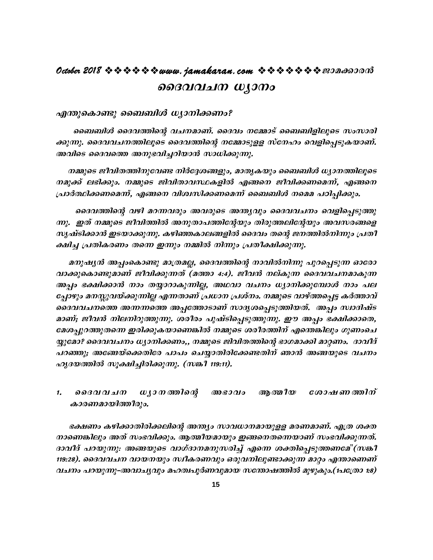## **October 2018 www.jamakaran.com Pma¡mc³ ssanal manufacture**

#### എന്തുകൊണ്ടു ബൈബിൾ ധ്യാനിക്കണം?

ബൈബിൾ ദൈവത്തിന്റെ വചനമാണ്. ദൈവം നമ്മോട് ബൈബിളിലൂടെ സംസാരി ¡p-¶p. ssZh-h-N-\-¯n-eqsS ssZh-¯nsâ \t½m-Sp-ff kvt\lw shfn-s¸ -Sp-I-bm-Wv. ക്കുന്നു. ദൈവവചനത്തിലൂടെ ദൈവത്തിന്റെ നമ്മോടുളള സ്നേഹം വെളിപ്പെടുകയാണ്.<br>അവിടെ ദൈവത്തെ അനുഭവിച്ചറിയാൻ സാധിക്കുന്നു.

നമ്മുടെ ജീവിതത്തിനുവേണ്ട നിർദ്ദേശങ്ങളും, മാതൃകയും ബൈബിൾ ധ്യാനത്തിലൂടെ ക്കുന്നു. ദൈവവചനത്തിലൂടെ ദൈവത്തിന്റെ നമ്മോടുളള സ്നേഹം വെളിപ്പെടുകയാണ്.<br>അവിടെ ദൈവത്തെ അനുഭവിച്ചറിയാൻ സാധിക്കുന്നു.<br>നമുക്ക് ലഭിക്കും. നമ്മുടെ ജിവിതാവസ്ഥകളിൽ എങ്ങനെ ജീവിക്കണമെന്ന്, എങ്ങനെ<br>പ്രാർത്ഥിക്കണമെന്ന്, എങ്ങനെ വിശ്വസിക നമുക്ക് ലഭിക്കും. നമ്മുടെ ജിവിതാവസ്ഥകളിൽ എങ്ങനെ ജീവിക്കണമെന്ന്, എങ്ങനെ<br>പ്രാർത്ഥിക്കണമെന്ന്, എങ്ങനെ വിശ്വസിക്കണമെന്ന് ബൈബിൾ നമെമ പഠിപ്പിക്കും.<br>ദൈവത്തിന്റെ വഴി മറന്നവരും അവരുടെ അന്ത്യവും ദൈവവചനം വെളിപ്പെടുത്തു

നമ്മുടെ ജീവിതത്തിനുവേണ്ട നിർദ്ദേശങ്ങളും, മാതൃകയും ബൈബിൾ ധ്യാനത്തിലൂടെ<br>നമുക്ക് ലഭിക്കും. നമ്മുടെ ജിവിതാവസ്ഥകളിൽ എങ്ങനെ ജീവിക്കണമെന്ന്, എങ്ങനെ<br>പ്രാർത്ഥിക്കണമെന്ന്, എങ്ങനെ വിശ്വസിക്കണമെന്ന് ബൈബിൾ നമെമ പഠിപ്പിക്കും.<br>നു.  $m$ ു. ഇത് നമ്മുടെ ജീവിത്തിൽ അനുതാപത്തിന്റേയും തിരുത്തലിന്റേയും അവസരങ്ങളെ സൃഷ്ടിക്കാൻ ഇടയാക്കുന്നു. കഴിഞ്ഞകാലങ്ങളിൽ ദൈവം തന്റെ ജനത്തിൽനിന്നും പ്രതീ ക്ഷിച്ച പ്രതികരണം തന്നെ ഇന്നും നമ്മിൽ നിന്നും പ്രതീക്ഷിക്കുന്നു.

മനുഷ്യൻ അപ്പംകൊണ്ടു മാത്രമല്ല, ദൈവത്തിന്റെ നാവിൽനിന്നു പുറപ്പെടുന്ന ഓരോ *വാക്കുകൊണ്ടുമാണ് ജീവിക്കുന്നത് (മത്താ 4:4). ജീവൻ നല്കുന്ന ദൈവവചനമാകുന്ന* അപ്പം ഭക്ഷിക്കാൻ നാം തയ്യാറാകുന്നില്ല, അഥവാ വചനം ധ്യാനിക്കുമ്പോൾ നാം പല ്<br>മനുഷ്യൻ അപ്പാകൊണ്ടു മാത്രമല്ല, ദൈവത്തിന്റെ നാവിൽനിന്നു പുറപ്പെടുന്ന ഓരോ<br>വാക്കുകൊണ്ടുമാണ് ജീവിക്കുന്നത് (മത്താ 4:4). ജീവൻ നല്കുന്ന ദൈവവചനമാകുന്ന<br>ആപ്പം ഭക്ഷിക്കാൻ നാം തയ്യാറാകുന്നില്ല, അഥവാ വചനം ധ്യാനിക്കുമ്പോൾ നാം പല<br>പ്പ മനുഷ്യൻ അപ്പംകൊണ്ടു മാത്രമല്ല, ദൈവത്തിന്റെ നാവിൽനിന്നു പുറപ്പെടുന്ന ഓരോ<br>വാക്കുകൊണ്ടുമാണ് ജീവിക്കുന്നത് (മത്താ 4:4). ജീവൻ നല്കുന്ന ദൈവവചനമാകുന്ന<br>അപ്പം ഭക്ഷിക്കാൻ നാം തയ്യാറാകുന്നില്ല, അഥവാ വചനം ധ്യാനിക്കുമ്പോൾ നാം പല<br>പ്പോഴ വാക്കുകൊണ്ടുമാണ് ജീവിക്കുന്നത് (മത്താ 4:4). ജീവൻ നല്കുന്ന ദൈവവചനമാകുന്ന<br>അപ്പം ഭക്ഷിക്കാൻ നാം തയ്യാറാകുന്നില്ല, അഥവാ വചനം ധ്യാനിക്കുമ്പോൾ നാം പല<br>പ്പോഴും മനസ്സുവയ്ക്കുന്നില്ല എന്നതാണ് പ്രധാന പ്രശ്നം. നമ്മുടെ വാഴ്ത്തപ്പെട്ട മേശപ്പുറത്തുതന്നെ ഇരിക്കുകയാണെങ്കിൽ നമ്മുടെ ശരീരത്തിന് എന്തെങ്കിലും ഗുണംചെ യ്യുമോ? ദൈവവചനം ധ്യാനിക്കണം,, നമ്മുടെ ജിവിതത്തിന്റെ ഭാഗമാക്കി മാറ്റണം. ദാവീദ് ദൈവവചനത്തെ അന്നന്നത്തെ അപ്പത്തോടാണ് സാദൃശപ്പെടുത്തിയത്. അപ്പം സ്വാദിഷ്ട<br>മാണ്; ജീവൻ നിലനിറുത്തുന്നു. ശരീരം പുഷ്ടിപ്പെടുത്തുന്നു. ഈ അപ്പം ഭക്ഷിക്കാതെ,<br>മേശപ്പുറത്തുതന്നെ ഇരിക്കുകയാണെങ്കിൽ നമ്മുടെ ശരീരത്തിന് എന്തെങ്കിലും ഗുണ *ഹൃദയത്തിൽ സൂക്ഷിച്ചിരിക്കുന്നു. (സങ്കീ 119:11).* ച്ചുകോ: കൊപ്പച്ചനം കും*ന്ന്കണം,,, നലൂടെ കൊത്തന്റെ ടോപ്പണം കാരണം, കാപം*<br>പറഞ്ഞു; അങ്ങേയ്ക്കെതിരേ പാപം ചെയ്യാതിരിക്കേണ്ടതിന് ഞാൻ അങ്ങയുടെ വചനം<br>ഹൃദയത്തിൽ സൂക്ഷിച്ചിരിക്കുന്നു. (സങ്കീ 119:11).<br>1. ദൈവവചന ധൃാനത്തിന്റെ അഭാവം ആത്മ

# $a$ 200 $a$ 200 $a$ <sup>2</sup> and  $a$

 `£Ww Ign-¡m-Xn-cn-¡ -ensâ A´yw kmh-[m-\-am-bp-ff ac-W-am-Wv. F{X ià - 1. മെദവവചന ധൃാനത്തിന്റെ അഭാവം ആത്മീയ ശോഷണത്തിന്<br>കാരണമായിത്തീരും.<br>ഭക്ഷണം കഴിക്കാതിരിക്കലിന്റെ അന്ത്യം സാവധാനമായുളള മരണമാണ്. എത്ര ശക്ത<br>നാണെങ്കിലും അത് സംഭവിക്കും. ആത്മീയമായും ഇങ്ങനെതന്നെയാണ് സംഭവിക്കുന്നത്.<br>ദാവീദ് പറയുന്നു: കാരണമായിത്തീരും.<br>ഭക്ഷണം കഴിക്കാതിരിക്കലിന്റെ അന്ത്യം സാവധാനമായുളള മരണമാണ്. എത്ര ശക്ത<br>നാണെങ്കിലും അത് സംഭവിക്കും. ആത്മീയമായും ഇങ്ങനെതന്നെയാണ് സംഭവിക്കുന്നത്.<br>ദാവീദ് പറയുന്നു: അങ്ങയുടെ വാഗ്ദാനമനുസരിച്ച് എന്നെ ശക്തിപ്പെടുത്ത 119:28). ദൈവവചന വായനയും സ്ഥീകരണവും ഒരുവനിലുണ്ടാക്കുന്ന മാറ്റം എന്താണെണ് hano പറയുന്നു-അവാച്യവും മഹത്വപൂർണവുമായ സന്തോഷത്തിൽ മുഴുകും.(1പത്രോ 1:8)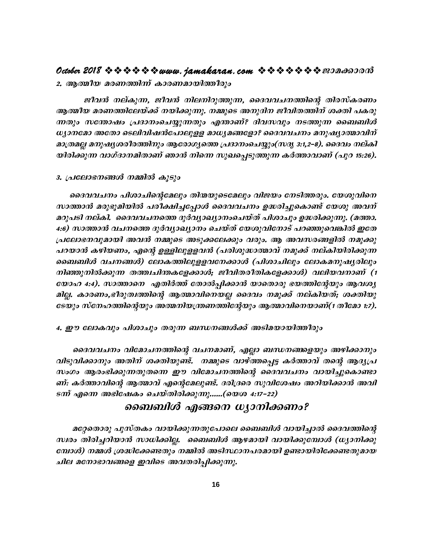#### **October 2018 www.jamakaran.com Pma¡mc³**

2. ആത്മീ*യ മരണത്തിന്ന് കാരണമായിത്തീരും* 

ജീവൻ നല്കുന്ന, ജീവൻ നിലനിറുത്തുന്ന, ദൈവവചനത്തിന്റെ തിരസ്കരണം ആത്മീയ മരണത്തിലേയ്ക്ക് നയിക്കുന്നു. നമ്മുടെ അനുദിന ജീവിതത്തിന് ശക്തി പകരു ¶Xpw kt´mjw {]Zm\wsN -¿p -¶Xpw F´m-Wv? Znh-khpw \S-¯p¶ ss\_\_nÄ  $w$ ുാനമോ അതോ ടെലിവിഷൻപോലുളള മാധൃമങ്ങളോ? ദൈവവചനം മനുഷ്യാത്മാവിന് am{X-aà a\p-j-y-i-co-c-¯n\pw Btcm-K-ys¯ {]**Z**m-\w-sN¿pw**(kZr 3:1,2-þ8)**. ssZhw \evIn-ആത്മീയ മരണത്തിലേയ്ക്ക് നയിക്കുന്നു. നമ്മുടെ അനുദിന ജീവിതത്തിന് ശക്തി പകരു<br>ന്നതും സന്തോഷം പ്രദാനംചെയ്യുന്നതും എന്താണ്? ദിവസവും നടത്തുന്ന ബൈബിൾ<br>ധ്യാനമോ അതോ ടെലിവിഷൻപോലുളള മാധ്യമങ്ങളോ? ദൈവവചനം മനുഷ്യാത്മാവിന്<br>മാത്രമല്ല

#### 3. പ്രലോഭനങ്ങൾ നമ്മിൽ കൂ*ടും*

യിരിക്കുന്ന വാഗ്ദാനമിതാണ് ഞാൻ നിന്നെ സുഖപ്പെടുത്തുന്ന കർത്താവാണ് (പുറ 15:26).<br>3. പ്രലോഭനങ്ങൾ നമ്മിൽ കൂടും<br>ചൈവചനം പിശാചിന്റെമേലും തിന്മയുടെമേലും വിജയം നേടിത്തരും. യേശുവിനെ<br>സാത്താൻ മരുഭൂമിയിൽ പരീക്ഷിച്ചപ്പോൾ ദൈവവചനം ഉദ്ധരിച യിരിക്കുന്ന വാഗ്ദാനമിതാണ് ഞാൻ നിന്നെ സുഖപ്പെടുത്തുന്ന കർത്താവാണ് (പുറ 15:26).<br>3. പ്രലോഭനങ്ങൾ നമ്മിൽ കൂടും<br>ഓദവവചനം പിശാചിന്റെമേലും തിന്മയുടെമേലും വിജയം നേടിത്തരും. യേശുവിനെ<br>സാത്താൻ മരുഭൂമിയിൽ പരീക്ഷിച്ചപ്പോൾ ദൈവവചനം ഉദ്ധരി മറുപടി നല്കി. ദൈവവചനത്തെ ദുർവ്യാഖ്യാനംചെയ്ത് പിശാചും ഉദ്ധരിക്കുന്നു. (മത്താ. 4:6) സാത്താൻ വചനത്തെ ദുർവ്യാഖ്യാനം ചെയ്ത് യേശുവിനോട് പറഞ്ഞുവെങ്കിൽ ഇതേ ദൈവവചനം പിശാചിന്റെമേലും തിന്മയുടെമേലും വിജയം നേടിത്തരും. യേശുവിനെ<br>സാത്താൻ മരുഭൂമിയിൽ പരീക്ഷിച്ചപ്പോൾ ദൈവവചനം ഉദ്ധരിച്ചുകൊണ്ട് യേശു അവന്<br>മറുപടി നല്കി. ദൈവവചനത്തെ ദുർവ്യാഖ്യാനംചെയ്ത് പിശാചും ഉദ്ധരിക്കുന്നു. (മത്താ.<br>4:6) സാത ചറയാൻ കഴിയണം, എന്റെ ഉള്ളിലുളളവൻ (പരിശുദ്ധാത്മാവ് നമുക്ക് നല്കിയിരിക്കുന്ന ബൈബിൾ വചനങ്ങൾ) ലോകത്തിലുളളവനേക്കാൾ (പിശാചിലും ലോകമനുഷ്യരിലും  $\bm{n}$ ിഞ്ഞുനിൽക്കുന്ന തത്ത്വചിന്തകളേക്കാൾ; ജീവിതരീതികളേക്കാൾ) വലിയവനാണ് (1 twɔaɔ 4:4). സാത്താനെ എതിർത്ത് തോൽപ്പിക്കാൻ യാതൊരു ഭയത്തിന്റേയും ആവശ്യ മില്ല. കാരണം,ഭീരുത്വത്തിന്റെ ആത്മാവിനെയല്ല ദൈവം നമുക്ക് നല്കിയത്; ശക്തിയു *tSbpw kvt\l-¯n-sâbpw Aß-\nb-{´-W-¯n-tâbpw Bßm-hn-s\-bm-W*v**(1 Xotam 1:7).** യോഹ 4:4). സാത്താനെ എതിർത്ത് തോൽപ്പിക്കാൻ യാതൊരു ഭയത്തിന്റേയും ഭ<br>മില്ല. കാരണം,ഭീരുത്വത്തിന്റെ ആത്മാവിനെയല്ല ദൈവം നമുക്ക് നല്കിയത്; ശം<br>ടേയും സ്നേഹത്തിന്റെയും അത്മനിയന്ത്രണത്തിന്റേയും ആത്മാവിനെയാണ്(1 തീേ<br>4. ഈ ലോകവും പിശാചും

ും സ്നേഹത്തിന്റെയും അത്മനിയന്ത്രണത്തിന്റേയും ആത്മാവിനെയാണ്(1 തീമോ 1:7).<br>ൗ ലോകവും പിശാചും തരുന്ന ബന്ധനങ്ങൾക്ക് അടിമയായിത്തീരും<br>ദൈവവചനം വിമോചനത്തിന്റെ വചനമാണ്, എല്ലാ ബന്ധനങ്ങളെയും അഴിക്കാനും<br>വിക്കാനും അതിന് ശക്തിയുണ്ട്. നമ് വിടുവിക്കാനും അതിന് ശക്തിയുണ്ട്. നമ്മുടെ വാഴ്ത്തപ്പെട്ട കർത്താവ് തന്റെ ആദ്യപ്ര 4. ഈ ലോകവും പിശാചും തരുന്ന ബന്ധനങ്ങൾക്ക് അടിമയായിത്തീരും<br>ദൈവവചനം വിമോചനത്തിന്റെ വചനമാണ്, എല്ലാ ബന്ധനങ്ങളെയും അഴിക്കാനും<br>വിടുവിക്കാനും അതിന് ശക്തിയുണ്ട്. നമ്മുടെ വാഴ്ത്തപ്പെട്ട കർത്താവ് തന്റെ ആദൃപ്ര<br>സംഗം ആരംഭിക്കുന്നതുതന്ന ദൈവവചനം വിമോചനത്തിന്റെ വചനമാണ്, എല്ലാ ബന്ധനങ്ങളയും അഴിക്കാനും<br>വിടുവിക്കാനും അതിന് ശക്തിയുണ്ട്. നമ്മുടെ വാഴ്ത്തപ്പെ*ട്ട കർത്താവ് തന്റെ ആദ്യപ്ര*<br>സംഗം ആരംഭിക്കുന്നതുതന്നെ ഈ വിമോചനത്തിന്റെ ദൈവവചനം വായിച്ചുകൊണ്ടാ<br>ണ് എന്നെ അഭിഷ <del>ട</del>ന്ന് എന്നെ അഭിഷേകം ചെയ്തിരിക്കുന്നു......(യെശ 4:17–22)

#### **ബൈബിൾ എങ്ങനെ ധ്യാനിക്കണം?**

 atä-sXmcp ]pkvXIw hmbn-¡p-¶ -Xp-t]mse ss\_\_nÄ hmbn-¨m ssZh-¯nsâ aരേതാരു പുസ്തകം വായിക്കുന്നതുപോലെ ബൈബിൾ വായിച്ചാൽ ദൈവത്തിന്റെ<br>ഡ്രഹ്മം തിരിച്ചറിയാൻ സാധിക്കില്ല. ബൈബിൾ ആഴമായി വായിക്കുമ്പോൾ (ധ്യാനിക്കു<br>ഭമ്പാൾ) നമ്മൾ ശ്രദ്ധിക്കേണ്ടതും നമ്മിൽ അടിസ്ഥാനപരമായി ഉണ്ടായിരിക്കേണ്ടതുമായ **ൈബബിശ് എങ്ങനെ ധൃാനിക്കണം?**<br>മറ്റേതൊരു പുസ്തകം വായിക്കുന്നതുപോലെ ബൈബിൾ വായിച്ചാൽ ദൈവത്തിന്റെ<br>സ്വരം തിരിച്ചറിയാൻ സാധിക്കില്ല. ബൈബിൾ ആഴമായി വായിക്കുമ്പോൾ (ധ്യാനിക്കു<br>ബോൾ) നമ്മൾ ശ്രദ്ധിക്കേണ്ടതും നമ്മിൽ അടിസ്ഥാനപരമായി ഉണ്ടാ ചില മനോഭാവങ്ങളെ ഇവിടെ അവതരിപ്പിക്കുന്നു.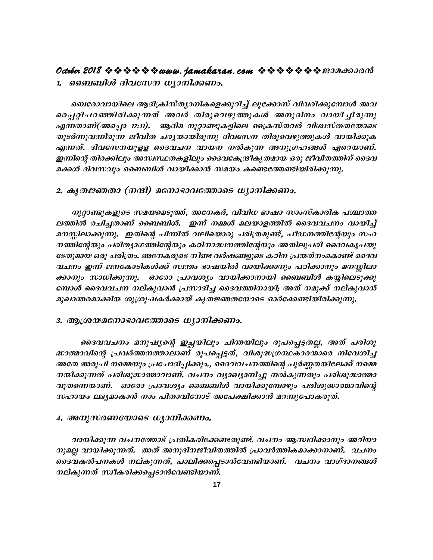#### 1. ബൈബിൾ ദിവസേന ധ്യാനിക്കണം.

ബെരോവായിലെ ആദിക്രിസ്ത്യാനികളെക്കുറിച്ച് ലൂക്കോസ് വിവരിക്കുമ്പോൾ അവ രെപ്പറ്റിപറഞ്ഞിരിക്കുന്നത് അവർ തിരുവെഴുത്തുകൾ അനുദിനം വായിച്ചിരുന്നു എന്നതാണ്(അപ്പൊ 17:11). ആദിമ നൂറ്റാണ്ടുകളിലെ ക്രൈസ്തവർ വിശ്വസ്തതയോടെ തുടർന്നുവന്നിരുന്ന ജീവിത ചര്യയായിരുന്നു ദിവസേന തിരുവെഴുത്തുകൾ വായിക്കുക എന്നത്. ദിവസേനയുളള ദൈവചന വായന നൽകുന്ന അനുഗ്രഹങ്ങൾ ഏറെയാണ്. ഇന്നിന്റെ തിരക്കിലും അസ്ഥയതകളിലും ദൈവകേന്ദ്രീകൃതമായ ഒരു ജീവിതത്തിന് ദൈവ മക്കൾ ദിവസവും ബൈബിൾ വായിക്കാൻ സമയം കണ്ടെത്തേണ്ടിയിരിക്കുന്നു.

#### 2. കൃതജ്ഞതാ (നന്ദി) മനോഭാവത്തോടെ ധ്യാനിക്കണം.

നൂറ്റാണ്ടുകളുടെ സമയമെടുത്ത്, അനേകർ, വിവിധ ഭാഷാ സാംസ്കാരിക പശ്ചാത്ത ലത്തിൽ രചിച്ചതാണ് ബൈബിൾ. ഇന്ന് നമ്മൾ മലയാളത്തിൽ ദൈവവചനം വായിച്ച് മനസ്സിലാക്കുന്നു. ഇതിന്റെ പിന്നിൽ വലിയൊരു ചരിത്രമുണ്ട്, പീഡനത്തിന്റേയും സഹ നത്തിന്റേയും പരിത്യാഗത്തിന്റേയും കഠിനാദ്ധനത്തിന്റേയും അതിലുപരി ദൈവകൃപയു ടേതുമായ ഒരു ചരിത്രം. അനേകരുടെ നീണ്ട വർഷങ്ങളുടെ കഠിന പ്രയത്നംകൊണ്ട് ദൈവ വചനം ഇന്ന് ജനകോടികൾക്ക് സ്ഥതം ഭാഷയിൽ വായിക്കാനും പഠിക്കാനും മനസ്സിലാ ക്കാനും സാധിക്കുന്നു. ഓരോ പ്രാവശ്യം വായിക്കാനായി ബൈബിൾ കയ്യിലെടുക്കു മ്പോൾ ദൈവവചന നല്കുവാൻ പ്രസാദിച്ച ദൈവത്തിനായി; അത് നമുക്ക് നല്കുവാൻ മുഖാന്തരമാക്കിയ ശുശ്രൂഷകർക്കായ് കൃതജ്ഞതയോടെ ഓർക്കേണ്ടിയിരിക്കുന്നു.

#### 3. ആശ്രയമനോഭാവത്തോടെ ധ്യാനിക്കണം.

ദൈവവചനം മനുഷ്യന്റെ ഇച്ഛയിലും ചിന്തയിലും രൂപപ്പെട്ടതല്ല, അത് പരിശു ദ്ധാത്മാവിന്റെ പ്രവർത്തനത്താലാണ് രൂപപ്പെട്ടത്, വിശുദ്ധഗ്രന്ഥകാരന്മാരെ നിവേശിച്ച അതേ അരൂപി നമ്മെയും പ്രചോദിപ്പിക്കും., ദൈവവചനത്തിന്റെ പൂർണ്ണതയിലേക്ക് നമ്മെ നയിക്കുന്നത് പരിശുദ്ധാത്മാവാണ്. വചനം വ്യാഖ്യാനിച്ചു നൽകുന്നതും പരിശുദ്ധാത്മാ വുതന്നെയാണ്. ഓരോ പ്രാവശ്യം ബൈബിൾ വായിക്കുമ്പോഴും പരിശുദ്ധാത്മാവിന്റെ സഹായം ലഭ്യമാകാൻ നാം പിതാവിനോട് അപേക്ഷിക്കാൻ മറന്നുപോകരുത്.

#### 4. അനുസരണയോടെ ധ്യാനിക്കണം.

വായിക്കുന്ന വചനത്തോട് പ്രതികരിക്കേണ്ടതുണ്ട്. വചനം ആസ്വദിക്കാനും അറിയാ നുമല്ല വായിക്കുന്നത്. അത് അനുദിനജീവിതത്തിൽ പ്രാവർത്തികമാക്കാനാണ്. വചനം ദൈവകൽപനകൾ നല്കുന്നത്, പാലിക്കപ്പെടാൻവേണ്ടിയാണ്. വചനം വാഗ്ദാനങ്ങൾ നല്കുന്നത് സ്ഥകരിക്കപ്പെടാൻവേണ്ടിയാണ്.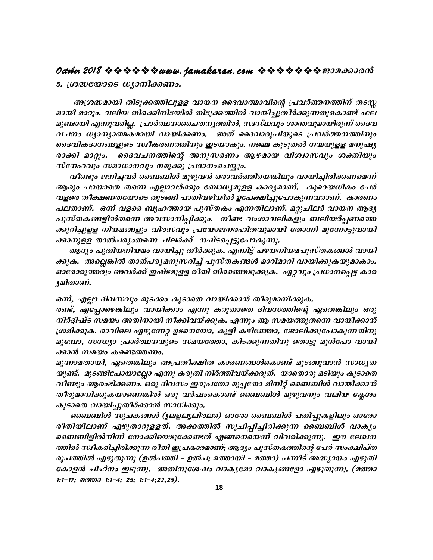5. *(ശദ്ധയോടെ ധ്യാനിക്കണം.* 

**October 2018 www.jamakaran.com Pma¡mc³** ambn amdpw. henb Xnc-¡n-\n-S-bn XnSp-¡ -¯n hmbn-¨p-XoÀ¡p-¶ -Xp-sImv ^e-അശ്രദ്ധമായി തിടുക്കത്തിലുളള വായന ദൈവാത്മാവിന്റെ പ്രവർത്തനത്തിന് തടസ്സ മുണ്ടായി എന്നുവരില്ല. പ്രാർത്ഥനാചൈതനൃത്തിൽ, സ്വസ്ഥവും ശാന്തവുമായിരുന്ന് ദൈവ h-N\w [ym-\-ym-ß-Iambn hmbn-¡ -Ww. AXv ssZhmcq]n-bpsS {]hÀ¯-\-¯n\pw അശ്രദ്ധമായി തിടുക്കത്തിലുളള വായന ദൈവാത്മാവിന്റെ പ്രവർത്തനത്തിന് തടസ്സ<br>മായി മാറും. വലിയ തിരക്കിനിടയിൽ തിടുക്കത്തിൽ വായിച്ചുതീർക്കുന്നതുകൊണ്ട് ഫല<br>മുണ്ടായി എന്നുവരില്ല. പ്രാർത്ഥനാചെതനുത്തിൽ, സ്ഥ്ര്ഥ്യും ശാന്തവുമായിരുന്ന് ദൈവ മായി മാറും. വലിയ തിരക്കിനിടയിൽ തിടുക്കത്തിൽ വായിച്ചുതീർക്കുന്നതുകൊണ്ട് ഫല<br>മുണ്ടായി എന്നുവരില്ല. പ്രാർത്ഥനാചൈതന്യത്തിൽ, സ്ഥസ്ഥവും ശാന്തവുമായിരുന്ന് ദൈവ<br>വചനം ധ്യാന്യാത്മകമായി വായിക്കണം. അത് ദൈവാരൂപിയുടെ പ്രവർത്തനത്തിനു  $n$ k $m$ - $\alpha$ ang  $m$ an $\alpha$ ang  $\alpha$ ang  $\alpha$   $\alpha$ ang  $\alpha$ വചനം ധ്യാന്യാത്മകമായി വായിക്കണം. അത് ദൈവാരൂപിയുടെ പ്രവർത്തനത്തിനും<br>ദൈവികദാനങ്ങളുടെ സ്ഥീകരണത്തിനും ഇടയാകും. നമ്മെ കൂടുതൽ നന്മയുളള മനുഷ്യ<br>രാക്കി മാറ്റും. ദൈവചനത്തിന്റെ അനുസരണം ആഴമായ വിശ്വാസവും ശക്തിയും<br>സ്നേഹവും സമാധാനവും

ആരും പറയാതെ തന്നെ എല്ലാവർക്കും ബോധ്യമുള്ള കാര്യമാണ്. കുറെയധികം പേർ hfsc Xo£ -W-X-tbmsS XpS§n ]mXn-h-gn-bn Dt]-£n-¨p-t]m-Ip-¶-h-cm-Wv. ImcWw ]e-Xm-Wv. **H¶v** hfsc \_rl-¯mb ]pkvX-Iw F¶ -Xn-emWv. **aäp-Nn-eÀ** hmb\ BZ-y- വീണ്ടും ജനിച്ചവർ ബൈബിൾ മുഴുവൻ ഒരാവർത്തിയെങ്കിലും വായിച്ചിരിക്കണമെന്ന്<br>ആരും പറയാതെ തന്നെ എല്ലാവർക്കും ബോധ്യമുളള കാര്യമാണ്. കുറെയധികം പേർ<br>വളരെ തീക്ഷണതയോടെ തുടങ്ങി പാതിവഴിയിൽ ഉപേക്ഷിച്ചുപോകുന്നവരാണ്. കാരണം<br>പലതാണ്. ഒന്ന് വ ക്കുറിച്ചുളള നിയമങ്ങളും വിരസവും പ്രയോജനരഹിതവുമായി തോന്നി മുന്നോട്ടുവായി വളരെ തീക്ഷണതയോടെ തുടങ്ങി പാതിവഴിയിൽ ഉപേക്ഷിച്ചുപോകുന<br>പലതാണ്. ഒന്ന് വളരെ ബൃഹത്തായ പുസ്തകം എന്നതിലാണ്. മറ്റുച<br>പുസ്തകങ്ങളിൽതന്നെ അവസാനിപ്പിക്കും. നീണ്ട വംശാവലികളും<br>ക്കുറിച്ചുളള നിയമങ്ങളും വിരസവും പ്രയോജനരഹിതവുമായി തോര<br>ക്ക

ആദ്യം പുതിയനിയമം വായിച്ചു തീർക്കുക. എന്നിട്ട് പഴയനിയമപുസ്തകങ്ങൾ വായി ക്കുക. അല്ലെങ്കിൽ താത്പര്യമനുസരിച്ച് പുസ്തകങ്ങൾ മാറിമാറി വായിക്കുകയുമാകാം. ഓരോരുത്തരും അവർക്ക് ഇഷ്ടമുളള രീതി തിരഞ്ഞെടുക്കുക. ഏറ്റവും പ്രധാനപ്പെട്ട കാര ്യമിതാണ്.

ഒന്ന്, എല്ലാ ദിവസവും മുടക്കം കൂടാതെ വായിക്കാൻ തീരുമാനിക്കുക.

<u>രണ്ട്, എപ്പോഴെങ്കിലും വായിക്കാം എന്നു കരുതാതെ ദിവസത്തിന്റെ ഏതെങ്കിലും ഒരു</u>  $\it m$ ിർദ്ദിഷ്ട സമയം അതിനായി നീക്കിവയ്ക്കുക. എന്നും ആ സമയത്തുതന്നെ വായിക്കാൻ ്യമ്പരാണ്.<br>ഒന്ന്, എല്ലാ ദിവസവും മുടക്കം കൂടാതെ വായിക്കാൻ തീരുമാനിക്കുക.<br>രണ്ട്, എപ്പോഴെങ്കിലും വായിക്കാം എന്നു കരുതാതെ ദിവസത്തിന്റെ ഏതെങ്കിലും ഒരു<br>നിർദ്ദിഷ്ട സമയം അതിനായി നീക്കിവയ്ക്കുക. എന്നും ആ സമയത്തുതന്നെ വായിക്കാൻ<br>ശ്ര ശ്രമിക്കുക. രാവിലെ എഴുന്നേറ്റ ഉടനെയോ, കുളി കഴിഞ്ഞോ, ജോലിക്കുപോകുന്നതിനു<br>മുമ്പോ, സന്ധ്യാ പ്രാർത്ഥനയുടെ സമയത്തോ, കിടക്കുന്നതിനു തൊട്ടു മുൻപോ വായി ക്കാൻ സമയം കണ്ടെത്തണം.

മുന്നാമതായി, ഏതെങ്കിലും അപ്രതീക്ഷിത കാരണങ്ങൾകൊണ്ട് മുടങ്ങുവാൻ സാധ്യത യുണ്ട്. മുടങ്ങിപോയാല്ലോ എന്നു കരുതി നിർത്തിവയ്ക്കരുത്. യാതൊരു മടിയും കൂടാതെ മുമ്പോ, സന്ധ്യാ പ്രാർത്ഥനയുടെ സമയത്തോ, കിടക്കുന്നതിനു തൊട്ടു മുൻപോ വായി<br>ക്കാൻ സമയം കണ്ടെത്തണം.<br>മൂന്നാമതായി, ഏതെങ്കിലും അപ്രതീക്ഷിത കാരണങ്ങൾകൊണ്ട് മുടങ്ങുവാൻ സാധ്യത<br>യുണ്ട്. മുടങ്ങിപോയാല്ലോ എന്നു കരുതി നിർത്തിവയ്ക്കരുത്. യാ തീരുമാനിക്കുകയാണെങ്കിൽ ഒരു വർഷംകൊണ്ട് ബൈബിൾ മുഴുവനും വലിയ ക്ലേശം കൂടാതെ വായിച്ചുതീർക്കാൻ സാധിക്കും.

ബൈബിൾ സൂചകങ്ങൾ (ൃലളലൃലിരലം) ഓരോ ബൈബിൾ പതിപ്പുകളിലും ഓരോ വീണ്ടും ആരംഭിക്കണം. ഒരു ദിവസം ഇരുപതോ മുപ്പതോ മിനിറ്റ് ബൈബിൾ വായിക്കാൻ<br>തീരുമാനിക്കുകയാണെങ്കിൽ ഒരു വർഷംകൊണ്ട് ബൈബിൾ മുഴുവനും വലിയ ക്ലേശം<br>കൂടാതെ വായിച്ചുതീർക്കാൻ സാധിക്കും.<br>ബൈബിൾ സൂചകങ്ങൾ (ൃലളലൃലിരലം) ഓരോ ബൈബിൾ പതിപ്പുകളിലും തീരുമാനിക്കുകയാണെങ്കിൽ ഒരു വർഷംകൊണ്ട് ബൈബിശ് മുഴുവനും വലിയ ക്ലേശം<br>കൂടാതെ വായിച്ചുതീർക്കാൻ സാധിക്കും.<br>- ബൈബിശ് സൂചകങ്ങൾ (ുലളലുലിരലം) ഓരോ ബൈബിശ് പതിപ്പുകളിലും ഓരോ<br>രീതിയിലാണ് എഴുതാറുളളത്. അക്കത്തിൽ സൂചിപ്പിച്ചിരിക്കുന്ന ബൈബി ത്തിൽ സ്ഥകരിച്ചിരിക്കുന്ന രീതി ഇപ്രകാരമാണ്; ആദ്യം പുസ്തകത്തിന്റെ പേര് സംക്ഷിപ്ത രൂപത്തിൽ എഴുതുന്നു (ഉൽപത്തി – ഉൽപ; മത്തായി – മത്താ) പന്നീട് അദ്ധ്യായം എഴുതി ഭകാളൻ ചിഹ്നം ഇടുന്നു. അതിനുശേഷം വാകൃമോ വാകൃങ്ങളോ എഴുതുന്നു. (മത്താ **1:1-17; a** $\omega$ **m** 1:1-4; **25**; **1:1-4**;22,25).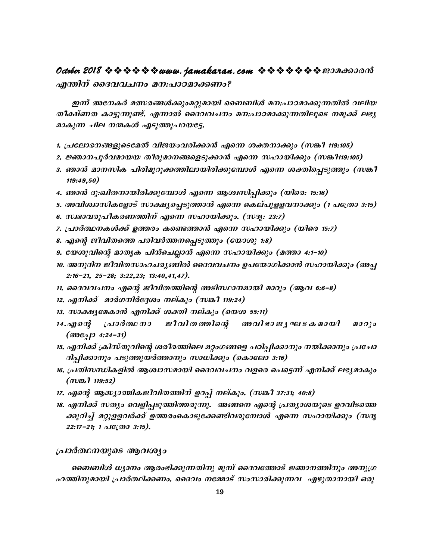### **October 2018 ななななななwww.jamakaran.com ななななななき** 2018 なの

**F´n\v ssZh-h-N\w a\:-]mT -am-¡Ww?** C¶v At\-IÀ aÕ-c-§Ä¡pw-a-äp-ambn ss\_\_nÄ a\:-]m-T-am-¡p-¶ -Xn henb Xo£vWX Im«p-¶p-v. F¶m ssZh-h-N\w a\:-]mT-am-¡p¶ -Xn-eqsS \ap¡v e`-y-എന്തിന് ദൈവവചനം മന:പാഠമാക്കണ<br>ഇന്ന് അനേകർ മത്സരങ്ങൾക്കുംമറ്റുമായി<br>തീക്ഷ്ണത കാട്ടുന്നുണ്ട്. എന്നാൽ ദൈവവച<br>മാകുന്ന ചില നന്മകൾ എടുത്തുപറയട്ടേ.<br>1. പ്രലോഭനങ്ങളുടെമേൽ വിജയംവരിക്കാൻ 1. {]tem-`-\-§-fp-sS-ta hnP-bw-h-cn-¡m³ Fs¶ ià -\m-¡pw **(-k¦o 119:105)**

- 
- 2. ജ്ഞാനപൂർവമായയ തീരുമാനങ്ങളെടുക്കാൻ എന്നെ സഹായിക്കും (സങ്കീ119:105)
- മാകുന്ന ചില നന്മകൾ എടുത്തുപറയഭ്ടേ.<br>1. പ്രലോഭനങ്ങളുടെമേൽ വിജയംവരിക്കാൻ എന്നെ ശക്തനാക്കും (സങ്കീ 119:105)<br>2. ജ്ഞാനപൂർവമായയ തീരുമാനങ്ങളെടുക്കാൻ എന്നെ സഹായിക്കും (സങ്കീ119:105)<br>3. ഞാൻ മാനസിക പിരിമുറുക്കത്തിലായിരിക്കുമ്പോൾ എന് **119:49,50)** 2. ജ്ഞാനപൂരവമായയ ത്രത്യമാനങ്ങളെടുക്കാര് എന്നെ സഹായ്ക്കും (സങ്കണ്ടസ്കു<br>3. ഞാൻ മാനസിക പിരിമുറുക്കത്തിലായിരിക്കുമ്പോൾ എന്നെ ശക്തിപ്പെടുത്തും (സങ്കീ<br>119:49,50)<br>4. ഞാൻ ദു:ഖിതനായിരിക്കുമ്പോൾ എന്നെ ആശ്വസിപ്പിക്കും (യിരെ: 15:16)<br>
- 4. ഞാൻ ദു:ഖിതനായിരിക്കുമ്പോൾ എന്നെ ആശ്വസിപ്പിക്കും (യിരെ: 15:16)
- ി9:49,90)<br>4. ഞാൻ ദു:ഖിതനായിരിക്കുമ്പോൾ എന്നെ ആശ്വസിപ്പിക്കും (യിരെ: 15:16)<br>5. അവിശ്വാസികളോട് സാക്ഷ്യപ്പെടുത്താൻ എന്നെ കെല്പുളളവനാക്കും (1 പത്രോ<br>6. സ്വഭാവരുപീകരണത്തിന് എന്നെ സഹായിക്കും. (സദൃ: 23:7)<br>7. പ്രാർത്ഥനകൾക്ക് ഉത്തര 4. ഞാര ദു:ഖരമായത്തെുമ്പോറ എന്ന ആറാസ്പ്പത്തു (യം<br>5. അവിശ്വാസികളോട് സാക്ഷ്യപ്പെടുത്താൻ എന്നെ കെല്പുളളവന<br>6. സ്വഭാവരുപീകരണത്തിന് എന്നെ സഹായിക്കും. (സദ്യ: 23:7)<br>7. പ്രാർത്ഥനകൾക്ക് ഉത്തരം കണ്ടെത്താൻ എന്നെ സഹായിക്കും (<br>8. എന്റെ
- 6. സ്വഭാവരുപീകരണത്തിന് എന്നെ സഹായിക്കും. (സദൃ: 23:7)
- 
- 
- 9. യേശുവിന്റെ മാതൃക പിൻചെല്ലാൻ എന്നെ സഹായിക്കും (മത്താ 4:1–10)
- 10. അനുദിന ജീവിതസാഹചര്യങ്ങിൽ ദൈവവചനം ഉപയോഗിക്കാൻ സഹായിക്കും (അപ്പ **2:16-þ21, 25-þ28; 3:22-,23; 13:40-,41,47).**
- 11. ദൈവവചനം എന്റെ ജീവിതത്തിന്റെ അടിസ്ഥാനമായി മാറും (ആവ 6:6-8)
- 12. എനിക്ക് മാർഗനിർദ്ദേശം നല്കും (സങ്കീ 119:24)
- 
- 10. അനുദമ്പ ജീവത്സാഹചര്യങ്ങരം ദൈവവചനം ഉപയോഗിക്കാ<br>2:16-21, 25-28; 3:22,23; 13:40,41,47).<br>11. ദൈവവചനം എന്റെ ജീവിതത്തിന്റെ അടിസ്ഥാനമായി മാറും (<br>12. എനിക്ക് മാർഗനിർദ്ദേശം നല്കും (സങ്കീ 119:24)<br>13. സാക്ഷ്യമേകാൻ എനിക്ക് ശക്തി 2:10-21, 29-26; 3:22,23; 13:40,41,47*).*<br>11. ദൈവവചനം എന്റെ ജീവിതത്തിന്റെ അടിസ്ഥാനമായി മാറും (ആവ 6:6-8)<br>12. എനിക്ക് മാർഗനിർദ്ദേശം നല്കും (സങ്കീ 119:24)<br>13. സാക്ഷ്യമേകാൻ എനിക്ക് ശക്തി നല്കും (യെശ 55:11)<br>14.എന്റെ (പാർത്ഥന (**Boc<sub>c</sub>i**) 4:24-31)
- 15. എനിക്ക് ക്രിസ്തുവിന്റെ ശരീരത്തിലെ മറ്റംഗങ്ങളെ പഠിപ്പിക്കാനും നയിക്കാനും പ്രചോ ദിപ്പിക്കാനും പടുത്തുയർത്താനും സാധിക്കും (കൊലോ 3:16)
- 16. പ്രതിസന്ധികളിൽ ആശ്വാസമായി ദൈവവചനം വളരെ പെട്ടെന്ന് എനിക്ക് ലഭ്യമാകും  $(m\omega 1119:52)$
- 17. എന്റെ ആദ്ധ്യാത്മികജീവിതത്തിന് ഉറപ്പ് നല്കും. (സങ്കീ 37:31<del>;</del> 40:8)
- 18. എനിക്ക് സത്യം വെളിപ്പടുത്തിത്തരുന്നു. അങ്ങനെ എന്റെ പ്രത്യാശയുടെ ഉറവിടത്തെ<br>ക്കുറിച്ച് മറ്റുളളവർക്ക് ഉത്തരംകൊടുക്കേണ്ടിവരുമ്പോൾ എന്നെ സഹായിക്കും (സദൃ പ്രതിസന്ധികളിൽ ആശ്വാസമായി ദൈവവചനം വളരെ പെട്ടെന്ന എനിക്ക ലഭ്യമാകും<br>(സങ്കീ 119:52)<br>എന്റെ ആദ്ധ്യാത്മികജീവിതത്തിന് ഉറപ്പ് നല്കും. (സങ്കീ 37:31; 40:8)<br>എനിക്ക് സത്യം വെളിപ്പടുത്തിത്തരുന്നു. അങ്ങനെ എന്റെ പ്രത്യാശയുടെ ഉറവിടത്തെ<br> **22:17-21; 1**  $\Delta I \mathcal{C}(\mathcal{O} \mathcal{O} \mathcal{S} \mathcal{O} \mathcal{S})$ **.** *ns. എനിക്ക് സത്യം വെളിപ്പടുത്തിത്തരുത്തിന്നു*<br>ക്കുറിച്ച് മറ്റുളളവർക്ക് ഉത്തരംകൊടു<br>22:17-21; 1 പത്രോ 3:15).<br>പ്രാർത്ഥനയുടെ ആവശ്യം<br>ബെബിൾ ധ്യാനം ആരംഭിക്കുന്നത<br>ഹത്തിനുമായി പ്രാർത്ഥിക്കണം. ദൈവം

 $\begin{smallmatrix} 22:17-21 & 1 & \text{if}(\emptyset 9 \ 3:15). \end{smallmatrix}$ പ്രാർത്ഥനയുടെ ആവശ്യം<br>ചൊർത്ഥനയുടെ ആവശ്യം<br>ഹത്തിനുമായി പ്രാർത്ഥിക്കണം. ദൈവം നമ്മോട് സംസാരിക്കുന്നവ എഴുതാനായി ഒരു<br>19 പ്രാർത്ഥനയുടെ ആവശ്യം<br>ചൈബിൾ ധ്യാനം ആരംഭിക്കുന്നതിനു മുമ്പ് ദൈവത്തോട് ജ്ഞാനത്തിനും അനുഗ്ര<br>ഹത്തിനുമായി പ്രാർത്ഥിക്കണം. ദൈവം നമ്മോട് സംസാരിക്കുന്നവ എഴുതാനായി ഒരു<br>19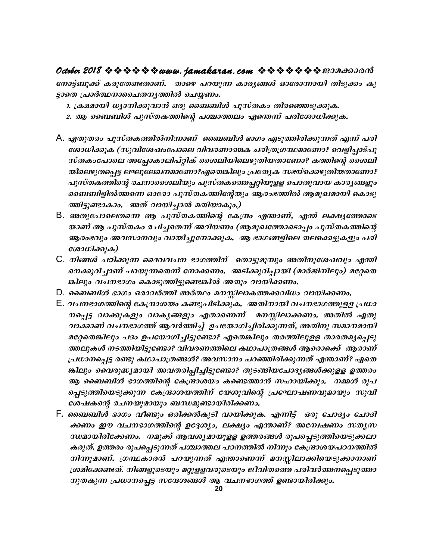നോട്ട്ബുക്ക് കരുതേണ്ടതാണ്. താഴെ പറയുന്ന കാര്യങ്ങൾ ഓരോന്നായി തിടുക്കം കൂ ട്ടാതെ പ്രാർത്ഥനാചൈതനൃത്തിൽ ചെയ്യണം.

1. ക്രമമായി ധ്യാനിക്കുവാൻ ഒരു ബൈബിൾ പുസ്തകം തിരഞ്ഞെടുക്കുക.

- 2. ആ ബൈബിൾ പുസ്തകത്തിന്റെ പശ്ചാത്തലം എന്തെന്ന് പരിശോധിക്കുക.
- A. ഏതുതരം പുസ്തകത്തിൽനിന്നാണ് ബൈബിൾ ഭാഗം എടുത്തിരിക്കുന്നത് എന്ന് പരി ശോധിക്കുക (സുവിശേഷംപോലെ വിവരണാത്മക ചരിത്രഗ്രന്ഥമാണോ? വെളിപ്പാട്പു സ്തകംപോലെ അപ്പോകാലിപ്റ്റിക് ശൈലിയിലെഴുതിയതാണോ? കത്തിന്റെ ശൈലി യിലെഴുതപ്പെട്ട ലഘുലേഖനമാണോ?ഏതെങ്കിലും പ്രത്യേക സഭയ്ക്കെഴുതിയതാണോ? പുസ്തകത്തിന്റെ രചനാശൈലിയും പുസ്തകത്തെപ്പറ്റിയുളള പൊതുവായ കാര്യങ്ങളും ബൈബിളിൽത്തന്നെ ഓരോ പുസ്തകത്തിന്റേയും ആരംഭത്തിൽ ആമുഖമായി കൊടു ത്തിട്ടുണ്ടാകാം. അത് വായിച്ചാൽ മതിയാകും.)
- B. അതുപോലെതന്നെ ആ പുസ്തകത്തിന്റെ കേന്ദ്രം എന്താണ്, എന്ത് ലക്ഷ്യത്തോടെ യാണ് ആ പുസ്തകം രചിച്ചതെന്ന് അറിയണം (ആമുഖത്തോടൊപ്പം പുസ്തകത്തിന്റെ ആരംഭവും അവസാനവും വായിച്ചുനോക്കുക. ആ ഭാഗങ്ങളിലെ തലക്കെട്ടുകളും പരി ശോധിക്കുക)
- C. നിങ്ങൾ പഠിക്കുന്ന ദൈവവചന ഭാഗത്തിന് തൊട്ടുമുമ്പും അതിനുശേഷവും എന്തി നെക്കുറിച്ചാണ് പറയുന്നതെന്ന് നോക്കണം. അടിക്കുറിപ്പായി (മാർജിനിലും) മറ്റേതെ ങ്കിലും വചനഭാഗം കൊടുത്തിട്ടുണ്ടെങ്കിൽ അതും വായിക്കണം.
- D. ബൈബിൾ ഭാഗം ഒരാവർത്തി അർത്ഥം മനസ്സിലാകത്തക്കവിധം വായിക്കണം.
- E. വചനഭാഗത്തിന്റെ കേന്ദ്രാശയം കണ്ടുപിടിക്കുക. അതിനായി വചനഭാഗത്തുളള പ്രധാ നപ്പെട്ട വാക്കുകളും വാകൃങ്ങളും ഏതാണെന്ന് മനസ്സിലാക്കണം. അതിൽ ഏതു വാക്കാണ് വചനഭാഗത്ത് ആവർത്തിച്ച് ഉപയോഗിച്ചിരിക്കുന്നത്, അതിനു സമാനമായി മറ്റേതെങ്കിലും പദം ഉപയോഗിച്ചിട്ടുണ്ടോ? ഏതെങ്കിലും തരത്തിലുള്ള താരതമൃപ്പെടു ത്തലുകൾ നടത്തിയിട്ടുണ്ടോ? വിവരണത്തിലെ കഥാപാത്രങ്ങൾ ആരൊക്കെ് ആരാണ് പ്രധാനപ്പെട്ട രണ്ടു കഥാപാത്രങ്ങൾ? അവസാനം പറഞ്ഞിരിക്കുന്നത് എന്താണ്? ഏതെ ങ്കിലും വൈരുദ്ധ്യമായി അവതരിപ്പിച്ചിട്ടുണ്ടോ? തുടങ്ങിയചോദ്യങ്ങൾക്കുളള ഉത്തരം ആ ബൈബിൾ ഭാഗത്തിന്റെ കേന്ദ്രാശയം കണ്ടെത്താൻ സഹായിക്കും. നമ്മൾ രൂപ പ്പെടുത്തിയെടുക്കുന്ന കേന്ദ്രാശയത്തിന് യേശുവിന്റെ പ്രഘോഷണവുമായും സുവി ശേഷകന്റെ രചനയുമായും ബന്ധമുണ്ടായിരിക്കണം.
- F*. ബൈബിൾ ഭാഗം വീണ്ടും ഒരിക്കൽകൂടി വായിക്കുക. എന്നിട്ട് ഒരു ചോദ്യം ചോദി* ക്കണം ഈ വചനഭാഗത്തിന്റെ ഉദ്ദേശ്യം, ലക്ഷ്യം എന്താണ്? അന്വേഷണം സതൃസ ന്ധമായിരിക്കേണം. നമുക്ക് ആവശ്യമായുളള ഉത്തരങ്ങൾ രൂപപ്പെടുത്തിയെടുക്കലാ കരുത്. ഉത്തരം രൂപപ്പെടുന്നത് പശ്ചാത്തല പഠനത്തിൽ നിന്നും കേന്ദ്രാശയപഠനത്തിൽ നിന്നുമാണ്. ഗ്രന്ഥകാരൻ പറയുന്നത് എന്താണെന്ന് മനസ്സിലാക്കിയെടുക്കാനാണ് ശ്രമിക്കേണ്ടത്. നിങ്ങളുടെയും മറ്റുളളവരുടെയും ജീവിതത്തെ പരിവർത്തനപ്പെടുത്താ നുതകുന്ന പ്രധാനപ്പെട്ട സന്ദേശങ്ങൾ ആ വചനഭാഗത്ത് ഉണ്ടായിരിക്കും.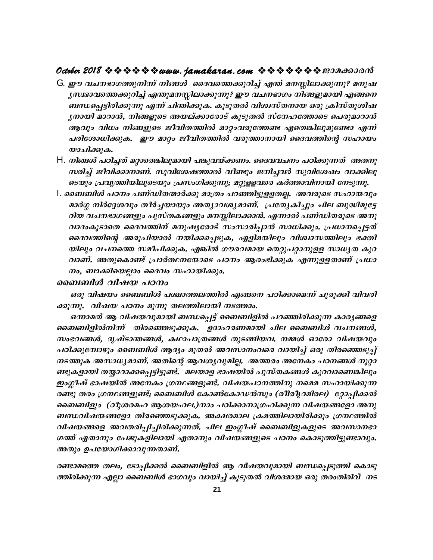#### **October 2018 www.jamakaran.com Pma¡mc³**

- G. ഈ വചനഭാഗത്തുനിന്ന് നിങ്ങൾ ദൈവത്തെക്കുറിച്ച് എന്ത് മനസ്സിലാക്കുന്നു? മനുഷ  $\chi$ സ്വഭാവത്തെക്കുറിച്ച് എന്തുമനസ്സിലാക്കുന്നു? ഈ വചനഭാഗം നിങ്ങളുമായി എങ്ങനെ \_Ô -s¸ -«n-cn-¡p¶p F¶v Nn´n-¡p-I. IqSp-XÂ hni-z-kvX-\mb Hcp {InkvXp-in-j- $\mu$ മായി മാറാൻ, നിങ്ങളുടെ അയല്ക്കാരോട് കൂടുതൽ സ്നേഹത്തോടെ പെരുമാറാൻ ആവും വിധം നിങ്ങളുടെ ജീവിതത്തിൽ മാറ്റംവരുത്തേണ്ട ഏതെങ്കിലുമുണ്ടോ എന്ന് പരിശോധിക്കുക. ഈ മാറ്റം ജീവിതത്തിൽ വരുത്താനായി ദൈവത്തിന്റെ സഹായം യാചിക്കുക.
- $\bm{\mathsf{H}}$ . നിങ്ങൾ പഠിച്ചത് മറ്റാരെങ്കിലുമായി പങ്കുവയ്ക്കണം. ദൈവവചനം പഠിക്കുന്നത് അതനു  $m$ രിച്ച് ജീവിക്കാനാണ്. സുവിശേഷത്താൽ വീണ്ടും ജനിച്ചവർ സുവിശേഷം വാക്കിലൂ ടെയും പ്രവൃത്തിയിലൂടെയും പ്രസംഗിക്കുന്നു; മറ്റുളളവരെ കർത്താവിനായി നേടുന്നു.
- I. ബൈബിൾ പഠനം പണ്ഡിതന്മാർക്കു മാത്രം പറഞ്ഞിട്ടുളളതല്ല. അവരുടെ സഹായവും നിങ്ങൾ പഠിച്ചത് മറ്റാരെങ്കിലുമായി പങ്കുവയ്ക്കണം. ദൈവവചനം പഠിക്കുന്നത് അതനു<br>സരിച്ച് ജീവിക്കാനാണ്. സുവിശേഷത്താൽ വീണ്ടും ജനിച്ചവർ സുവിശേഷം വാക്കിലൂ<br>ടെയും പ്രവൃത്തിയിലൂടെയും പ്രസംഗിക്കുന്നു; മറ്റുളളവരെ കർത്താവിനായി റിയ വചനഭാഗങ്ങളും പുസ്തകങ്ങളും മനസ്സിലാക്കാൻ. എന്നാൽ പണ്ഡിതരുടെ അനു ടെയും പ്രവൃത്തിയിലൂടെയും പ്രസംഗിക്കുന്നു; മറ്റുളളവരെ കർത്താവിനായി നേടുന്നു.<br>ബെബിൾ പഠനം പണ്ഡിതന്മാർക്കു മാത്രം പറഞ്ഞിട്ടുളളതല്ല. അവരുടെ സഹായവും<br>മാർഗ്ഗ നിർദ്ദേശവും തീർച്ചയായും അത്യാവശ്യമാണ്. പ്രത്യേകിച്ചും ചില ബുദ്ധിമുട്ട ബെബിൾ പഠനം പണ്ഡിതന്മാർക്കു മാത്രം പറഞ്ഞിട്ടുളളതല്ല. അവരുടെ സഹായവും<br>മാർഗ്ഗ നിർദ്ദേശവും തീർച്ചയായും അത്യാവശ്യമാണ്. പ്രത്യേകിച്ചും ചില ബുദ്ധിമുട്ടേ<br>റിയ വചനഭാഗങ്ങളും പുസ്തകങ്ങളും മനസ്സിലാക്കാൻ. എന്നാൽ പണ്ഡിതരുടെ അനു<br>വാദംകൂട യിലും വചനത്തെ സമീപിക്കുക. എങ്കിൽ ഗൗരവമായ തെറ്റുപറ്റാനുളള സാധൃത കുറ റിയ വചനഭാഗങ്ങളും പുസ്തകങ്ങളും മനസ്സിലാക്കാൻ. എന്നാൽ പണ്ഡിതരുടെ അനു<br>വാദംകൂടാതെ ദൈവത്തിന് മനുഷ്യരോട് സംസാരിപ്പാൻ സാധിക്കും. പ്രധാനപ്പെട്ടത്<br>ദൈവത്തിന്റെ അരൂപിയാൽ നയിക്കപ്പെടുക, എളിമയിലും വിശ്വാസത്തിലും ഭക്തി<br>യിലും വചനത്തെ സമ നം, ബാക്കിയെല്ലാം ദൈവം സഹായിക്കും.

#### *ബൈബിൾ വിഷയ പഠനം*

ഒരു വിഷയം ബൈബിൾ പശ്ചാത്തലത്തിൽ എങ്ങനെ പഠിക്കാമെന്ന് ചുരുക്കി വിവരി ക്കുന്നു. വിഷയ പഠനം മൂന്നു തലത്തിലായി നടത്താം.

നം, ബാക്കിയെല്ലാം ദൈവം സഹായിക്കും.<br>ബബിൾ വിഷയ പഠനം<br>ഒരു വിഷയം ബൈബിൾ പശ്ചാത്തലത്തിൽ എങ്ങനെ പഠിക്കാമെന്ന് ചുരുക്കി വിവരി<br>നു. വിഷയ പഠനം മൂന്നു തലത്തിലായി നടത്താം.<br>ഒന്നാമത് ആ വിഷയവുമായി ബന്ധപ്പെട്ട് ബൈബിളിൽ പറഞ്ഞിരിക്കുന്ന കാ ടെബബിളിൽനിന്ന് തിരഞ്ഞെടുക്കുക. ഉദാഹരണമായി ചില ബൈബിൾ വചനങ്ങൾ, സംഭവങ്ങൾ, ദൃഷ്ടാന്തങ്ങൾ, കഥാപാത്രങ്ങൾ തുടങ്ങിയവ. നമ്മൾ ഓരോ വിഷയവും പഠിക്കുമ്പോഴും ബൈബിൾ ആദ്യം മുതൽ അവസാനംവരെ വായിച്ച് ഒരു തിരഞ്ഞെടുപ്പ് നടത്തുക അസാധ്യമാണ്. അതിന്റെ ആവശ്യവുമില്ല. അത്തരം അനേകം പഠനങ്ങൾ നൂറ്റാ ബൈബിളിൽനിന്ന് തിരഞ്ഞെടുക്കുക. ഉദാഹരണമായി ചില ബൈബിൾ വചനങ്ങൾ,<br>സംഭവങ്ങൾ, ദൃഷ്ടാന്തങ്ങൾ, കഥാപാത്രങ്ങൾ തുടങ്ങിയവ. നമ്മൾ ഓരോ വിഷയവും<br>പഠിക്കുമ്പോഴും ബൈബിൾ ആദ്യം മുതൽ അവസാനംവരെ വായിച്ച് ഒരു തിരഞ്ഞെടുപ്പ്<br>നടത്തുക അസാധ്യമാണ്. അതിന് സംഭവങ്ങൾ, ദൃഷ്ടാന്തങ്ങൾ, കഥാപാത്രങ്ങൾ തുടങ്ങിയവ. നമ്മൾ ഓരോ വിഷയവും<br>പഠിക്കുമ്പോഴും ബൈബിൾ ആദ്യം മുതൽ അവസാനംവരെ വായിച്ച് ഒരു തിരഞ്ഞെടുപ്പ്<br>നടത്തുക അസാധ്യമാണ്. അതിന്റെ ആവശ്യവുമില്ല. അത്തരം അനേകം പഠനങ്ങൾ നൂറ്റാ<br>ണ്ടുകളായി തയ്യാ പഠിക്കുമ്പോഴും ബൈബിൾ ആദ്യം മുതൽ അവസാനംവരെ വായിച്ച് ഒരു തിരഞ്ഞെടുപ്പ്<br>നടത്തുക അസാധ്യമാണ്. അതിന്റെ ആവശ്യവുമില്ല. അത്തരം അനേകം പഠനങ്ങൾ നൂറ്റാ<br>ണ്ടുകളായി തയ്യാറാക്കപ്പെട്ടിട്ടുണ്ട്. മലയാള ഭാഷയിൽ പുസ്തകങ്ങൾ കുറവാണെങ്കിലും<br>ഇംഗ ബൈബിളും (ഠീുശരമഹ ആശയഹല.)നാം പഠിക്കാനാഗ്രഹിക്കുന്ന വിഷയങ്ങളോ അനു ണ്ടുകളായി തയ്യാറാക്കപ്പെട്ടിട്ടുണ്ട്. മലയാള ഭാഷയിൽ പുസ്തകങ്ങൾ കുറവാണെങ്കിലും<br>ഇംഗ്ലീഷ് ഭാഷയിൽ അനേകം ശ്രന്ഥങ്ങളുണ്ട്. വിഷയപഠനത്തിനു നമെമ സഹായിക്കുന്ന<br>രണ്ടു തരം ശ്രന്ഥങ്ങളുണ്ട്; ബൈബിൾ കോൺകോഡൻസും (രീരീൃറമിരല) റ്റോപ്പിക്കൽ<br>ബ ഇംഗ്ലീഷ് ഭാഷയിൽ അനേകം ഗ്രന്ഥങ്ങളുണ്ട്. വിഷയപഠനത്തിനു നമെമ സഹായിക്കുന്ന<br>രണ്ടു തരം ഗ്രന്ഥങ്ങളുണ്ട്; ബൈബിൾ കോൺകോഡൻസും (രീരീൃറമിരല) റ്റോപ്പിക്കൽ<br>ബൈബിളും (ഠീുശരമഹ ആശയഹല.)നാം പഠിക്കാനാഗ്രഹിക്കുന്ന വിഷയങ്ങളോ അനു<br>ബന്ധവിഷയങ്ങളോ ഗത്ത് ഏതാനും പേജുകളിലായി ഏതാനും വിഷയങ്ങളുടെ പഠനം കൊടുത്തിട്ടുണ്ടാവും. ബൈബിളും (ഠീുശരമഹ ആശയഹല.)നാം പഠി<br>ബന്ധവിഷയങ്ങളോ തിരഞ്ഞെടുക്കുക. അക്ഷര<br>വിഷയങ്ങളെ അവതരിപ്പിച്ചിരിക്കുന്നത്. ചില ഇ<br>ഗത്ത് ഏതാനും പേജുകളിലായി ഏതാനും വിഷ<br>അതും ഉപയോഗിക്കാവുന്നതാണ്.<br>രണ്ടാമത്തെ തലം, ടോപ്പിക്കൽ ബൈബിളിൽ ആ<br>ത്തിരിക്കുന്

രണ്ടാമത്തെ തലം, ടോപ്പിക്കൽ ബൈബിളിൽ ആ വിഷയവുമായി ബന്ധപ്പെടുത്തി കൊടു ത്തിരിക്കുന്ന എല്ലാ ബൈബിൾ ഭാഗവും വായിച്ച് കൂടുതൽ വിശദമായ ഒരു തരംതിരിവ് നട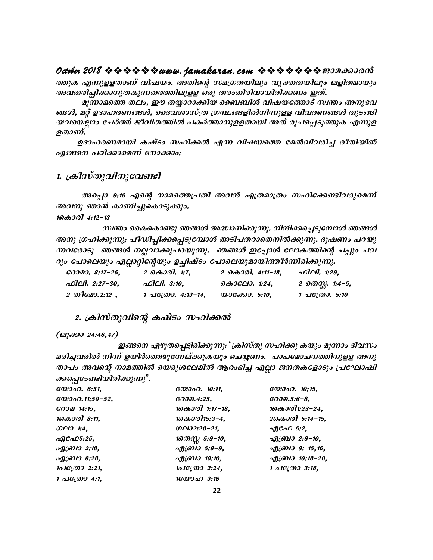ത്തുക എന്നുള്ളതാണ് വിഷയം. അതിന്റെ സമഗ്രതയിലും വൃക്തതയിലും ലളിതമായും അവതരിച്ചിക്കാനുതകുന്നതരത്തിലുളള ഒരു തരംതിരിവായിരിക്കണം ഇത്.

മുന്നാമത്തെ തലം, ഈ തയ്യാറാക്കിയ ബൈബിൾ വിഷയത്തോട് സ്വന്തം അനുഭവ ങ്ങൾ, മറ്റ് ഉദാഹരണങ്ങൾ, ദൈവശാസ്ത്ര ഗ്രന്ഥങ്ങളിൽനിന്നുളള വിവരണങ്ങൾ തുടങ്ങി യവയെല്ലാം ചേർത്ത് ജീവിതത്തിൽ പകർത്താനുളളതായി അത് രൂപപ്പെടുത്തുക എന്നുള ളതാണ്.

ഉദാഹരണമായി കഷ്ടം സഹിക്കൽ എന്ന വിഷയത്തെ മേൽവിവരിച്ച രീതിയിൽ എങ്ങനെ പഠിക്കാമെന്ന് നോക്കാം:

#### 1. ക്രിസ്തുവിനുവേണ്ടി

അപ്പൊ 9:16 എന്റെ നാമത്തെപ്രതി അവൻ എത്രമാത്രം സഹിക്കേണ്ടിവരുമെന്ന് അവനു ഞാൻ കാണിച്ചുകൊടുക്കും.

 $10000014:12-13$ 

സ്ഥതം കൈകൊണ്ടു ഞങ്ങൾ അദ്ധ്വാനിക്കുന്നു. നിന്ദിക്കപ്പെടുമ്പോൾ ഞങ്ങൾ അനു ഗ്രഹിക്കുന്നു; പീഡിപ്പിക്കപ്പെടുമ്പോൾ അടിപതറാതെനിൽക്കുന്നു. ദൂഷണം പറയു ന്നവരോടു തങ്ങൾ നല്ലവാക്കുപറയുന്നു. ഞങ്ങൾ ഇപ്പോൾ ലോകത്തിന്റെ ചപ്പും ചവ റും പോലെയും എല്ലാറ്റിന്റേയും ഉച്ചിഷ്ടം പോലെയുമായിത്തീർന്നിരിക്കുന്നു.

| CODDI. 8:17-26.    | 2 $\partial \omega$ $\partial \partial$ . 1:7. | 2 $\partial \partial \partial 0$ . 4:11-18. | ഫിലി. 1:29,            |
|--------------------|------------------------------------------------|---------------------------------------------|------------------------|
| ഫിലി. 2:27-30,     | ഫിലി. 3:10,                                    | കൊലോ. 1:24.                                 | 2 തെസ്സ. 1:4–5,        |
| $2 \n  0$ $2:12$ , | 1 $\triangle$ IC(M). 4:13-14,                  | $\omega$ IGANI. 5:10.                       | 1 $\Delta$ IG(M), 5:10 |

2. ക്രിസ്തുവിന്റെ കഷ്ടം സഹിക്കൽ

 $(\triangle$ hydod 24:46,47)

ഇങ്ങനെ എഴുതപ്പെട്ടിരിക്കുന്നു: "ക്രിസ്തു സഹിക്കു കയും മൂന്നാം ദിവസം മരിച്ചവരിൽ നിന്ന് ഉയിർത്തെഴുന്നേല്ക്കുകയും ചെയ്യണം. പാപമോചനത്തിനുളള അനു താപം അവന്റെ നാമത്തിൽ യെരുശലേമിൽ ആരംഭിച്ച എല്ലാ ജനതകളോടും പ്രഘോഷി ക്കപ്പെടേണ്ടിയിരിക്കുന്നു".

| $\mathcal{C} \mathcal{Q} \mathcal{Q} \mathcal{Q} \mathcal{Q}$ . 6:51, | $\mathcal{C} \mathcal{D}$ . 10:11, | $\mathcal{C} \mathcal{D}$ . 10:15. |
|-----------------------------------------------------------------------|------------------------------------|------------------------------------|
|                                                                       | $CO$ $0.4:25$ ,                    | $COD2.5:6-8$                       |
| $CO$ $0$ $0$ $14:15$ ,                                                | $100001$ 1:17-18,                  | 1കൊരി1:23-24,                      |
| 1കൊരി 8:11,                                                           | 1കൊരി15:3-4,                       | 20 $\omega$ 00 5:14-15,            |
| 0001:4,                                                               | OQ02:20-21,                        | എഫേ $5:2$ .                        |
| എഫേ $5:25$ .                                                          | 1லை 5:9-10,                        | എബ്രാ 2:9-10,                      |
| എബ്രാ 2:18,                                                           | എബ്രാ 5:8-9,                       | എബ്രാ 9: 15,16,                    |
| എബ്രാ 8:28,                                                           | എബ്രാ 10:10,                       | എബ്രാ 10:18-20,                    |
| $1 \triangle I \mathcal{C}(\mathcal{O} \mathcal{O} 2:21,$             | 1പക്രോ 2:24,                       | 1 $\triangle$ IC(M) 3:18,          |
| $1 \triangle 1$ $C(0004:1,$                                           | 16000003:16                        |                                    |
|                                                                       |                                    |                                    |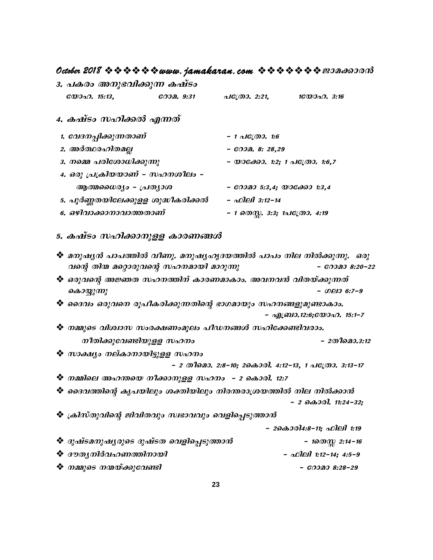# **October 2018 www.jamakaran.com Pma¡mc³**

|                                    | 3. പകരം അനുഭവിക്കുന്ന കഷ്ടം |           |              |              |
|------------------------------------|-----------------------------|-----------|--------------|--------------|
| $\mathcal{C} \mathcal{D}$ . 15:13, |                             | റോമ. 9:31 | പക്രോ. 2:21, | 16Q)วQ. 3:16 |

## 4. ക*ഷ്ടം സഹിക്കൽ എന്നത്*

| $\mathcal{C} \mathcal{D}$ . 15:13, | $CO0$ $O1$ $O2$ $O3$ $O4$ | പക്രോ. 2:21,                  | $16000 \Omega$ . 3:16 |
|------------------------------------|---------------------------|-------------------------------|-----------------------|
| 4. കഷ്ടം സഹിക്കൽ എന്നത്            |                           |                               |                       |
| 1. വേദനപ്പിക്കുന്നതാണ്             |                           | $-1$ alg(0). 1:6              |                       |
| 2. അർത്ഥരഹിതമല്ല                   |                           | $ 0000$ . 8: 28,29            |                       |
| 3. നമ്മെ പരിശോധിക്കുന്നു           |                           | - യാക്കോ. 1:2; 1 പക്രോ. 1:6,7 |                       |
| 4. ഒരു പ്രക്രിയയാണ് - സഹനശീലം -    |                           |                               |                       |
| ആത്മധൈര്യം – പ്രത്യാശ              |                           | $-$ 60020 5:3,4; WIGOO0 1:3,4 |                       |
| 5. പൂർണ്ണതയിലേക്കുളള ശുദ്ധീകരിക്കൽ |                           | - ഫിലി 3:12-14                |                       |
| 6. ഒഴിവാക്കാനാവാത്തതാണ്            |                           | - 1 തെസ്സ. 3:3; 1പക്രോ. 4:19  |                       |

### 5. ക*ഷ്ടം സഹിക്കാനുളള കാരണങ്ങൾ*

| വന്റെ തിന്മ മറ്റൊരുവന്റെ സഹനമായി മാറുന്നു<br>❖ ഒരുവന്റെ അജ്ഞത സഹനത്തിന് കാരണമാകാം. അവനവൻ വിതയ്ക്കുന്നത് | $-$ COIDI 8:20-22                                  |  |
|---------------------------------------------------------------------------------------------------------|----------------------------------------------------|--|
|                                                                                                         |                                                    |  |
|                                                                                                         |                                                    |  |
| കൊയ്യുന്നു                                                                                              | $-$ 00 $-$ 0 $-$ 9                                 |  |
| ❖ ദൈവം ഒരുവനെ രൂപീകരിക്കുന്നതിന്റെ ഭാഗമായും സഹനങ്ങളുമുണ്ടാകാം.                                          |                                                    |  |
|                                                                                                         | - എബ്രാ.12:6;യോഹ. 15:1-7                           |  |
| ❖ നമ്മുടെ വിശ്വാസ സംരക്ഷണംമൂലം പീഡനങ്ങൾ സഹിക്കേണ്ടിവരാം.                                                |                                                    |  |
| നീതിക്കുവേണ്ടിയുളള സഹനം                                                                                 | - 2തീമൊ.3:12                                       |  |
| ❖ സാക്ഷ്യം നല്കാനായിട്ടുളള സഹനം                                                                         |                                                    |  |
|                                                                                                         | - 2 തീമൊ. 2:8-10; 2കൊരി. 4:12-13, 1 പത്രോ. 3:13-17 |  |
| ❖ നമ്മിലെ അഹന്തയെ നീക്കാനുളള സഹനം – 2 കൊരി. 12:7                                                        |                                                    |  |
| ❖ ദൈവത്തിന്റെ കൃപയിലും ശക്തിയിലും നിരന്തരാശ്രയത്തിൽ നില നിൽക്കാൻ                                        |                                                    |  |
|                                                                                                         | - 2 കൊരി. 11:24-32;                                |  |
| ❖ ക്രിസ്തുവിന്റെ ജിവിതവും സ്വഭാവവും വെളിപ്പെടുത്താൻ                                                     |                                                    |  |
|                                                                                                         | - 2കൊരി4:8-11; ഫിലി 1:19                           |  |
| ❖ ദുഷ്ടമനുഷൃരുടെ ദുഷ്ടത വെളിപ്പെടുത്താൻ                                                                 | - $1000\frac{m}{m}$ 2:14-16                        |  |
| ❖ ദൗതൃനിർവഹണത്തിനായി                                                                                    | $ \triangle$ Oleil 1:12-14; 4:5-9                  |  |
| ❖ നമ്മുടെ നന്മയ്ക്കുവേണ്ടി                                                                              | $ 00000$ $8:28-29$                                 |  |
|                                                                                                         |                                                    |  |
|                                                                                                         | 23                                                 |  |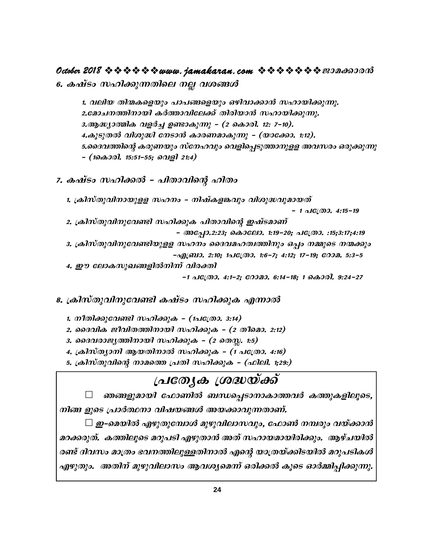## **October 2018 ななななななwww.jamakaran.com ななななななき** 2018 なの

6. കഷ്ടം സഹിക്കുന്നതിലെ നല്ല വശങ്ങൾ

1. henb Xn· -I-sfbpw ]m]-§-sfbpw Hgn-hm-¡m³ klm-bn-¡p-¶p. 2.മോചനത്തിനായി കർത്താവിലേക്ക് തിരിയാൻ സഹായിക്കുന്നു. 3.ആദ്ധ്യാത്മിക വളർച്ച ഉണ്ടാകുന്നു - (2 കൊരി. 12: 7-10). 4.കൂടുതൽ വിശുദ്ധി നേടാൻ കാരണമാകുന്നു - (യാക്കോ. 1:12). 5.ക്കെദവത്തിന്റെ കരുണയും സ്നേഹവും വെളിപ്പെടുത്താനുള്ള അവസരം ഒരുക്കുന്നു þ **(1sImcn. 15:51-þ55; shfn 21:4)**

- 7. കഷ്ടം സഹിക്കൽ പിതാവിന്റെ ഹിതം
	- 1. <sub>(</sub>കിസ്തുവിനായുളള സഹനം നിഷ്കളങ്കവും വിശുദ്ധവുമായത്<br>1 പത്രോ. 4:15-19 -

2. <sub>(</sub>കിസ്തുവിനുവേണ്ടി സഹിക്കുക പിതാവിന്റെ ഇഷ്ടമാണ്<br>© അപ്പോ.2:23; കൊലോ. 1:19-20; പത്രോ. :15;3:17;4:19 3. ക്രിസ്തുവിനുവേണ്ടിയുളള സഹനം ദൈവമഹത്വത്തിനും ഒപ്പം നമ്മുടെ നന്മക്കും **-** $\alpha$ <sup>[</sup>(011). 2:10; 1 $\alpha$ <sup>[</sup>( $\alpha$ ). 1:6-7; 4:12; 17-19;  $\alpha$ 002. 5:3-5 2. ക്രിസ്തുവിനുവേണ്ടി സഹിക്കുക പിതാവിന്റെ ഇഷ്ടമാണ്<br>- അപ്പോ.2:23; കൊലോ. 1:19-20; പത്രോ. :15;3:17;4:19<br>3. ക്രിസ്തുവിനുവേണ്ടിയുളള സഹനം ദൈവമഹത്വത്തിനും ഒപ്പം നമ്മുടെ നന്മക്കും<br>-എബ്രാ. 2:10; 1പത്രോ. 1:6-7; 4:12; 17-19; റോമ. 5:

#### 8. ക്രിസ്തുവിനുവേണ്ടി കഷ്ടം സഹിക്കുക എന്നാൽ

- 1. നീതിക്കുവേണ്ടി സഹിക്കുക (1പ**്രേ**താ. 3:14)
- 2. ദൈവിക ജീവിതത്തിനായി സഹിക്കുക (2 തീമൊ. 2:12)
- 3. *ടൈവരാജൃത്തിനായി സഹിക്കുക (2 തെസ്സ. 1*:5)
- 4. ക്രിസ്ത്യാനി ആയതിനാൽ സഹിക്കുക (1 പ**്രോ. 4:16**)
- 5. ക്രിസ്തുവിന്റെ നാമത്തെ പ്രതി സഹിക്കുക (ഫിലി. 1<del>;</del>29:)

# <u>[പത്യേക ശ്രദ്ധയ്ക്ക്</u>

ഞങ്ങളുമായി ഫോണിൽ ബന്ധപ്പെടാനാകാത്തവർ കത്തുകളിലൂടെ,  $\eta$ ിങ്ങ ളുടെ പ്രാർത്ഥനാ വിഷയങ്ങൾ അയക്കാവുന്നതാണ്.

 $\Box$  ഇ–മെയിൽ എഴുതുമ്പോൾ മുഴുവിലാസവും, ഫോൺ നമ്പരും വയ്ക്കാൻ മറക്കരുത്. കത്തിലൂടെ മറുപടി എഴുതാൻ അത് സഹായമായിരിക്കും. ആഴ്ചയിൽ രണ്ട് ദിവസം മാത്രം ഭവനത്തിലുള്ളതിനാൽ എന്റെ യാത്രയ്ക്കിടയിൽ മറുപടികൾ എഴുതും. അതിന് മുഴുവിലാസം ആവശ്യമെന്ന് ഒരിക്കൽ കൂടെ ഓർമ്മിപ്പിക്കുന്നു.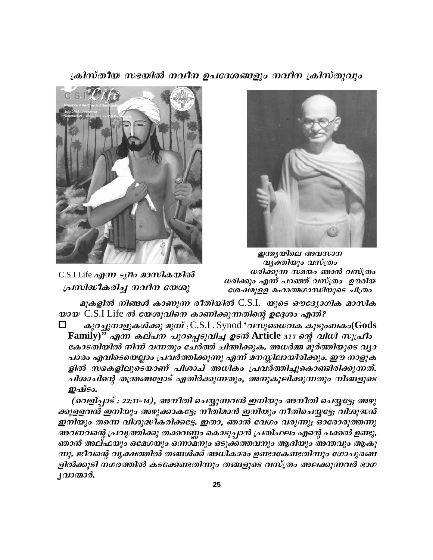ക്രിസ്തീയ സഭയിൽ നവീന ഉപദേശങ്ങളും നവീന ക്രിസ്തുവും



C.S.I Life എന്ന *syno* മാസികയിൽ പ്രസിദ്ധീകരിച്ച നവീന യേശു



ഇന്ത്യയിലെ അവസാന വൃക്തിയും വസ്ത്രം ധരിക്കുന്ന സമയം ഞാൻ വസ്ത്രം ധരിക്കും എന്ന് പറഞ്ഞ് വസ്ത്രം ഊരിയ ശേഷമുളള മഹാത്മഗാന്ധിയുടെ ചിത്രം

മുകളിൽ നിങ്ങൾ കാണുന്ന രീതിയിൽ C.S.I. യുടെ ഔദ്യോഗിക മാസിക  $\omega$ 2 $\omega$  C.S.I Life ൽ യേശുവിനെ കാണിക്കുന്നതിന്റെ ഉദ്ദേശം എന്ത്?

കുറച്ചുനാളുകൾക്കു മുമ്പ്  $c.S.I.synod$  'വസുധൈവക കുടുംബകം(Gods □ Family)" എന്ന കല്പന പുറപ്പെടുവിച്ച ഉടൻ Article 377 ന്റെ വിധി സുപ്രീം കോടതിയിൽ നിന്ന് വന്നതും ചേർത്ത് ചിന്തിക്കുക. അധർമ്മ മൂർത്തിയുടെ വ്യാ പാരം എവിടെയെല്ലാം പ്രവർത്തിക്കുന്നു എന്ന് മനസ്സിലായിരിക്കും. ഈ നാളുക ളിൽ സഭകളിലൂടെയാണ് പിശാച് അധികം പ്രവർത്തിച്ചുകൊണ്ടിരിക്കുന്നത്. പിശാചിന്റെ തന്ത്രങ്ങളോട് എതിർക്കുന്നതും, അനുകൂലിക്കുന്നതും നിങ്ങളുടെ ഇഷ്ടം.

(വെളിപ്പാട് : 22:11-14), അനീതി ചെയ്യുന്നവൻ ഇനിയും അനീതി ചെയ്യട്ടേ; അഴു ക്കുളളവന്ദ് ഇനിയും അഴുക്കാകട്ടേ; നിതിമാൻ ഇനിയും നീതിചെയ്യട്ടേ; വിശുദ്ധന്ദ ഇനിയും തന്നെ വിശുദ്ധീകരിക്കട്ടേ. ഇതാ, ഞാൻ വേഗം വരുന്നു; ഓരോരുത്തന്നു അവനവന്റെ പ്രവൃത്തിക്കു തക്കവണ്ണം കൊടുപ്പാൻ പ്രതിഫലം എന്റെ പക്കൽ ഉണ്ടു. ഞാൻ അല്ഫയും ഒമേഗയും ഒന്നാമനും ഒടുക്കത്തവനും ആദിയും അന്തവും ആകു ന്നു. ജീവന്റെ വൃക്ഷത്തിൽ തങ്ങൾക്ക് അധികാരം ഉണ്ടാകേണ്ടതിന്നും ഗോപുരങ്ങ ളിൽക്കൂടി നഗരത്തിൽ കടക്കേണ്ടതിന്നും തങ്ങളുടെ വസ്ത്രം അലക്കുന്നവർ ഭാഗ ്യവാന്മാർ.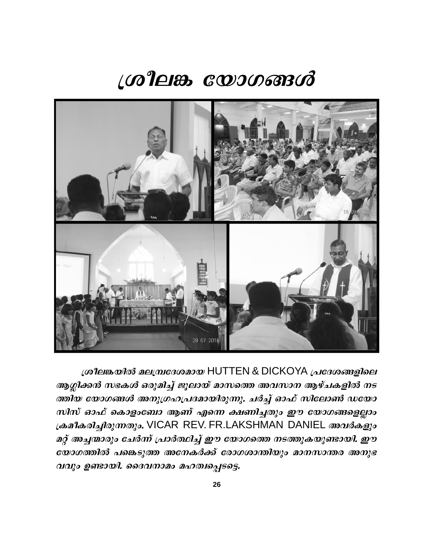# ശ്രീലങ്ക യോഗങ്ങൾ



ശ്രീലങ്കയിൽ മലമ്പ്രദേശമായ HUTTEN & DICKOYA പ്രദേശങ്ങളിലെ ആഗ്ലിക്കൻ സഭകൾ ഒരുമിച്ച് ജൂലായ് മാസത്തെ അവസാന ആഴ്ചകളിൽ നട ത്തിയ യോഗങ്ങൾ അനുഗ്രഹപ്രദമായിരുന്നു. ചർച്ച് ഓഫ് സിലോൺ ഡയോ സിസ് ഓഫ് കൊളാബോ ആണ് എന്നെ ക്ഷണിച്ചതും ഈ യോഗങ്ങളെല്ലാം ക്രമീകരിച്ചിരുന്നതും. VICAR REV. FR.LAKSHMAN DANIEL അവർകളും മറ്റ് അച്ചന്മാരും ചേർന്ന് പ്രാർത്ഥിച്ച് ഈ യോഗത്തെ നടത്തുകയുണ്ടായി. ഈ യോഗത്തിൽ പങ്കെടുത്ത അനേകർക്ക് രോഗശാന്തിയും മാനസാന്തര അനുഭ വവും ഉണ്ടായി. ദൈവനാമം മഹത്വപ്പെടട്ടെ.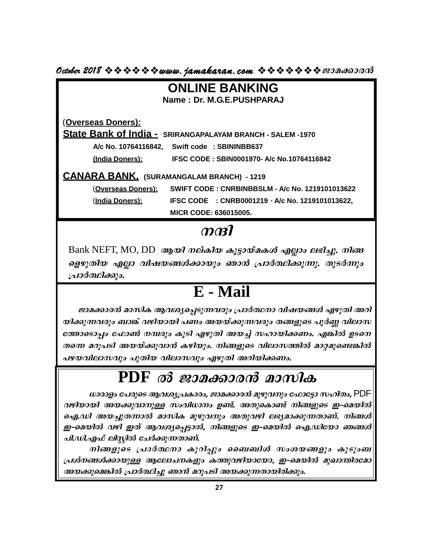$Octoben$  2018  $\Leftrightarrow$   $\Leftrightarrow$   $\Leftrightarrow$   $\Leftrightarrow$   $www.$  jamakaran.com  $\Leftrightarrow$   $\Leftrightarrow$   $\Leftrightarrow$   $\Leftrightarrow$   $\Leftrightarrow$   $w$   $w$   $w$   $w$ 

| <b>ONLINE BANKING</b>                                      |                                                        |  |  |  |  |
|------------------------------------------------------------|--------------------------------------------------------|--|--|--|--|
| Name: Dr. M.G.E.PUSHPARAJ                                  |                                                        |  |  |  |  |
|                                                            |                                                        |  |  |  |  |
| (Overseas Doners):                                         |                                                        |  |  |  |  |
| State Bank of India - SRIRANGAPALAYAM BRANCH - SALEM -1970 |                                                        |  |  |  |  |
|                                                            | A/c No. 10764116842, Swift code: SBININBB637           |  |  |  |  |
| (India Doners):                                            | IFSC CODE: SBIN0001970- A/c No.10764116842             |  |  |  |  |
| <b>CANARA BANK, (SURAMANGALAM BRANCH) - 1219</b>           |                                                        |  |  |  |  |
| (Overseas Doners):                                         | <b>SWIFT CODE: CNRBINBBSLM - A/c No. 1219101013622</b> |  |  |  |  |
| (India Doners):                                            | IFSC CODE : CNRB0001219 - A/c No. 1219101013622,       |  |  |  |  |
|                                                            | <b>MICR CODE: 636015005.</b>                           |  |  |  |  |
|                                                            |                                                        |  |  |  |  |

 $Bank$  NEFT, MO, DD ആയി നല്കിയ കൂട്ടായ്മകൾ എല്ലാം ലഭിച്ചു. നിങ്ങ ളെഴുതിയ എല്ലാ വിഷയങ്ങൾക്കായും ഞാൻ പ്രാർത്ഥിക്കുന്നു. തുടർന്നും <sub>(</sub>പാർത്ഥിക്കും.

# **E - Mail**

ജാമക്കാരൻ മാസിക ആവശ്യപ്പെടുന്നവരും പ്രാർത്ഥനാ വിഷയങ്ങൾ എഴുതി അറി  $\rm [a19a0101d63]$ o. $\rm E$  -  $\rm Mail$ <br>— ജാമക്കാരൻ മാസിക ആവശ്യപ്പെടുന്നവരും പ്രാർത്ഥനാ വിഷയങ്ങൾ എഴുതി അറി<br>യിക്കുന്നവരും ബാങ്ക് വഴിയായി പണം അയയ്ക്കുന്നവരും തങ്ങളുടെ പൂർണ്ണ വിലാസ<br>തേൊടൊപ്പം ഫോൺ നമ്പരും കൂടി എഴുതി അയച്ച് സഹായിക്കണ  $\mathbf{E}$  -  $\mathbf{Mail}$ <br>ജാമക്കാരൻ മാസിക ആവശ്യപ്പെടുന്നവരും പ്രാർത്ഥനാ വിഷയങ്ങൾ എഴുതി അറി<br>യിക്കുന്നവരും ബാങ്ക് വഴിയായി പണം അയയ്ക്കുന്നവരും തങ്ങളുടെ പൂർണ്ണ വിലാസ<br>തന്നെ മറുപടി അയയ്ക്കുവാൻ കഴിയും. നിങ്ങളുടെ വിലാസത്തിൽ മാറ്റമുണ് തന്നെ മറുപടി അയയ്ക്കുവാൻ കഴിയും. നിങ്ങളുടെ വിലാസത്തിൽ മാറ്റമുണ്ടെങ്കിൽ  $\frac{1}{2}$ <br> $\frac{1}{2}$ <br> $\frac{1}{2}$ <br> $\frac{1}{2}$ <br> $\frac{1}{2}$ <br> $\frac{1}{2}$ <br> $\frac{1}{2}$ <br> $\frac{1}{2}$ <br> $\frac{1}{2}$ <br> $\frac{1}{2}$ <br> $\frac{1}{2}$ <br> $\frac{1}{2}$ <br> $\frac{1}{2}$ <br> $\frac{1}{2}$ <br> $\frac{1}{2}$ <br> $\frac{1}{2}$ <br> $\frac{1}{2}$ <br> $\frac{1}{2}$ <br> $\frac{1}{2}$ <br> $\frac{1}{2}$ <br> $\frac{1}{2}$ <br> $\frac{1}{2}$ <br>

ധാരാളം പേരുടെ ആവശ്യപ്രകാരം, ജാമക്കാരൻ മുഴുവനും ഫോട്ടോ സഹിതം,  $\mathsf{PDF}$ വഴിയായി അയക്കുവാനുള്ള സംവിധാനം ഉണ്ട്. അതുകൊണ്ട് നിങ്ങളുടെ ഇ–മെയിൽ ഐ.ഡി അയച്ചുതന്നാൽ മാസിക മുഴുവനും അതുവഴി ലഭ്യമാക്കുന്നതാണ്. നിങ്ങൾ ഈ-മെയിൽ വഴി ഇത് ആവശ്യപ്പെട്ടാൽ, നിങ്ങളുടെ ഇ-മെയിൽ ഐ.ഡിയോ ഞങ്ങൾ $|$ പി.ഡി.എഫ് ലിസ്റ്റിൽ ചേർക്കുന്നതാണ്.

നിങ്ങളുടെ പ്രാർത്ഥനാ കുറിപ്പും ബൈബിൾ സംശയങ്ങളും കൂടുംബ (പശ്നങ്ങൾക്കായുള്ള ആലോചനകളും കത്തുവഴിയായോ, ഇ–മെയിൽ മുഖാന്തിരമോ അയക്കുമെങ്കിൽ പ്രാർത്ഥിച്ചു ഞാൻ മറുപടി അയക്കുന്നതായിരിക്കും.